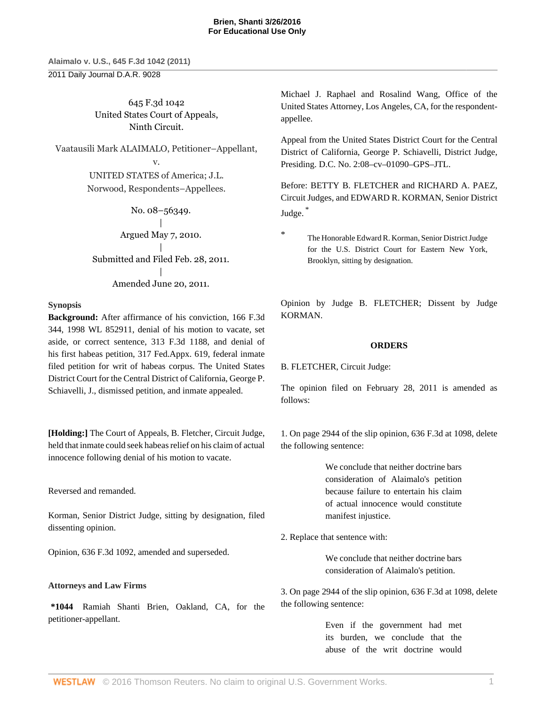2011 Daily Journal D.A.R. 9028

645 F.3d 1042 United States Court of Appeals, Ninth Circuit.

Vaatausili Mark ALAIMALO, Petitioner–Appellant, v. UNITED STATES of America; J.L. Norwood, Respondents–Appellees.

> No. 08–56349. | Argued May 7, 2010. | Submitted and Filed Feb. 28, 2011. | Amended June 20, 2011.

# **Synopsis**

**Background:** After affirmance of his conviction, [166 F.3d](http://www.westlaw.com/Link/Document/FullText?findType=Y&serNum=1998248494&pubNum=506&originatingDoc=I5835fa969cae11e0a8a2938374af9660&refType=RP&originationContext=document&vr=3.0&rs=cblt1.0&transitionType=DocumentItem&contextData=(sc.Keycite)) [344, 1998 WL 852911,](http://www.westlaw.com/Link/Document/FullText?findType=Y&serNum=1998248494&pubNum=506&originatingDoc=I5835fa969cae11e0a8a2938374af9660&refType=RP&originationContext=document&vr=3.0&rs=cblt1.0&transitionType=DocumentItem&contextData=(sc.Keycite)) denial of his motion to vacate, set aside, or correct sentence, [313 F.3d 1188,](http://www.westlaw.com/Link/Document/FullText?findType=Y&serNum=2002790929&pubNum=506&originatingDoc=I5835fa969cae11e0a8a2938374af9660&refType=RP&originationContext=document&vr=3.0&rs=cblt1.0&transitionType=DocumentItem&contextData=(sc.Keycite)) and denial of his first habeas petition, [317 Fed.Appx. 619,](http://www.westlaw.com/Link/Document/FullText?findType=Y&serNum=2017121712&pubNum=6538&originatingDoc=I5835fa969cae11e0a8a2938374af9660&refType=RP&originationContext=document&vr=3.0&rs=cblt1.0&transitionType=DocumentItem&contextData=(sc.Keycite)) federal inmate filed petition for writ of habeas corpus. The United States District Court for the Central District of California, [George P.](http://www.westlaw.com/Link/Document/FullText?findType=h&pubNum=176284&cite=0166352801&originatingDoc=I5835fa969cae11e0a8a2938374af9660&refType=RQ&originationContext=document&vr=3.0&rs=cblt1.0&transitionType=DocumentItem&contextData=(sc.Keycite)) [Schiavelli](http://www.westlaw.com/Link/Document/FullText?findType=h&pubNum=176284&cite=0166352801&originatingDoc=I5835fa969cae11e0a8a2938374af9660&refType=RQ&originationContext=document&vr=3.0&rs=cblt1.0&transitionType=DocumentItem&contextData=(sc.Keycite)), J., dismissed petition, and inmate appealed.

**[Holding:]** The Court of Appeals, [B. Fletcher](http://www.westlaw.com/Link/Document/FullText?findType=h&pubNum=176284&cite=0258877301&originatingDoc=I5835fa969cae11e0a8a2938374af9660&refType=RQ&originationContext=document&vr=3.0&rs=cblt1.0&transitionType=DocumentItem&contextData=(sc.Keycite)), Circuit Judge, held that inmate could seek habeas relief on his claim of actual innocence following denial of his motion to vacate.

Reversed and remanded.

Korman, Senior District Judge, sitting by designation, filed dissenting opinion.

Opinion, [636 F.3d 1092,](http://www.westlaw.com/Link/Document/FullText?findType=Y&serNum=2024675255&pubNum=506&originatingDoc=I5835fa969cae11e0a8a2938374af9660&refType=RP&originationContext=document&vr=3.0&rs=cblt1.0&transitionType=DocumentItem&contextData=(sc.Keycite)) amended and superseded.

# **Attorneys and Law Firms**

**\*1044** [Ramiah Shanti Brien](http://www.westlaw.com/Link/Document/FullText?findType=h&pubNum=176284&cite=0402595601&originatingDoc=I5835fa969cae11e0a8a2938374af9660&refType=RQ&originationContext=document&vr=3.0&rs=cblt1.0&transitionType=DocumentItem&contextData=(sc.Keycite)), Oakland, CA, for the petitioner-appellant.

[Michael J. Raphael](http://www.westlaw.com/Link/Document/FullText?findType=h&pubNum=176284&cite=0107241401&originatingDoc=I5835fa969cae11e0a8a2938374af9660&refType=RQ&originationContext=document&vr=3.0&rs=cblt1.0&transitionType=DocumentItem&contextData=(sc.Keycite)) and [Rosalind Wang](http://www.westlaw.com/Link/Document/FullText?findType=h&pubNum=176284&cite=0327656001&originatingDoc=I5835fa969cae11e0a8a2938374af9660&refType=RQ&originationContext=document&vr=3.0&rs=cblt1.0&transitionType=DocumentItem&contextData=(sc.Keycite)), Office of the United States Attorney, Los Angeles, CA, for the respondentappellee.

Appeal from the United States District Court for the Central District of California, [George P. Schiavelli](http://www.westlaw.com/Link/Document/FullText?findType=h&pubNum=176284&cite=0166352801&originatingDoc=I5835fa969cae11e0a8a2938374af9660&refType=RQ&originationContext=document&vr=3.0&rs=cblt1.0&transitionType=DocumentItem&contextData=(sc.Keycite)), District Judge, Presiding. D.C. No. 2:08–cv–01090–GPS–JTL.

Before: [BETTY B. FLETCHER](http://www.westlaw.com/Link/Document/FullText?findType=h&pubNum=176284&cite=0258877301&originatingDoc=I5835fa969cae11e0a8a2938374af9660&refType=RQ&originationContext=document&vr=3.0&rs=cblt1.0&transitionType=DocumentItem&contextData=(sc.Keycite)) and [RICHARD A. PAEZ](http://www.westlaw.com/Link/Document/FullText?findType=h&pubNum=176284&cite=0193846001&originatingDoc=I5835fa969cae11e0a8a2938374af9660&refType=RQ&originationContext=document&vr=3.0&rs=cblt1.0&transitionType=DocumentItem&contextData=(sc.Keycite)), Circuit Judges, and [EDWARD R. KORMAN](http://www.westlaw.com/Link/Document/FullText?findType=h&pubNum=176284&cite=0177340801&originatingDoc=I5835fa969cae11e0a8a2938374af9660&refType=RQ&originationContext=document&vr=3.0&rs=cblt1.0&transitionType=DocumentItem&contextData=(sc.Keycite)), Senior District Judge. [\\*](#page-0-0)

<span id="page-0-1"></span><span id="page-0-0"></span>

The Honorable [Edward R. Korman,](http://www.westlaw.com/Link/Document/FullText?findType=h&pubNum=176284&cite=0177340801&originatingDoc=I5835fa969cae11e0a8a2938374af9660&refType=RQ&originationContext=document&vr=3.0&rs=cblt1.0&transitionType=DocumentItem&contextData=(sc.Keycite)) Senior District Judge for the U.S. District Court for Eastern New York, Brooklyn, sitting by designation.

Opinion by Judge [B. FLETCHER](http://www.westlaw.com/Link/Document/FullText?findType=h&pubNum=176284&cite=0258877301&originatingDoc=I5835fa969cae11e0a8a2938374af9660&refType=RQ&originationContext=document&vr=3.0&rs=cblt1.0&transitionType=DocumentItem&contextData=(sc.Keycite)); Dissent by Judge KORMAN.

# **ORDERS**

[B. FLETCHER](http://www.westlaw.com/Link/Document/FullText?findType=h&pubNum=176284&cite=0258877301&originatingDoc=I5835fa969cae11e0a8a2938374af9660&refType=RQ&originationContext=document&vr=3.0&rs=cblt1.0&transitionType=DocumentItem&contextData=(sc.Keycite)), Circuit Judge:

The opinion filed on February 28, 2011 is amended as follows:

1. On page 2944 of the slip opinion, [636 F.3d at 1098,](http://www.westlaw.com/Link/Document/FullText?findType=Y&serNum=2024675255&pubNum=506&originatingDoc=I5835fa969cae11e0a8a2938374af9660&refType=RP&fi=co_pp_sp_506_1098&originationContext=document&vr=3.0&rs=cblt1.0&transitionType=DocumentItem&contextData=(sc.Keycite)#co_pp_sp_506_1098) delete the following sentence:

> We conclude that neither doctrine bars consideration of Alaimalo's petition because failure to entertain his claim of actual innocence would constitute manifest injustice.

2. Replace that sentence with:

We conclude that neither doctrine bars consideration of Alaimalo's petition.

3. On page 2944 of the slip opinion, [636 F.3d at 1098,](http://www.westlaw.com/Link/Document/FullText?findType=Y&serNum=2024675255&pubNum=506&originatingDoc=I5835fa969cae11e0a8a2938374af9660&refType=RP&fi=co_pp_sp_506_1098&originationContext=document&vr=3.0&rs=cblt1.0&transitionType=DocumentItem&contextData=(sc.Keycite)#co_pp_sp_506_1098) delete the following sentence:

> Even if the government had met its burden, we conclude that the abuse of the writ doctrine would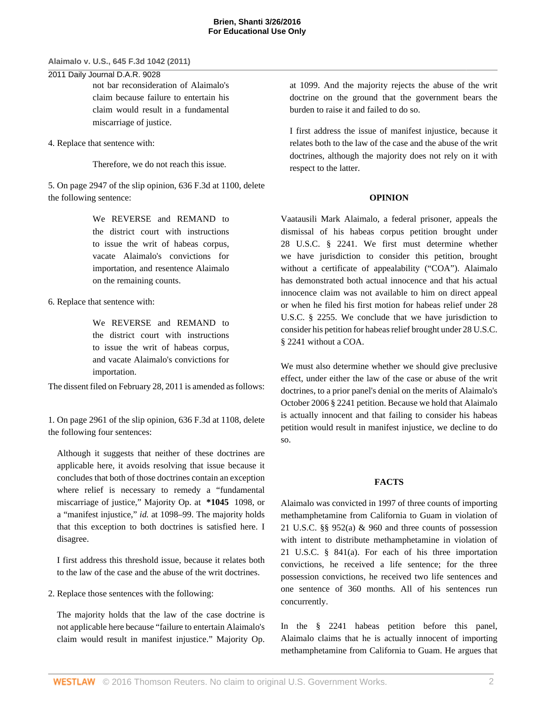#### 2011 Daily Journal D.A.R. 9028

not bar reconsideration of Alaimalo's claim because failure to entertain his claim would result in a fundamental miscarriage of justice.

4. Replace that sentence with:

Therefore, we do not reach this issue.

5. On page 2947 of the slip opinion, [636 F.3d at 1100,](http://www.westlaw.com/Link/Document/FullText?findType=Y&serNum=2024675255&pubNum=506&originatingDoc=I5835fa969cae11e0a8a2938374af9660&refType=RP&fi=co_pp_sp_506_1100&originationContext=document&vr=3.0&rs=cblt1.0&transitionType=DocumentItem&contextData=(sc.Keycite)#co_pp_sp_506_1100) delete the following sentence:

> We REVERSE and REMAND to the district court with instructions to issue the writ of habeas corpus, vacate Alaimalo's convictions for importation, and resentence Alaimalo on the remaining counts.

6. Replace that sentence with:

We REVERSE and REMAND to the district court with instructions to issue the writ of habeas corpus, and vacate Alaimalo's convictions for importation.

The dissent filed on February 28, 2011 is amended as follows:

1. On page 2961 of the slip opinion, [636 F.3d at 1108,](http://www.westlaw.com/Link/Document/FullText?findType=Y&serNum=2024675255&pubNum=506&originatingDoc=I5835fa969cae11e0a8a2938374af9660&refType=RP&fi=co_pp_sp_506_1108&originationContext=document&vr=3.0&rs=cblt1.0&transitionType=DocumentItem&contextData=(sc.Keycite)#co_pp_sp_506_1108) delete the following four sentences:

Although it suggests that neither of these doctrines are applicable here, it avoids resolving that issue because it concludes that both of those doctrines contain an exception where relief is necessary to remedy a "fundamental miscarriage of justice," Majority Op. at **\*1045** 1098, or a "manifest injustice," *id.* [at 1098–99.](http://www.westlaw.com/Link/Document/FullText?findType=Y&serNum=2024675255&originatingDoc=I5835fa969cae11e0a8a2938374af9660&refType=RP&originationContext=document&vr=3.0&rs=cblt1.0&transitionType=DocumentItem&contextData=(sc.Keycite)) The majority holds that this exception to both doctrines is satisfied here. I disagree.

I first address this threshold issue, because it relates both to the law of the case and the abuse of the writ doctrines.

2. Replace those sentences with the following:

The majority holds that the law of the case doctrine is not applicable here because "failure to entertain Alaimalo's claim would result in manifest injustice." Majority Op. at 1099. And the majority rejects the abuse of the writ doctrine on the ground that the government bears the burden to raise it and failed to do so.

I first address the issue of manifest injustice, because it relates both to the law of the case and the abuse of the writ doctrines, although the majority does not rely on it with respect to the latter.

#### **OPINION**

Vaatausili Mark Alaimalo, a federal prisoner, appeals the dismissal of his habeas corpus petition brought under [28 U.S.C. § 2241](http://www.westlaw.com/Link/Document/FullText?findType=L&pubNum=1000546&cite=28USCAS2241&originatingDoc=I5835fa969cae11e0a8a2938374af9660&refType=LQ&originationContext=document&vr=3.0&rs=cblt1.0&transitionType=DocumentItem&contextData=(sc.Keycite)). We first must determine whether we have jurisdiction to consider this petition, brought without a certificate of appealability ("COA"). Alaimalo has demonstrated both actual innocence and that his actual innocence claim was not available to him on direct appeal or when he filed his first motion for habeas relief under [28](http://www.westlaw.com/Link/Document/FullText?findType=L&pubNum=1000546&cite=28USCAS2255&originatingDoc=I5835fa969cae11e0a8a2938374af9660&refType=LQ&originationContext=document&vr=3.0&rs=cblt1.0&transitionType=DocumentItem&contextData=(sc.Keycite)) [U.S.C. § 2255.](http://www.westlaw.com/Link/Document/FullText?findType=L&pubNum=1000546&cite=28USCAS2255&originatingDoc=I5835fa969cae11e0a8a2938374af9660&refType=LQ&originationContext=document&vr=3.0&rs=cblt1.0&transitionType=DocumentItem&contextData=(sc.Keycite)) We conclude that we have jurisdiction to consider his petition for habeas relief brought under [28 U.S.C.](http://www.westlaw.com/Link/Document/FullText?findType=L&pubNum=1000546&cite=28USCAS2241&originatingDoc=I5835fa969cae11e0a8a2938374af9660&refType=LQ&originationContext=document&vr=3.0&rs=cblt1.0&transitionType=DocumentItem&contextData=(sc.Keycite)) [§ 2241](http://www.westlaw.com/Link/Document/FullText?findType=L&pubNum=1000546&cite=28USCAS2241&originatingDoc=I5835fa969cae11e0a8a2938374af9660&refType=LQ&originationContext=document&vr=3.0&rs=cblt1.0&transitionType=DocumentItem&contextData=(sc.Keycite)) without a COA.

We must also determine whether we should give preclusive effect, under either the law of the case or abuse of the writ doctrines, to a prior panel's denial on the merits of Alaimalo's October 2006 [§ 2241](http://www.westlaw.com/Link/Document/FullText?findType=L&pubNum=1000546&cite=28USCAS2241&originatingDoc=I5835fa969cae11e0a8a2938374af9660&refType=LQ&originationContext=document&vr=3.0&rs=cblt1.0&transitionType=DocumentItem&contextData=(sc.Keycite)) petition. Because we hold that Alaimalo is actually innocent and that failing to consider his habeas petition would result in manifest injustice, we decline to do so.

### **FACTS**

Alaimalo was convicted in 1997 of three counts of importing methamphetamine from California to Guam in violation of [21 U.S.C. §§ 952\(a\)](http://www.westlaw.com/Link/Document/FullText?findType=L&pubNum=1000546&cite=21USCAS952&originatingDoc=I5835fa969cae11e0a8a2938374af9660&refType=RB&originationContext=document&vr=3.0&rs=cblt1.0&transitionType=DocumentItem&contextData=(sc.Keycite)#co_pp_8b3b0000958a4) & [960](http://www.westlaw.com/Link/Document/FullText?findType=L&pubNum=1000546&cite=21USCAS960&originatingDoc=I5835fa969cae11e0a8a2938374af9660&refType=LQ&originationContext=document&vr=3.0&rs=cblt1.0&transitionType=DocumentItem&contextData=(sc.Keycite)) and three counts of possession with intent to distribute methamphetamine in violation of [21 U.S.C. § 841\(a\).](http://www.westlaw.com/Link/Document/FullText?findType=L&pubNum=1000546&cite=21USCAS841&originatingDoc=I5835fa969cae11e0a8a2938374af9660&refType=RB&originationContext=document&vr=3.0&rs=cblt1.0&transitionType=DocumentItem&contextData=(sc.Keycite)#co_pp_8b3b0000958a4) For each of his three importation convictions, he received a life sentence; for the three possession convictions, he received two life sentences and one sentence of 360 months. All of his sentences run concurrently.

In the [§ 2241](http://www.westlaw.com/Link/Document/FullText?findType=L&pubNum=1000546&cite=28USCAS2241&originatingDoc=I5835fa969cae11e0a8a2938374af9660&refType=LQ&originationContext=document&vr=3.0&rs=cblt1.0&transitionType=DocumentItem&contextData=(sc.Keycite)) habeas petition before this panel, Alaimalo claims that he is actually innocent of importing methamphetamine from California to Guam. He argues that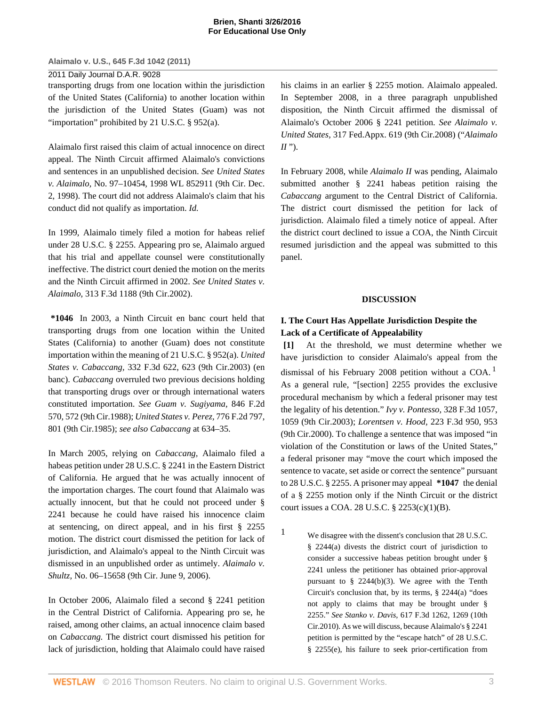## **Brien, Shanti 3/26/2016 For Educational Use Only**

### **Alaimalo v. U.S., 645 F.3d 1042 (2011)**

### 2011 Daily Journal D.A.R. 9028

transporting drugs from one location within the jurisdiction of the United States (California) to another location within the jurisdiction of the United States (Guam) was not "importation" prohibited by [21 U.S.C. § 952\(a\).](http://www.westlaw.com/Link/Document/FullText?findType=L&pubNum=1000546&cite=21USCAS952&originatingDoc=I5835fa969cae11e0a8a2938374af9660&refType=RB&originationContext=document&vr=3.0&rs=cblt1.0&transitionType=DocumentItem&contextData=(sc.Keycite)#co_pp_8b3b0000958a4)

Alaimalo first raised this claim of actual innocence on direct appeal. The Ninth Circuit affirmed Alaimalo's convictions and sentences in an unpublished decision. *See [United States](http://www.westlaw.com/Link/Document/FullText?findType=Y&serNum=1998248494&pubNum=0000999&originatingDoc=I5835fa969cae11e0a8a2938374af9660&refType=RP&originationContext=document&vr=3.0&rs=cblt1.0&transitionType=DocumentItem&contextData=(sc.Keycite)) v. Alaimalo,* [No. 97–10454, 1998 WL 852911 \(9th Cir. Dec.](http://www.westlaw.com/Link/Document/FullText?findType=Y&serNum=1998248494&pubNum=0000999&originatingDoc=I5835fa969cae11e0a8a2938374af9660&refType=RP&originationContext=document&vr=3.0&rs=cblt1.0&transitionType=DocumentItem&contextData=(sc.Keycite)) [2, 1998\)](http://www.westlaw.com/Link/Document/FullText?findType=Y&serNum=1998248494&pubNum=0000999&originatingDoc=I5835fa969cae11e0a8a2938374af9660&refType=RP&originationContext=document&vr=3.0&rs=cblt1.0&transitionType=DocumentItem&contextData=(sc.Keycite)). The court did not address Alaimalo's claim that his conduct did not qualify as importation. *[Id.](http://www.westlaw.com/Link/Document/FullText?findType=Y&serNum=1998248494&originatingDoc=I5835fa969cae11e0a8a2938374af9660&refType=RP&originationContext=document&vr=3.0&rs=cblt1.0&transitionType=DocumentItem&contextData=(sc.Keycite))*

In 1999, Alaimalo timely filed a motion for habeas relief under [28 U.S.C. § 2255.](http://www.westlaw.com/Link/Document/FullText?findType=L&pubNum=1000546&cite=28USCAS2255&originatingDoc=I5835fa969cae11e0a8a2938374af9660&refType=LQ&originationContext=document&vr=3.0&rs=cblt1.0&transitionType=DocumentItem&contextData=(sc.Keycite)) Appearing pro se, Alaimalo argued that his trial and appellate counsel were constitutionally ineffective. The district court denied the motion on the merits and the Ninth Circuit affirmed in 2002. *See [United States v.](http://www.westlaw.com/Link/Document/FullText?findType=Y&serNum=2002790929&pubNum=506&originatingDoc=I5835fa969cae11e0a8a2938374af9660&refType=RP&originationContext=document&vr=3.0&rs=cblt1.0&transitionType=DocumentItem&contextData=(sc.Keycite)) Alaimalo,* [313 F.3d 1188 \(9th Cir.2002\)](http://www.westlaw.com/Link/Document/FullText?findType=Y&serNum=2002790929&pubNum=506&originatingDoc=I5835fa969cae11e0a8a2938374af9660&refType=RP&originationContext=document&vr=3.0&rs=cblt1.0&transitionType=DocumentItem&contextData=(sc.Keycite)).

**\*1046** In 2003, a Ninth Circuit en banc court held that transporting drugs from one location within the United States (California) to another (Guam) does not constitute importation within the meaning of [21 U.S.C. § 952\(a\)](http://www.westlaw.com/Link/Document/FullText?findType=L&pubNum=1000546&cite=21USCAS952&originatingDoc=I5835fa969cae11e0a8a2938374af9660&refType=RB&originationContext=document&vr=3.0&rs=cblt1.0&transitionType=DocumentItem&contextData=(sc.Keycite)#co_pp_8b3b0000958a4). *[United](http://www.westlaw.com/Link/Document/FullText?findType=Y&serNum=2003401323&pubNum=506&originatingDoc=I5835fa969cae11e0a8a2938374af9660&refType=RP&fi=co_pp_sp_506_623&originationContext=document&vr=3.0&rs=cblt1.0&transitionType=DocumentItem&contextData=(sc.Keycite)#co_pp_sp_506_623) States v. Cabaccang,* [332 F.3d 622, 623 \(9th Cir.2003\)](http://www.westlaw.com/Link/Document/FullText?findType=Y&serNum=2003401323&pubNum=506&originatingDoc=I5835fa969cae11e0a8a2938374af9660&refType=RP&fi=co_pp_sp_506_623&originationContext=document&vr=3.0&rs=cblt1.0&transitionType=DocumentItem&contextData=(sc.Keycite)#co_pp_sp_506_623) (en banc). *[Cabaccang](http://www.westlaw.com/Link/Document/FullText?findType=Y&serNum=2003401323&originatingDoc=I5835fa969cae11e0a8a2938374af9660&refType=RP&originationContext=document&vr=3.0&rs=cblt1.0&transitionType=DocumentItem&contextData=(sc.Keycite))* overruled two previous decisions holding that transporting drugs over or through international waters constituted importation. *See [Guam v. Sugiyama,](http://www.westlaw.com/Link/Document/FullText?findType=Y&serNum=1988064538&pubNum=350&originatingDoc=I5835fa969cae11e0a8a2938374af9660&refType=RP&fi=co_pp_sp_350_572&originationContext=document&vr=3.0&rs=cblt1.0&transitionType=DocumentItem&contextData=(sc.Keycite)#co_pp_sp_350_572)* 846 F.2d [570, 572 \(9th Cir.1988\);](http://www.westlaw.com/Link/Document/FullText?findType=Y&serNum=1988064538&pubNum=350&originatingDoc=I5835fa969cae11e0a8a2938374af9660&refType=RP&fi=co_pp_sp_350_572&originationContext=document&vr=3.0&rs=cblt1.0&transitionType=DocumentItem&contextData=(sc.Keycite)#co_pp_sp_350_572) *[United States v. Perez,](http://www.westlaw.com/Link/Document/FullText?findType=Y&serNum=1985156211&pubNum=350&originatingDoc=I5835fa969cae11e0a8a2938374af9660&refType=RP&fi=co_pp_sp_350_801&originationContext=document&vr=3.0&rs=cblt1.0&transitionType=DocumentItem&contextData=(sc.Keycite)#co_pp_sp_350_801)* 776 F.2d 797, [801 \(9th Cir.1985\);](http://www.westlaw.com/Link/Document/FullText?findType=Y&serNum=1985156211&pubNum=350&originatingDoc=I5835fa969cae11e0a8a2938374af9660&refType=RP&fi=co_pp_sp_350_801&originationContext=document&vr=3.0&rs=cblt1.0&transitionType=DocumentItem&contextData=(sc.Keycite)#co_pp_sp_350_801) *see also [Cabaccang](http://www.westlaw.com/Link/Document/FullText?findType=Y&serNum=2003401323&originatingDoc=I5835fa969cae11e0a8a2938374af9660&refType=RP&originationContext=document&vr=3.0&rs=cblt1.0&transitionType=DocumentItem&contextData=(sc.Keycite))* at 634–35.

In March 2005, relying on *[Cabaccang,](http://www.westlaw.com/Link/Document/FullText?findType=Y&serNum=2003401323&originatingDoc=I5835fa969cae11e0a8a2938374af9660&refType=RP&originationContext=document&vr=3.0&rs=cblt1.0&transitionType=DocumentItem&contextData=(sc.Keycite))* Alaimalo filed a habeas petition under [28 U.S.C. § 2241](http://www.westlaw.com/Link/Document/FullText?findType=L&pubNum=1000546&cite=28USCAS2241&originatingDoc=I5835fa969cae11e0a8a2938374af9660&refType=LQ&originationContext=document&vr=3.0&rs=cblt1.0&transitionType=DocumentItem&contextData=(sc.Keycite)) in the Eastern District of California. He argued that he was actually innocent of the importation charges. The court found that Alaimalo was actually innocent, but that he could not proceed under [§](http://www.westlaw.com/Link/Document/FullText?findType=L&pubNum=1000546&cite=28USCAS2241&originatingDoc=I5835fa969cae11e0a8a2938374af9660&refType=LQ&originationContext=document&vr=3.0&rs=cblt1.0&transitionType=DocumentItem&contextData=(sc.Keycite)) [2241](http://www.westlaw.com/Link/Document/FullText?findType=L&pubNum=1000546&cite=28USCAS2241&originatingDoc=I5835fa969cae11e0a8a2938374af9660&refType=LQ&originationContext=document&vr=3.0&rs=cblt1.0&transitionType=DocumentItem&contextData=(sc.Keycite)) because he could have raised his innocence claim at sentencing, on direct appeal, and in his first [§ 2255](http://www.westlaw.com/Link/Document/FullText?findType=L&pubNum=1000546&cite=28USCAS2255&originatingDoc=I5835fa969cae11e0a8a2938374af9660&refType=LQ&originationContext=document&vr=3.0&rs=cblt1.0&transitionType=DocumentItem&contextData=(sc.Keycite)) motion. The district court dismissed the petition for lack of jurisdiction, and Alaimalo's appeal to the Ninth Circuit was dismissed in an unpublished order as untimely. *Alaimalo v. Shultz,* No. 06–15658 (9th Cir. June 9, 2006).

In October 2006, Alaimalo filed a second [§ 2241](http://www.westlaw.com/Link/Document/FullText?findType=L&pubNum=1000546&cite=28USCAS2241&originatingDoc=I5835fa969cae11e0a8a2938374af9660&refType=LQ&originationContext=document&vr=3.0&rs=cblt1.0&transitionType=DocumentItem&contextData=(sc.Keycite)) petition in the Central District of California. Appearing pro se, he raised, among other claims, an actual innocence claim based on *[Cabaccang.](http://www.westlaw.com/Link/Document/FullText?findType=Y&serNum=2003401323&originatingDoc=I5835fa969cae11e0a8a2938374af9660&refType=RP&originationContext=document&vr=3.0&rs=cblt1.0&transitionType=DocumentItem&contextData=(sc.Keycite))* The district court dismissed his petition for lack of jurisdiction, holding that Alaimalo could have raised his claims in an earlier [§ 2255](http://www.westlaw.com/Link/Document/FullText?findType=L&pubNum=1000546&cite=28USCAS2255&originatingDoc=I5835fa969cae11e0a8a2938374af9660&refType=LQ&originationContext=document&vr=3.0&rs=cblt1.0&transitionType=DocumentItem&contextData=(sc.Keycite)) motion. Alaimalo appealed. In September 2008, in a three paragraph unpublished disposition, the Ninth Circuit affirmed the dismissal of Alaimalo's October 2006 [§ 2241](http://www.westlaw.com/Link/Document/FullText?findType=L&pubNum=1000546&cite=28USCAS2241&originatingDoc=I5835fa969cae11e0a8a2938374af9660&refType=LQ&originationContext=document&vr=3.0&rs=cblt1.0&transitionType=DocumentItem&contextData=(sc.Keycite)) petition. *See [Alaimalo v.](http://www.westlaw.com/Link/Document/FullText?findType=Y&serNum=2017121712&pubNum=6538&originatingDoc=I5835fa969cae11e0a8a2938374af9660&refType=RP&originationContext=document&vr=3.0&rs=cblt1.0&transitionType=DocumentItem&contextData=(sc.Keycite)) United States,* [317 Fed.Appx. 619 \(9th Cir.2008\)](http://www.westlaw.com/Link/Document/FullText?findType=Y&serNum=2017121712&pubNum=6538&originatingDoc=I5835fa969cae11e0a8a2938374af9660&refType=RP&originationContext=document&vr=3.0&rs=cblt1.0&transitionType=DocumentItem&contextData=(sc.Keycite)) ("*Alaimalo II* ").

In February 2008, while *Alaimalo II* was pending, Alaimalo submitted another [§ 2241](http://www.westlaw.com/Link/Document/FullText?findType=L&pubNum=1000546&cite=28USCAS2241&originatingDoc=I5835fa969cae11e0a8a2938374af9660&refType=LQ&originationContext=document&vr=3.0&rs=cblt1.0&transitionType=DocumentItem&contextData=(sc.Keycite)) habeas petition raising the *[Cabaccang](http://www.westlaw.com/Link/Document/FullText?findType=Y&serNum=2003401323&originatingDoc=I5835fa969cae11e0a8a2938374af9660&refType=RP&originationContext=document&vr=3.0&rs=cblt1.0&transitionType=DocumentItem&contextData=(sc.Keycite))* argument to the Central District of California. The district court dismissed the petition for lack of jurisdiction. Alaimalo filed a timely notice of appeal. After the district court declined to issue a COA, the Ninth Circuit resumed jurisdiction and the appeal was submitted to this panel.

# <span id="page-2-1"></span>**DISCUSSION**

# **I. The Court Has Appellate Jurisdiction Despite the Lack of a Certificate of Appealability**

**[1]** At the threshold, we must determine whether we have jurisdiction to consider Alaimalo's appeal from the dismissal of his February 2008 petition without a COA.<sup>[1](#page-2-0)</sup> As a general rule, "[[section\] 2255](http://www.westlaw.com/Link/Document/FullText?findType=L&pubNum=1000546&cite=28USCAS2255&originatingDoc=I5835fa969cae11e0a8a2938374af9660&refType=LQ&originationContext=document&vr=3.0&rs=cblt1.0&transitionType=DocumentItem&contextData=(sc.Keycite)) provides the exclusive procedural mechanism by which a federal prisoner may test the legality of his detention." *[Ivy v. Pontesso,](http://www.westlaw.com/Link/Document/FullText?findType=Y&serNum=2003322856&pubNum=506&originatingDoc=I5835fa969cae11e0a8a2938374af9660&refType=RP&fi=co_pp_sp_506_1059&originationContext=document&vr=3.0&rs=cblt1.0&transitionType=DocumentItem&contextData=(sc.Keycite)#co_pp_sp_506_1059)* 328 F.3d 1057, [1059 \(9th Cir.2003\)](http://www.westlaw.com/Link/Document/FullText?findType=Y&serNum=2003322856&pubNum=506&originatingDoc=I5835fa969cae11e0a8a2938374af9660&refType=RP&fi=co_pp_sp_506_1059&originationContext=document&vr=3.0&rs=cblt1.0&transitionType=DocumentItem&contextData=(sc.Keycite)#co_pp_sp_506_1059); *Lorentsen v. Hood,* [223 F.3d 950, 953](http://www.westlaw.com/Link/Document/FullText?findType=Y&serNum=2000471207&pubNum=506&originatingDoc=I5835fa969cae11e0a8a2938374af9660&refType=RP&fi=co_pp_sp_506_953&originationContext=document&vr=3.0&rs=cblt1.0&transitionType=DocumentItem&contextData=(sc.Keycite)#co_pp_sp_506_953) [\(9th Cir.2000\)](http://www.westlaw.com/Link/Document/FullText?findType=Y&serNum=2000471207&pubNum=506&originatingDoc=I5835fa969cae11e0a8a2938374af9660&refType=RP&fi=co_pp_sp_506_953&originationContext=document&vr=3.0&rs=cblt1.0&transitionType=DocumentItem&contextData=(sc.Keycite)#co_pp_sp_506_953). To challenge a sentence that was imposed "in violation of the Constitution or laws of the United States," a federal prisoner may "move the court which imposed the sentence to vacate, set aside or correct the sentence" pursuant to [28 U.S.C. § 2255.](http://www.westlaw.com/Link/Document/FullText?findType=L&pubNum=1000546&cite=28USCAS2255&originatingDoc=I5835fa969cae11e0a8a2938374af9660&refType=LQ&originationContext=document&vr=3.0&rs=cblt1.0&transitionType=DocumentItem&contextData=(sc.Keycite)) A prisoner may appeal **\*1047** the denial of a [§ 2255](http://www.westlaw.com/Link/Document/FullText?findType=L&pubNum=1000546&cite=28USCAS2255&originatingDoc=I5835fa969cae11e0a8a2938374af9660&refType=LQ&originationContext=document&vr=3.0&rs=cblt1.0&transitionType=DocumentItem&contextData=(sc.Keycite)) motion only if the Ninth Circuit or the district court issues a COA. [28 U.S.C. § 2253\(c\)\(1\)\(B\)](http://www.westlaw.com/Link/Document/FullText?findType=L&pubNum=1000546&cite=28USCAS2253&originatingDoc=I5835fa969cae11e0a8a2938374af9660&refType=RB&originationContext=document&vr=3.0&rs=cblt1.0&transitionType=DocumentItem&contextData=(sc.Keycite)#co_pp_4d8a000011f17).

<span id="page-2-0"></span>[1](#page-2-1) We disagree with the dissent's conclusion that [28 U.S.C.](http://www.westlaw.com/Link/Document/FullText?findType=L&pubNum=1000546&cite=28USCAS2244&originatingDoc=I5835fa969cae11e0a8a2938374af9660&refType=RB&originationContext=document&vr=3.0&rs=cblt1.0&transitionType=DocumentItem&contextData=(sc.Keycite)#co_pp_8b3b0000958a4) [§ 2244\(a\)](http://www.westlaw.com/Link/Document/FullText?findType=L&pubNum=1000546&cite=28USCAS2244&originatingDoc=I5835fa969cae11e0a8a2938374af9660&refType=RB&originationContext=document&vr=3.0&rs=cblt1.0&transitionType=DocumentItem&contextData=(sc.Keycite)#co_pp_8b3b0000958a4) divests the district court of jurisdiction to consider a successive habeas petition brought under [§](http://www.westlaw.com/Link/Document/FullText?findType=L&pubNum=1000546&cite=28USCAS2241&originatingDoc=I5835fa969cae11e0a8a2938374af9660&refType=LQ&originationContext=document&vr=3.0&rs=cblt1.0&transitionType=DocumentItem&contextData=(sc.Keycite)) [2241](http://www.westlaw.com/Link/Document/FullText?findType=L&pubNum=1000546&cite=28USCAS2241&originatingDoc=I5835fa969cae11e0a8a2938374af9660&refType=LQ&originationContext=document&vr=3.0&rs=cblt1.0&transitionType=DocumentItem&contextData=(sc.Keycite)) unless the petitioner has obtained prior-approval pursuant to [§ 2244\(b\)\(3\).](http://www.westlaw.com/Link/Document/FullText?findType=L&pubNum=1000546&cite=28USCAS2244&originatingDoc=I5835fa969cae11e0a8a2938374af9660&refType=RB&originationContext=document&vr=3.0&rs=cblt1.0&transitionType=DocumentItem&contextData=(sc.Keycite)#co_pp_d801000002763) We agree with the Tenth Circuit's conclusion that, by its terms, [§ 2244\(a\)](http://www.westlaw.com/Link/Document/FullText?findType=L&pubNum=1000546&cite=28USCAS2244&originatingDoc=I5835fa969cae11e0a8a2938374af9660&refType=RB&originationContext=document&vr=3.0&rs=cblt1.0&transitionType=DocumentItem&contextData=(sc.Keycite)#co_pp_8b3b0000958a4) "does not apply to claims that may be brought under [§](http://www.westlaw.com/Link/Document/FullText?findType=L&pubNum=1000546&cite=28USCAS2255&originatingDoc=I5835fa969cae11e0a8a2938374af9660&refType=LQ&originationContext=document&vr=3.0&rs=cblt1.0&transitionType=DocumentItem&contextData=(sc.Keycite)) [2255](http://www.westlaw.com/Link/Document/FullText?findType=L&pubNum=1000546&cite=28USCAS2255&originatingDoc=I5835fa969cae11e0a8a2938374af9660&refType=LQ&originationContext=document&vr=3.0&rs=cblt1.0&transitionType=DocumentItem&contextData=(sc.Keycite))." *See Stanko v. Davis,* [617 F.3d 1262, 1269 \(10th](http://www.westlaw.com/Link/Document/FullText?findType=Y&serNum=2022729923&pubNum=506&originatingDoc=I5835fa969cae11e0a8a2938374af9660&refType=RP&fi=co_pp_sp_506_1269&originationContext=document&vr=3.0&rs=cblt1.0&transitionType=DocumentItem&contextData=(sc.Keycite)#co_pp_sp_506_1269) [Cir.2010\).](http://www.westlaw.com/Link/Document/FullText?findType=Y&serNum=2022729923&pubNum=506&originatingDoc=I5835fa969cae11e0a8a2938374af9660&refType=RP&fi=co_pp_sp_506_1269&originationContext=document&vr=3.0&rs=cblt1.0&transitionType=DocumentItem&contextData=(sc.Keycite)#co_pp_sp_506_1269) As we will discuss, because Alaimalo's [§ 2241](http://www.westlaw.com/Link/Document/FullText?findType=L&pubNum=1000546&cite=28USCAS2241&originatingDoc=I5835fa969cae11e0a8a2938374af9660&refType=LQ&originationContext=document&vr=3.0&rs=cblt1.0&transitionType=DocumentItem&contextData=(sc.Keycite)) petition is permitted by the "escape hatch" of [28 U.S.C.](http://www.westlaw.com/Link/Document/FullText?findType=L&pubNum=1000546&cite=28USCAS2255&originatingDoc=I5835fa969cae11e0a8a2938374af9660&refType=RB&originationContext=document&vr=3.0&rs=cblt1.0&transitionType=DocumentItem&contextData=(sc.Keycite)#co_pp_7fdd00001ca15) [§ 2255\(e\),](http://www.westlaw.com/Link/Document/FullText?findType=L&pubNum=1000546&cite=28USCAS2255&originatingDoc=I5835fa969cae11e0a8a2938374af9660&refType=RB&originationContext=document&vr=3.0&rs=cblt1.0&transitionType=DocumentItem&contextData=(sc.Keycite)#co_pp_7fdd00001ca15) his failure to seek prior-certification from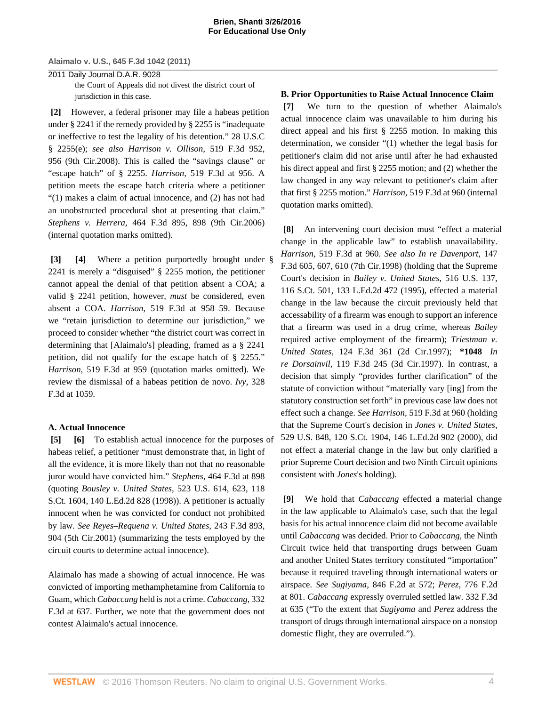2011 Daily Journal D.A.R. 9028 the Court of Appeals did not divest the district court of jurisdiction in this case.

**[2]** However, a federal prisoner may file a habeas petition under [§ 2241](http://www.westlaw.com/Link/Document/FullText?findType=L&pubNum=1000546&cite=28USCAS2241&originatingDoc=I5835fa969cae11e0a8a2938374af9660&refType=LQ&originationContext=document&vr=3.0&rs=cblt1.0&transitionType=DocumentItem&contextData=(sc.Keycite)) if the remedy provided by [§ 2255](http://www.westlaw.com/Link/Document/FullText?findType=L&pubNum=1000546&cite=28USCAS2255&originatingDoc=I5835fa969cae11e0a8a2938374af9660&refType=LQ&originationContext=document&vr=3.0&rs=cblt1.0&transitionType=DocumentItem&contextData=(sc.Keycite)) is "inadequate or ineffective to test the legality of his detention." [28 U.S.C](http://www.westlaw.com/Link/Document/FullText?findType=L&pubNum=1000546&cite=28USCAS2255&originatingDoc=I5835fa969cae11e0a8a2938374af9660&refType=RB&originationContext=document&vr=3.0&rs=cblt1.0&transitionType=DocumentItem&contextData=(sc.Keycite)#co_pp_7fdd00001ca15) [§ 2255\(e\)](http://www.westlaw.com/Link/Document/FullText?findType=L&pubNum=1000546&cite=28USCAS2255&originatingDoc=I5835fa969cae11e0a8a2938374af9660&refType=RB&originationContext=document&vr=3.0&rs=cblt1.0&transitionType=DocumentItem&contextData=(sc.Keycite)#co_pp_7fdd00001ca15); *see also [Harrison v. Ollison,](http://www.westlaw.com/Link/Document/FullText?findType=Y&serNum=2015526100&pubNum=506&originatingDoc=I5835fa969cae11e0a8a2938374af9660&refType=RP&fi=co_pp_sp_506_956&originationContext=document&vr=3.0&rs=cblt1.0&transitionType=DocumentItem&contextData=(sc.Keycite)#co_pp_sp_506_956)* 519 F.3d 952, [956 \(9th Cir.2008\)](http://www.westlaw.com/Link/Document/FullText?findType=Y&serNum=2015526100&pubNum=506&originatingDoc=I5835fa969cae11e0a8a2938374af9660&refType=RP&fi=co_pp_sp_506_956&originationContext=document&vr=3.0&rs=cblt1.0&transitionType=DocumentItem&contextData=(sc.Keycite)#co_pp_sp_506_956). This is called the "savings clause" or "escape hatch" of [§ 2255.](http://www.westlaw.com/Link/Document/FullText?findType=L&pubNum=1000546&cite=28USCAS2255&originatingDoc=I5835fa969cae11e0a8a2938374af9660&refType=LQ&originationContext=document&vr=3.0&rs=cblt1.0&transitionType=DocumentItem&contextData=(sc.Keycite)) *Harrison,* [519 F.3d at 956.](http://www.westlaw.com/Link/Document/FullText?findType=Y&serNum=2015526100&pubNum=506&originatingDoc=I5835fa969cae11e0a8a2938374af9660&refType=RP&fi=co_pp_sp_506_956&originationContext=document&vr=3.0&rs=cblt1.0&transitionType=DocumentItem&contextData=(sc.Keycite)#co_pp_sp_506_956) A petition meets the escape hatch criteria where a petitioner "(1) makes a claim of actual innocence, and (2) has not had an unobstructed procedural shot at presenting that claim." *Stephens v. Herrera,* [464 F.3d 895, 898 \(9th Cir.2006\)](http://www.westlaw.com/Link/Document/FullText?findType=Y&serNum=2010271702&pubNum=506&originatingDoc=I5835fa969cae11e0a8a2938374af9660&refType=RP&fi=co_pp_sp_506_898&originationContext=document&vr=3.0&rs=cblt1.0&transitionType=DocumentItem&contextData=(sc.Keycite)#co_pp_sp_506_898) (internal quotation marks omitted).

**[3] [4]** Where a petition purportedly brought under [§](http://www.westlaw.com/Link/Document/FullText?findType=L&pubNum=1000546&cite=28USCAS2241&originatingDoc=I5835fa969cae11e0a8a2938374af9660&refType=LQ&originationContext=document&vr=3.0&rs=cblt1.0&transitionType=DocumentItem&contextData=(sc.Keycite)) [2241](http://www.westlaw.com/Link/Document/FullText?findType=L&pubNum=1000546&cite=28USCAS2241&originatingDoc=I5835fa969cae11e0a8a2938374af9660&refType=LQ&originationContext=document&vr=3.0&rs=cblt1.0&transitionType=DocumentItem&contextData=(sc.Keycite)) is merely a "disguised" [§ 2255](http://www.westlaw.com/Link/Document/FullText?findType=L&pubNum=1000546&cite=28USCAS2255&originatingDoc=I5835fa969cae11e0a8a2938374af9660&refType=LQ&originationContext=document&vr=3.0&rs=cblt1.0&transitionType=DocumentItem&contextData=(sc.Keycite)) motion, the petitioner cannot appeal the denial of that petition absent a COA; a valid [§ 2241](http://www.westlaw.com/Link/Document/FullText?findType=L&pubNum=1000546&cite=28USCAS2241&originatingDoc=I5835fa969cae11e0a8a2938374af9660&refType=LQ&originationContext=document&vr=3.0&rs=cblt1.0&transitionType=DocumentItem&contextData=(sc.Keycite)) petition, however, *must* be considered, even absent a COA. *Harrison,* [519 F.3d at 958–59.](http://www.westlaw.com/Link/Document/FullText?findType=Y&serNum=2015526100&pubNum=506&originatingDoc=I5835fa969cae11e0a8a2938374af9660&refType=RP&fi=co_pp_sp_506_958&originationContext=document&vr=3.0&rs=cblt1.0&transitionType=DocumentItem&contextData=(sc.Keycite)#co_pp_sp_506_958) Because we "retain jurisdiction to determine our jurisdiction," we proceed to consider whether "the district court was correct in determining that [Alaimalo's] pleading, framed as a [§ 2241](http://www.westlaw.com/Link/Document/FullText?findType=L&pubNum=1000546&cite=28USCAS2241&originatingDoc=I5835fa969cae11e0a8a2938374af9660&refType=LQ&originationContext=document&vr=3.0&rs=cblt1.0&transitionType=DocumentItem&contextData=(sc.Keycite)) petition, did not qualify for the escape hatch of [§ 2255](http://www.westlaw.com/Link/Document/FullText?findType=L&pubNum=1000546&cite=28USCAS2255&originatingDoc=I5835fa969cae11e0a8a2938374af9660&refType=LQ&originationContext=document&vr=3.0&rs=cblt1.0&transitionType=DocumentItem&contextData=(sc.Keycite))." *Harrison,* [519 F.3d at 959](http://www.westlaw.com/Link/Document/FullText?findType=Y&serNum=2015526100&pubNum=506&originatingDoc=I5835fa969cae11e0a8a2938374af9660&refType=RP&fi=co_pp_sp_506_959&originationContext=document&vr=3.0&rs=cblt1.0&transitionType=DocumentItem&contextData=(sc.Keycite)#co_pp_sp_506_959) (quotation marks omitted). We review the dismissal of a habeas petition de novo. *Ivy,* [328](http://www.westlaw.com/Link/Document/FullText?findType=Y&serNum=2003322856&pubNum=506&originatingDoc=I5835fa969cae11e0a8a2938374af9660&refType=RP&fi=co_pp_sp_506_1059&originationContext=document&vr=3.0&rs=cblt1.0&transitionType=DocumentItem&contextData=(sc.Keycite)#co_pp_sp_506_1059) [F.3d at 1059](http://www.westlaw.com/Link/Document/FullText?findType=Y&serNum=2003322856&pubNum=506&originatingDoc=I5835fa969cae11e0a8a2938374af9660&refType=RP&fi=co_pp_sp_506_1059&originationContext=document&vr=3.0&rs=cblt1.0&transitionType=DocumentItem&contextData=(sc.Keycite)#co_pp_sp_506_1059).

### **A. Actual Innocence**

**[5] [6]** To establish actual innocence for the purposes of habeas relief, a petitioner "must demonstrate that, in light of all the evidence, it is more likely than not that no reasonable juror would have convicted him." *Stephens,* [464 F.3d at 898](http://www.westlaw.com/Link/Document/FullText?findType=Y&serNum=2010271702&pubNum=506&originatingDoc=I5835fa969cae11e0a8a2938374af9660&refType=RP&fi=co_pp_sp_506_898&originationContext=document&vr=3.0&rs=cblt1.0&transitionType=DocumentItem&contextData=(sc.Keycite)#co_pp_sp_506_898) (quoting *[Bousley v. United States,](http://www.westlaw.com/Link/Document/FullText?findType=Y&serNum=1998108681&pubNum=708&originatingDoc=I5835fa969cae11e0a8a2938374af9660&refType=RP&originationContext=document&vr=3.0&rs=cblt1.0&transitionType=DocumentItem&contextData=(sc.Keycite))* 523 U.S. 614, 623, 118 [S.Ct. 1604, 140 L.Ed.2d 828 \(1998\)\)](http://www.westlaw.com/Link/Document/FullText?findType=Y&serNum=1998108681&pubNum=708&originatingDoc=I5835fa969cae11e0a8a2938374af9660&refType=RP&originationContext=document&vr=3.0&rs=cblt1.0&transitionType=DocumentItem&contextData=(sc.Keycite)). A petitioner is actually innocent when he was convicted for conduct not prohibited by law. *See [Reyes–Requena v. United States,](http://www.westlaw.com/Link/Document/FullText?findType=Y&serNum=2001189503&pubNum=506&originatingDoc=I5835fa969cae11e0a8a2938374af9660&refType=RP&fi=co_pp_sp_506_904&originationContext=document&vr=3.0&rs=cblt1.0&transitionType=DocumentItem&contextData=(sc.Keycite)#co_pp_sp_506_904)* 243 F.3d 893, [904 \(5th Cir.2001\)](http://www.westlaw.com/Link/Document/FullText?findType=Y&serNum=2001189503&pubNum=506&originatingDoc=I5835fa969cae11e0a8a2938374af9660&refType=RP&fi=co_pp_sp_506_904&originationContext=document&vr=3.0&rs=cblt1.0&transitionType=DocumentItem&contextData=(sc.Keycite)#co_pp_sp_506_904) (summarizing the tests employed by the circuit courts to determine actual innocence).

Alaimalo has made a showing of actual innocence. He was convicted of importing methamphetamine from California to Guam, which *[Cabaccang](http://www.westlaw.com/Link/Document/FullText?findType=Y&serNum=2003401323&originatingDoc=I5835fa969cae11e0a8a2938374af9660&refType=RP&originationContext=document&vr=3.0&rs=cblt1.0&transitionType=DocumentItem&contextData=(sc.Keycite))* held is not a crime. *[Cabaccang,](http://www.westlaw.com/Link/Document/FullText?findType=Y&serNum=2003401323&pubNum=506&originatingDoc=I5835fa969cae11e0a8a2938374af9660&refType=RP&fi=co_pp_sp_506_637&originationContext=document&vr=3.0&rs=cblt1.0&transitionType=DocumentItem&contextData=(sc.Keycite)#co_pp_sp_506_637)* 332 [F.3d at 637.](http://www.westlaw.com/Link/Document/FullText?findType=Y&serNum=2003401323&pubNum=506&originatingDoc=I5835fa969cae11e0a8a2938374af9660&refType=RP&fi=co_pp_sp_506_637&originationContext=document&vr=3.0&rs=cblt1.0&transitionType=DocumentItem&contextData=(sc.Keycite)#co_pp_sp_506_637) Further, we note that the government does not contest Alaimalo's actual innocence.

# **B. Prior Opportunities to Raise Actual Innocence Claim**

**[7]** We turn to the question of whether Alaimalo's actual innocence claim was unavailable to him during his direct appeal and his first [§ 2255](http://www.westlaw.com/Link/Document/FullText?findType=L&pubNum=1000546&cite=28USCAS2255&originatingDoc=I5835fa969cae11e0a8a2938374af9660&refType=LQ&originationContext=document&vr=3.0&rs=cblt1.0&transitionType=DocumentItem&contextData=(sc.Keycite)) motion. In making this determination, we consider "(1) whether the legal basis for petitioner's claim did not arise until after he had exhausted his direct appeal and first [§ 2255](http://www.westlaw.com/Link/Document/FullText?findType=L&pubNum=1000546&cite=28USCAS2255&originatingDoc=I5835fa969cae11e0a8a2938374af9660&refType=LQ&originationContext=document&vr=3.0&rs=cblt1.0&transitionType=DocumentItem&contextData=(sc.Keycite)) motion; and (2) whether the law changed in any way relevant to petitioner's claim after that first [§ 2255](http://www.westlaw.com/Link/Document/FullText?findType=L&pubNum=1000546&cite=28USCAS2255&originatingDoc=I5835fa969cae11e0a8a2938374af9660&refType=LQ&originationContext=document&vr=3.0&rs=cblt1.0&transitionType=DocumentItem&contextData=(sc.Keycite)) motion." *Harrison,* [519 F.3d at 960](http://www.westlaw.com/Link/Document/FullText?findType=Y&serNum=2015526100&pubNum=506&originatingDoc=I5835fa969cae11e0a8a2938374af9660&refType=RP&fi=co_pp_sp_506_960&originationContext=document&vr=3.0&rs=cblt1.0&transitionType=DocumentItem&contextData=(sc.Keycite)#co_pp_sp_506_960) (internal quotation marks omitted).

**[8]** An intervening court decision must "effect a material change in the applicable law" to establish unavailability. *Harrison,* [519 F.3d at 960.](http://www.westlaw.com/Link/Document/FullText?findType=Y&serNum=2015526100&pubNum=506&originatingDoc=I5835fa969cae11e0a8a2938374af9660&refType=RP&fi=co_pp_sp_506_960&originationContext=document&vr=3.0&rs=cblt1.0&transitionType=DocumentItem&contextData=(sc.Keycite)#co_pp_sp_506_960) *See also [In re Davenport,](http://www.westlaw.com/Link/Document/FullText?findType=Y&serNum=1998128480&pubNum=506&originatingDoc=I5835fa969cae11e0a8a2938374af9660&refType=RP&fi=co_pp_sp_506_607&originationContext=document&vr=3.0&rs=cblt1.0&transitionType=DocumentItem&contextData=(sc.Keycite)#co_pp_sp_506_607)* 147 [F.3d 605, 607, 610 \(7th Cir.1998\)](http://www.westlaw.com/Link/Document/FullText?findType=Y&serNum=1998128480&pubNum=506&originatingDoc=I5835fa969cae11e0a8a2938374af9660&refType=RP&fi=co_pp_sp_506_607&originationContext=document&vr=3.0&rs=cblt1.0&transitionType=DocumentItem&contextData=(sc.Keycite)#co_pp_sp_506_607) (holding that the Supreme Court's decision in *[Bailey v. United States,](http://www.westlaw.com/Link/Document/FullText?findType=Y&serNum=1995238890&pubNum=708&originatingDoc=I5835fa969cae11e0a8a2938374af9660&refType=RP&originationContext=document&vr=3.0&rs=cblt1.0&transitionType=DocumentItem&contextData=(sc.Keycite))* 516 U.S. 137, [116 S.Ct. 501, 133 L.Ed.2d 472 \(1995\)](http://www.westlaw.com/Link/Document/FullText?findType=Y&serNum=1995238890&pubNum=708&originatingDoc=I5835fa969cae11e0a8a2938374af9660&refType=RP&originationContext=document&vr=3.0&rs=cblt1.0&transitionType=DocumentItem&contextData=(sc.Keycite)), effected a material change in the law because the circuit previously held that accessability of a firearm was enough to support an inference that a firearm was used in a drug crime, whereas *[Bailey](http://www.westlaw.com/Link/Document/FullText?findType=Y&serNum=1995238890&originatingDoc=I5835fa969cae11e0a8a2938374af9660&refType=RP&originationContext=document&vr=3.0&rs=cblt1.0&transitionType=DocumentItem&contextData=(sc.Keycite))* required active employment of the firearm); *[Triestman v.](http://www.westlaw.com/Link/Document/FullText?findType=Y&serNum=1997179383&pubNum=506&originatingDoc=I5835fa969cae11e0a8a2938374af9660&refType=RP&originationContext=document&vr=3.0&rs=cblt1.0&transitionType=DocumentItem&contextData=(sc.Keycite)) United States,* [124 F.3d 361 \(2d Cir.1997\)](http://www.westlaw.com/Link/Document/FullText?findType=Y&serNum=1997179383&pubNum=506&originatingDoc=I5835fa969cae11e0a8a2938374af9660&refType=RP&originationContext=document&vr=3.0&rs=cblt1.0&transitionType=DocumentItem&contextData=(sc.Keycite)); **\*1048** *[In](http://www.westlaw.com/Link/Document/FullText?findType=Y&serNum=1997155460&pubNum=506&originatingDoc=I5835fa969cae11e0a8a2938374af9660&refType=RP&originationContext=document&vr=3.0&rs=cblt1.0&transitionType=DocumentItem&contextData=(sc.Keycite)) re Dorsainvil,* [119 F.3d 245 \(3d Cir.1997\)](http://www.westlaw.com/Link/Document/FullText?findType=Y&serNum=1997155460&pubNum=506&originatingDoc=I5835fa969cae11e0a8a2938374af9660&refType=RP&originationContext=document&vr=3.0&rs=cblt1.0&transitionType=DocumentItem&contextData=(sc.Keycite)). In contrast, a decision that simply "provides further clarification" of the statute of conviction without "materially vary [ing] from the statutory construction set forth" in previous case law does not effect such a change. *See Harrison,* [519 F.3d at 960](http://www.westlaw.com/Link/Document/FullText?findType=Y&serNum=2015526100&pubNum=506&originatingDoc=I5835fa969cae11e0a8a2938374af9660&refType=RP&fi=co_pp_sp_506_960&originationContext=document&vr=3.0&rs=cblt1.0&transitionType=DocumentItem&contextData=(sc.Keycite)#co_pp_sp_506_960) (holding that the Supreme Court's decision in *[Jones v. United States,](http://www.westlaw.com/Link/Document/FullText?findType=Y&serNum=2000358278&pubNum=708&originatingDoc=I5835fa969cae11e0a8a2938374af9660&refType=RP&originationContext=document&vr=3.0&rs=cblt1.0&transitionType=DocumentItem&contextData=(sc.Keycite))* [529 U.S. 848, 120 S.Ct. 1904, 146 L.Ed.2d 902 \(2000\),](http://www.westlaw.com/Link/Document/FullText?findType=Y&serNum=2000358278&pubNum=708&originatingDoc=I5835fa969cae11e0a8a2938374af9660&refType=RP&originationContext=document&vr=3.0&rs=cblt1.0&transitionType=DocumentItem&contextData=(sc.Keycite)) did not effect a material change in the law but only clarified a prior Supreme Court decision and two Ninth Circuit opinions consistent with *[Jones](http://www.westlaw.com/Link/Document/FullText?findType=Y&serNum=2000358278&originatingDoc=I5835fa969cae11e0a8a2938374af9660&refType=RP&originationContext=document&vr=3.0&rs=cblt1.0&transitionType=DocumentItem&contextData=(sc.Keycite))*'s holding).

**[9]** We hold that *[Cabaccang](http://www.westlaw.com/Link/Document/FullText?findType=Y&serNum=2003401323&originatingDoc=I5835fa969cae11e0a8a2938374af9660&refType=RP&originationContext=document&vr=3.0&rs=cblt1.0&transitionType=DocumentItem&contextData=(sc.Keycite))* effected a material change in the law applicable to Alaimalo's case, such that the legal basis for his actual innocence claim did not become available until *[Cabaccang](http://www.westlaw.com/Link/Document/FullText?findType=Y&serNum=2003401323&originatingDoc=I5835fa969cae11e0a8a2938374af9660&refType=RP&originationContext=document&vr=3.0&rs=cblt1.0&transitionType=DocumentItem&contextData=(sc.Keycite))* was decided. Prior to *[Cabaccang,](http://www.westlaw.com/Link/Document/FullText?findType=Y&serNum=2003401323&originatingDoc=I5835fa969cae11e0a8a2938374af9660&refType=RP&originationContext=document&vr=3.0&rs=cblt1.0&transitionType=DocumentItem&contextData=(sc.Keycite))* the Ninth Circuit twice held that transporting drugs between Guam and another United States territory constituted "importation" because it required traveling through international waters or airspace. *See Sugiyama,* [846 F.2d at 572;](http://www.westlaw.com/Link/Document/FullText?findType=Y&serNum=1988064538&pubNum=350&originatingDoc=I5835fa969cae11e0a8a2938374af9660&refType=RP&fi=co_pp_sp_350_572&originationContext=document&vr=3.0&rs=cblt1.0&transitionType=DocumentItem&contextData=(sc.Keycite)#co_pp_sp_350_572) *Perez,* [776 F.2d](http://www.westlaw.com/Link/Document/FullText?findType=Y&serNum=1985156211&pubNum=350&originatingDoc=I5835fa969cae11e0a8a2938374af9660&refType=RP&fi=co_pp_sp_350_801&originationContext=document&vr=3.0&rs=cblt1.0&transitionType=DocumentItem&contextData=(sc.Keycite)#co_pp_sp_350_801) [at 801.](http://www.westlaw.com/Link/Document/FullText?findType=Y&serNum=1985156211&pubNum=350&originatingDoc=I5835fa969cae11e0a8a2938374af9660&refType=RP&fi=co_pp_sp_350_801&originationContext=document&vr=3.0&rs=cblt1.0&transitionType=DocumentItem&contextData=(sc.Keycite)#co_pp_sp_350_801) *[Cabaccang](http://www.westlaw.com/Link/Document/FullText?findType=Y&serNum=2003401323&originatingDoc=I5835fa969cae11e0a8a2938374af9660&refType=RP&originationContext=document&vr=3.0&rs=cblt1.0&transitionType=DocumentItem&contextData=(sc.Keycite))* expressly overruled settled law. [332 F.3d](http://www.westlaw.com/Link/Document/FullText?findType=Y&serNum=2003401323&pubNum=506&originatingDoc=I5835fa969cae11e0a8a2938374af9660&refType=RP&fi=co_pp_sp_506_635&originationContext=document&vr=3.0&rs=cblt1.0&transitionType=DocumentItem&contextData=(sc.Keycite)#co_pp_sp_506_635) [at 635](http://www.westlaw.com/Link/Document/FullText?findType=Y&serNum=2003401323&pubNum=506&originatingDoc=I5835fa969cae11e0a8a2938374af9660&refType=RP&fi=co_pp_sp_506_635&originationContext=document&vr=3.0&rs=cblt1.0&transitionType=DocumentItem&contextData=(sc.Keycite)#co_pp_sp_506_635) ("To the extent that *[Sugiyama](http://www.westlaw.com/Link/Document/FullText?findType=Y&serNum=1988064538&originatingDoc=I5835fa969cae11e0a8a2938374af9660&refType=RP&originationContext=document&vr=3.0&rs=cblt1.0&transitionType=DocumentItem&contextData=(sc.Keycite))* and *[Perez](http://www.westlaw.com/Link/Document/FullText?findType=Y&serNum=1985156211&originatingDoc=I5835fa969cae11e0a8a2938374af9660&refType=RP&originationContext=document&vr=3.0&rs=cblt1.0&transitionType=DocumentItem&contextData=(sc.Keycite))* address the transport of drugs through international airspace on a nonstop domestic flight, they are overruled.").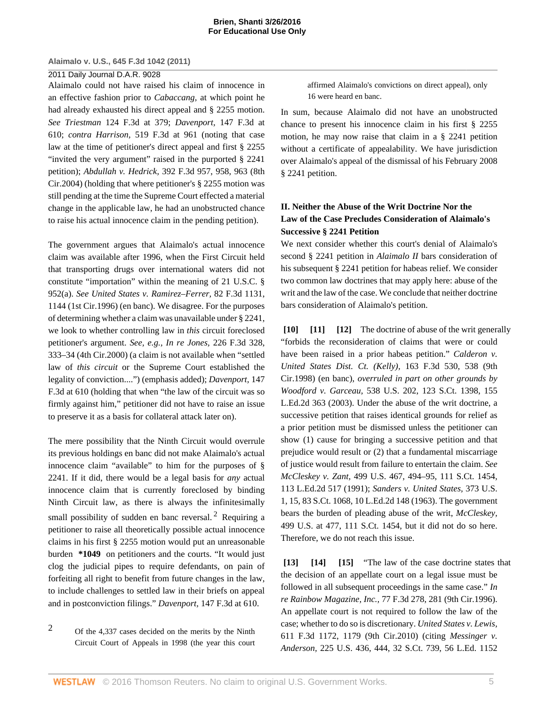### 2011 Daily Journal D.A.R. 9028

Alaimalo could not have raised his claim of innocence in an effective fashion prior to *[Cabaccang,](http://www.westlaw.com/Link/Document/FullText?findType=Y&serNum=2003401323&originatingDoc=I5835fa969cae11e0a8a2938374af9660&refType=RP&originationContext=document&vr=3.0&rs=cblt1.0&transitionType=DocumentItem&contextData=(sc.Keycite))* at which point he had already exhausted his direct appeal and [§ 2255](http://www.westlaw.com/Link/Document/FullText?findType=L&pubNum=1000546&cite=28USCAS2255&originatingDoc=I5835fa969cae11e0a8a2938374af9660&refType=LQ&originationContext=document&vr=3.0&rs=cblt1.0&transitionType=DocumentItem&contextData=(sc.Keycite)) motion. *See Triestman* [124 F.3d at 379;](http://www.westlaw.com/Link/Document/FullText?findType=Y&serNum=1997179383&pubNum=506&originatingDoc=I5835fa969cae11e0a8a2938374af9660&refType=RP&fi=co_pp_sp_506_379&originationContext=document&vr=3.0&rs=cblt1.0&transitionType=DocumentItem&contextData=(sc.Keycite)#co_pp_sp_506_379) *Davenport,* [147 F.3d at](http://www.westlaw.com/Link/Document/FullText?findType=Y&serNum=1998128480&pubNum=506&originatingDoc=I5835fa969cae11e0a8a2938374af9660&refType=RP&fi=co_pp_sp_506_610&originationContext=document&vr=3.0&rs=cblt1.0&transitionType=DocumentItem&contextData=(sc.Keycite)#co_pp_sp_506_610) [610;](http://www.westlaw.com/Link/Document/FullText?findType=Y&serNum=1998128480&pubNum=506&originatingDoc=I5835fa969cae11e0a8a2938374af9660&refType=RP&fi=co_pp_sp_506_610&originationContext=document&vr=3.0&rs=cblt1.0&transitionType=DocumentItem&contextData=(sc.Keycite)#co_pp_sp_506_610) *contra Harrison,* [519 F.3d at 961](http://www.westlaw.com/Link/Document/FullText?findType=Y&serNum=2015526100&pubNum=506&originatingDoc=I5835fa969cae11e0a8a2938374af9660&refType=RP&fi=co_pp_sp_506_961&originationContext=document&vr=3.0&rs=cblt1.0&transitionType=DocumentItem&contextData=(sc.Keycite)#co_pp_sp_506_961) (noting that case law at the time of petitioner's direct appeal and first [§ 2255](http://www.westlaw.com/Link/Document/FullText?findType=L&pubNum=1000546&cite=28USCAS2255&originatingDoc=I5835fa969cae11e0a8a2938374af9660&refType=LQ&originationContext=document&vr=3.0&rs=cblt1.0&transitionType=DocumentItem&contextData=(sc.Keycite)) "invited the very argument" raised in the purported [§ 2241](http://www.westlaw.com/Link/Document/FullText?findType=L&pubNum=1000546&cite=28USCAS2241&originatingDoc=I5835fa969cae11e0a8a2938374af9660&refType=LQ&originationContext=document&vr=3.0&rs=cblt1.0&transitionType=DocumentItem&contextData=(sc.Keycite)) petition); *Abdullah v. Hedrick,* [392 F.3d 957, 958, 963 \(8th](http://www.westlaw.com/Link/Document/FullText?findType=Y&serNum=2005788035&pubNum=506&originatingDoc=I5835fa969cae11e0a8a2938374af9660&refType=RP&fi=co_pp_sp_506_958&originationContext=document&vr=3.0&rs=cblt1.0&transitionType=DocumentItem&contextData=(sc.Keycite)#co_pp_sp_506_958) [Cir.2004\)](http://www.westlaw.com/Link/Document/FullText?findType=Y&serNum=2005788035&pubNum=506&originatingDoc=I5835fa969cae11e0a8a2938374af9660&refType=RP&fi=co_pp_sp_506_958&originationContext=document&vr=3.0&rs=cblt1.0&transitionType=DocumentItem&contextData=(sc.Keycite)#co_pp_sp_506_958) (holding that where petitioner's [§ 2255](http://www.westlaw.com/Link/Document/FullText?findType=L&pubNum=1000546&cite=28USCAS2255&originatingDoc=I5835fa969cae11e0a8a2938374af9660&refType=LQ&originationContext=document&vr=3.0&rs=cblt1.0&transitionType=DocumentItem&contextData=(sc.Keycite)) motion was still pending at the time the Supreme Court effected a material change in the applicable law, he had an unobstructed chance to raise his actual innocence claim in the pending petition).

The government argues that Alaimalo's actual innocence claim was available after 1996, when the First Circuit held that transporting drugs over international waters did not constitute "importation" within the meaning of [21 U.S.C. §](http://www.westlaw.com/Link/Document/FullText?findType=L&pubNum=1000546&cite=21USCAS952&originatingDoc=I5835fa969cae11e0a8a2938374af9660&refType=RB&originationContext=document&vr=3.0&rs=cblt1.0&transitionType=DocumentItem&contextData=(sc.Keycite)#co_pp_8b3b0000958a4) [952\(a\)](http://www.westlaw.com/Link/Document/FullText?findType=L&pubNum=1000546&cite=21USCAS952&originatingDoc=I5835fa969cae11e0a8a2938374af9660&refType=RB&originationContext=document&vr=3.0&rs=cblt1.0&transitionType=DocumentItem&contextData=(sc.Keycite)#co_pp_8b3b0000958a4). *See [United States v. Ramirez–Ferrer,](http://www.westlaw.com/Link/Document/FullText?findType=Y&serNum=1996075779&pubNum=506&originatingDoc=I5835fa969cae11e0a8a2938374af9660&refType=RP&fi=co_pp_sp_506_1144&originationContext=document&vr=3.0&rs=cblt1.0&transitionType=DocumentItem&contextData=(sc.Keycite)#co_pp_sp_506_1144)* 82 F.3d 1131, [1144 \(1st Cir.1996\)](http://www.westlaw.com/Link/Document/FullText?findType=Y&serNum=1996075779&pubNum=506&originatingDoc=I5835fa969cae11e0a8a2938374af9660&refType=RP&fi=co_pp_sp_506_1144&originationContext=document&vr=3.0&rs=cblt1.0&transitionType=DocumentItem&contextData=(sc.Keycite)#co_pp_sp_506_1144) (en banc). We disagree. For the purposes of determining whether a claim was unavailable under [§ 2241,](http://www.westlaw.com/Link/Document/FullText?findType=L&pubNum=1000546&cite=28USCAS2241&originatingDoc=I5835fa969cae11e0a8a2938374af9660&refType=LQ&originationContext=document&vr=3.0&rs=cblt1.0&transitionType=DocumentItem&contextData=(sc.Keycite)) we look to whether controlling law in *this* circuit foreclosed petitioner's argument. *See, e.g., In re Jones,* [226 F.3d 328,](http://www.westlaw.com/Link/Document/FullText?findType=Y&serNum=2000447499&pubNum=506&originatingDoc=I5835fa969cae11e0a8a2938374af9660&refType=RP&fi=co_pp_sp_506_333&originationContext=document&vr=3.0&rs=cblt1.0&transitionType=DocumentItem&contextData=(sc.Keycite)#co_pp_sp_506_333) [333–34 \(4th Cir.2000\)](http://www.westlaw.com/Link/Document/FullText?findType=Y&serNum=2000447499&pubNum=506&originatingDoc=I5835fa969cae11e0a8a2938374af9660&refType=RP&fi=co_pp_sp_506_333&originationContext=document&vr=3.0&rs=cblt1.0&transitionType=DocumentItem&contextData=(sc.Keycite)#co_pp_sp_506_333) (a claim is not available when "settled law of *this circuit* or the Supreme Court established the legality of conviction....") (emphasis added); *[Davenport,](http://www.westlaw.com/Link/Document/FullText?findType=Y&serNum=1998128480&pubNum=506&originatingDoc=I5835fa969cae11e0a8a2938374af9660&refType=RP&fi=co_pp_sp_506_610&originationContext=document&vr=3.0&rs=cblt1.0&transitionType=DocumentItem&contextData=(sc.Keycite)#co_pp_sp_506_610)* 147 [F.3d at 610](http://www.westlaw.com/Link/Document/FullText?findType=Y&serNum=1998128480&pubNum=506&originatingDoc=I5835fa969cae11e0a8a2938374af9660&refType=RP&fi=co_pp_sp_506_610&originationContext=document&vr=3.0&rs=cblt1.0&transitionType=DocumentItem&contextData=(sc.Keycite)#co_pp_sp_506_610) (holding that when "the law of the circuit was so firmly against him," petitioner did not have to raise an issue to preserve it as a basis for collateral attack later on).

The mere possibility that the Ninth Circuit would overrule its previous holdings en banc did not make Alaimalo's actual innocence claim "available" to him for the purposes of [§](http://www.westlaw.com/Link/Document/FullText?findType=L&pubNum=1000546&cite=28USCAS2241&originatingDoc=I5835fa969cae11e0a8a2938374af9660&refType=LQ&originationContext=document&vr=3.0&rs=cblt1.0&transitionType=DocumentItem&contextData=(sc.Keycite)) [2241](http://www.westlaw.com/Link/Document/FullText?findType=L&pubNum=1000546&cite=28USCAS2241&originatingDoc=I5835fa969cae11e0a8a2938374af9660&refType=LQ&originationContext=document&vr=3.0&rs=cblt1.0&transitionType=DocumentItem&contextData=(sc.Keycite)). If it did, there would be a legal basis for *any* actual innocence claim that is currently foreclosed by binding Ninth Circuit law, as there is always the infinitesimally small possibility of sudden en banc reversal.<sup>[2](#page-4-0)</sup> Requiring a petitioner to raise all theoretically possible actual innocence claims in his first [§ 2255](http://www.westlaw.com/Link/Document/FullText?findType=L&pubNum=1000546&cite=28USCAS2255&originatingDoc=I5835fa969cae11e0a8a2938374af9660&refType=LQ&originationContext=document&vr=3.0&rs=cblt1.0&transitionType=DocumentItem&contextData=(sc.Keycite)) motion would put an unreasonable burden **\*1049** on petitioners and the courts. "It would just clog the judicial pipes to require defendants, on pain of forfeiting all right to benefit from future changes in the law, to include challenges to settled law in their briefs on appeal and in postconviction filings." *Davenport,* [147 F.3d at 610](http://www.westlaw.com/Link/Document/FullText?findType=Y&serNum=1998128480&pubNum=506&originatingDoc=I5835fa969cae11e0a8a2938374af9660&refType=RP&fi=co_pp_sp_506_610&originationContext=document&vr=3.0&rs=cblt1.0&transitionType=DocumentItem&contextData=(sc.Keycite)#co_pp_sp_506_610).

<span id="page-4-0"></span>[2](#page-4-1) Of the 4,337 cases decided on the merits by the Ninth Circuit Court of Appeals in 1998 (the year this court affirmed Alaimalo's convictions on direct appeal), only 16 were heard en banc.

In sum, because Alaimalo did not have an unobstructed chance to present his innocence claim in his first [§ 2255](http://www.westlaw.com/Link/Document/FullText?findType=L&pubNum=1000546&cite=28USCAS2255&originatingDoc=I5835fa969cae11e0a8a2938374af9660&refType=LQ&originationContext=document&vr=3.0&rs=cblt1.0&transitionType=DocumentItem&contextData=(sc.Keycite)) motion, he may now raise that claim in a [§ 2241](http://www.westlaw.com/Link/Document/FullText?findType=L&pubNum=1000546&cite=28USCAS2241&originatingDoc=I5835fa969cae11e0a8a2938374af9660&refType=LQ&originationContext=document&vr=3.0&rs=cblt1.0&transitionType=DocumentItem&contextData=(sc.Keycite)) petition without a certificate of appealability. We have jurisdiction over Alaimalo's appeal of the dismissal of his February 2008 [§ 2241](http://www.westlaw.com/Link/Document/FullText?findType=L&pubNum=1000546&cite=28USCAS2241&originatingDoc=I5835fa969cae11e0a8a2938374af9660&refType=LQ&originationContext=document&vr=3.0&rs=cblt1.0&transitionType=DocumentItem&contextData=(sc.Keycite)) petition.

# **II. Neither the Abuse of the Writ Doctrine Nor the Law of the Case Precludes Consideration of Alaimalo's Successive [§ 2241](http://www.westlaw.com/Link/Document/FullText?findType=L&pubNum=1000546&cite=28USCAS2241&originatingDoc=I5835fa969cae11e0a8a2938374af9660&refType=LQ&originationContext=document&vr=3.0&rs=cblt1.0&transitionType=DocumentItem&contextData=(sc.Keycite)) Petition**

We next consider whether this court's denial of Alaimalo's second [§ 2241](http://www.westlaw.com/Link/Document/FullText?findType=L&pubNum=1000546&cite=28USCAS2241&originatingDoc=I5835fa969cae11e0a8a2938374af9660&refType=LQ&originationContext=document&vr=3.0&rs=cblt1.0&transitionType=DocumentItem&contextData=(sc.Keycite)) petition in *Alaimalo II* bars consideration of his subsequent [§ 2241](http://www.westlaw.com/Link/Document/FullText?findType=L&pubNum=1000546&cite=28USCAS2241&originatingDoc=I5835fa969cae11e0a8a2938374af9660&refType=LQ&originationContext=document&vr=3.0&rs=cblt1.0&transitionType=DocumentItem&contextData=(sc.Keycite)) petition for habeas relief. We consider two common law doctrines that may apply here: abuse of the writ and the law of the case. We conclude that neither doctrine bars consideration of Alaimalo's petition.

**[10] [11] [12]** The doctrine of abuse of the writ generally "forbids the reconsideration of claims that were or could have been raised in a prior habeas petition." *[Calderon v.](http://www.westlaw.com/Link/Document/FullText?findType=Y&serNum=1998246898&pubNum=506&originatingDoc=I5835fa969cae11e0a8a2938374af9660&refType=RP&fi=co_pp_sp_506_538&originationContext=document&vr=3.0&rs=cblt1.0&transitionType=DocumentItem&contextData=(sc.Keycite)#co_pp_sp_506_538) [United States Dist. Ct. \(Kelly\),](http://www.westlaw.com/Link/Document/FullText?findType=Y&serNum=1998246898&pubNum=506&originatingDoc=I5835fa969cae11e0a8a2938374af9660&refType=RP&fi=co_pp_sp_506_538&originationContext=document&vr=3.0&rs=cblt1.0&transitionType=DocumentItem&contextData=(sc.Keycite)#co_pp_sp_506_538)* 163 F.3d 530, 538 (9th [Cir.1998\)](http://www.westlaw.com/Link/Document/FullText?findType=Y&serNum=1998246898&pubNum=506&originatingDoc=I5835fa969cae11e0a8a2938374af9660&refType=RP&fi=co_pp_sp_506_538&originationContext=document&vr=3.0&rs=cblt1.0&transitionType=DocumentItem&contextData=(sc.Keycite)#co_pp_sp_506_538) (en banc), *overruled in part on other grounds by Woodford v. Garceau,* [538 U.S. 202, 123 S.Ct. 1398, 155](http://www.westlaw.com/Link/Document/FullText?findType=Y&serNum=2003236137&pubNum=708&originatingDoc=I5835fa969cae11e0a8a2938374af9660&refType=RP&originationContext=document&vr=3.0&rs=cblt1.0&transitionType=DocumentItem&contextData=(sc.Keycite)) [L.Ed.2d 363 \(2003\).](http://www.westlaw.com/Link/Document/FullText?findType=Y&serNum=2003236137&pubNum=708&originatingDoc=I5835fa969cae11e0a8a2938374af9660&refType=RP&originationContext=document&vr=3.0&rs=cblt1.0&transitionType=DocumentItem&contextData=(sc.Keycite)) Under the abuse of the writ doctrine, a successive petition that raises identical grounds for relief as a prior petition must be dismissed unless the petitioner can show (1) cause for bringing a successive petition and that prejudice would result or (2) that a fundamental miscarriage of justice would result from failure to entertain the claim. *See McCleskey v. Zant,* [499 U.S. 467, 494–95, 111 S.Ct. 1454,](http://www.westlaw.com/Link/Document/FullText?findType=Y&serNum=1991074185&pubNum=708&originatingDoc=I5835fa969cae11e0a8a2938374af9660&refType=RP&originationContext=document&vr=3.0&rs=cblt1.0&transitionType=DocumentItem&contextData=(sc.Keycite)) [113 L.Ed.2d 517 \(1991\)](http://www.westlaw.com/Link/Document/FullText?findType=Y&serNum=1991074185&pubNum=708&originatingDoc=I5835fa969cae11e0a8a2938374af9660&refType=RP&originationContext=document&vr=3.0&rs=cblt1.0&transitionType=DocumentItem&contextData=(sc.Keycite)); *[Sanders v. United States,](http://www.westlaw.com/Link/Document/FullText?findType=Y&serNum=1963125341&pubNum=708&originatingDoc=I5835fa969cae11e0a8a2938374af9660&refType=RP&originationContext=document&vr=3.0&rs=cblt1.0&transitionType=DocumentItem&contextData=(sc.Keycite))* 373 U.S. [1, 15, 83 S.Ct. 1068, 10 L.Ed.2d 148 \(1963\)](http://www.westlaw.com/Link/Document/FullText?findType=Y&serNum=1963125341&pubNum=708&originatingDoc=I5835fa969cae11e0a8a2938374af9660&refType=RP&originationContext=document&vr=3.0&rs=cblt1.0&transitionType=DocumentItem&contextData=(sc.Keycite)). The government bears the burden of pleading abuse of the writ, *[McCleskey,](http://www.westlaw.com/Link/Document/FullText?findType=Y&serNum=1991074185&pubNum=708&originatingDoc=I5835fa969cae11e0a8a2938374af9660&refType=RP&originationContext=document&vr=3.0&rs=cblt1.0&transitionType=DocumentItem&contextData=(sc.Keycite))* [499 U.S. at 477, 111 S.Ct. 1454,](http://www.westlaw.com/Link/Document/FullText?findType=Y&serNum=1991074185&pubNum=708&originatingDoc=I5835fa969cae11e0a8a2938374af9660&refType=RP&originationContext=document&vr=3.0&rs=cblt1.0&transitionType=DocumentItem&contextData=(sc.Keycite)) but it did not do so here. Therefore, we do not reach this issue.

<span id="page-4-1"></span>**[13] [14] [15]** "The law of the case doctrine states that the decision of an appellate court on a legal issue must be followed in all subsequent proceedings in the same case." *[In](http://www.westlaw.com/Link/Document/FullText?findType=Y&serNum=1996054014&pubNum=506&originatingDoc=I5835fa969cae11e0a8a2938374af9660&refType=RP&fi=co_pp_sp_506_281&originationContext=document&vr=3.0&rs=cblt1.0&transitionType=DocumentItem&contextData=(sc.Keycite)#co_pp_sp_506_281) re Rainbow Magazine, Inc.,* [77 F.3d 278, 281 \(9th Cir.1996\).](http://www.westlaw.com/Link/Document/FullText?findType=Y&serNum=1996054014&pubNum=506&originatingDoc=I5835fa969cae11e0a8a2938374af9660&refType=RP&fi=co_pp_sp_506_281&originationContext=document&vr=3.0&rs=cblt1.0&transitionType=DocumentItem&contextData=(sc.Keycite)#co_pp_sp_506_281) An appellate court is not required to follow the law of the case; whether to do so is discretionary. *[United States v. Lewis,](http://www.westlaw.com/Link/Document/FullText?findType=Y&serNum=2022560613&pubNum=506&originatingDoc=I5835fa969cae11e0a8a2938374af9660&refType=RP&fi=co_pp_sp_506_1179&originationContext=document&vr=3.0&rs=cblt1.0&transitionType=DocumentItem&contextData=(sc.Keycite)#co_pp_sp_506_1179)* [611 F.3d 1172, 1179 \(9th Cir.2010\)](http://www.westlaw.com/Link/Document/FullText?findType=Y&serNum=2022560613&pubNum=506&originatingDoc=I5835fa969cae11e0a8a2938374af9660&refType=RP&fi=co_pp_sp_506_1179&originationContext=document&vr=3.0&rs=cblt1.0&transitionType=DocumentItem&contextData=(sc.Keycite)#co_pp_sp_506_1179) (citing *[Messinger v.](http://www.westlaw.com/Link/Document/FullText?findType=Y&serNum=1912100437&pubNum=708&originatingDoc=I5835fa969cae11e0a8a2938374af9660&refType=RP&originationContext=document&vr=3.0&rs=cblt1.0&transitionType=DocumentItem&contextData=(sc.Keycite)) Anderson,* [225 U.S. 436, 444, 32 S.Ct. 739, 56 L.Ed. 1152](http://www.westlaw.com/Link/Document/FullText?findType=Y&serNum=1912100437&pubNum=708&originatingDoc=I5835fa969cae11e0a8a2938374af9660&refType=RP&originationContext=document&vr=3.0&rs=cblt1.0&transitionType=DocumentItem&contextData=(sc.Keycite))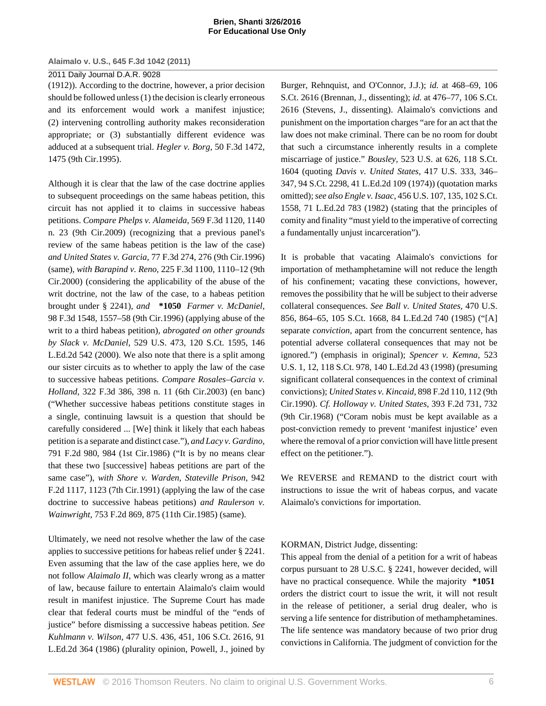# 2011 Daily Journal D.A.R. 9028

[\(1912\)\)](http://www.westlaw.com/Link/Document/FullText?findType=Y&serNum=1912100437&pubNum=708&originatingDoc=I5835fa969cae11e0a8a2938374af9660&refType=RP&originationContext=document&vr=3.0&rs=cblt1.0&transitionType=DocumentItem&contextData=(sc.Keycite)). According to the doctrine, however, a prior decision should be followed unless (1) the decision is clearly erroneous and its enforcement would work a manifest injustice; (2) intervening controlling authority makes reconsideration appropriate; or (3) substantially different evidence was adduced at a subsequent trial. *[Hegler v. Borg,](http://www.westlaw.com/Link/Document/FullText?findType=Y&serNum=1995073034&pubNum=506&originatingDoc=I5835fa969cae11e0a8a2938374af9660&refType=RP&fi=co_pp_sp_506_1475&originationContext=document&vr=3.0&rs=cblt1.0&transitionType=DocumentItem&contextData=(sc.Keycite)#co_pp_sp_506_1475)* 50 F.3d 1472, [1475 \(9th Cir.1995\).](http://www.westlaw.com/Link/Document/FullText?findType=Y&serNum=1995073034&pubNum=506&originatingDoc=I5835fa969cae11e0a8a2938374af9660&refType=RP&fi=co_pp_sp_506_1475&originationContext=document&vr=3.0&rs=cblt1.0&transitionType=DocumentItem&contextData=(sc.Keycite)#co_pp_sp_506_1475)

Although it is clear that the law of the case doctrine applies to subsequent proceedings on the same habeas petition, this circuit has not applied it to claims in successive habeas petitions. *Compare Phelps v. Alameida,* [569 F.3d 1120, 1140](http://www.westlaw.com/Link/Document/FullText?findType=Y&serNum=2019204403&pubNum=506&originatingDoc=I5835fa969cae11e0a8a2938374af9660&refType=RP&fi=co_pp_sp_506_1140&originationContext=document&vr=3.0&rs=cblt1.0&transitionType=DocumentItem&contextData=(sc.Keycite)#co_pp_sp_506_1140) [n. 23 \(9th Cir.2009\)](http://www.westlaw.com/Link/Document/FullText?findType=Y&serNum=2019204403&pubNum=506&originatingDoc=I5835fa969cae11e0a8a2938374af9660&refType=RP&fi=co_pp_sp_506_1140&originationContext=document&vr=3.0&rs=cblt1.0&transitionType=DocumentItem&contextData=(sc.Keycite)#co_pp_sp_506_1140) (recognizing that a previous panel's review of the same habeas petition is the law of the case) *and United States v. Garcia,* [77 F.3d 274, 276 \(9th Cir.1996\)](http://www.westlaw.com/Link/Document/FullText?findType=Y&serNum=1996047603&pubNum=506&originatingDoc=I5835fa969cae11e0a8a2938374af9660&refType=RP&fi=co_pp_sp_506_276&originationContext=document&vr=3.0&rs=cblt1.0&transitionType=DocumentItem&contextData=(sc.Keycite)#co_pp_sp_506_276) (same), *with Barapind v. Reno,* [225 F.3d 1100, 1110–12 \(9th](http://www.westlaw.com/Link/Document/FullText?findType=Y&serNum=2000489298&pubNum=506&originatingDoc=I5835fa969cae11e0a8a2938374af9660&refType=RP&fi=co_pp_sp_506_1110&originationContext=document&vr=3.0&rs=cblt1.0&transitionType=DocumentItem&contextData=(sc.Keycite)#co_pp_sp_506_1110) [Cir.2000\)](http://www.westlaw.com/Link/Document/FullText?findType=Y&serNum=2000489298&pubNum=506&originatingDoc=I5835fa969cae11e0a8a2938374af9660&refType=RP&fi=co_pp_sp_506_1110&originationContext=document&vr=3.0&rs=cblt1.0&transitionType=DocumentItem&contextData=(sc.Keycite)#co_pp_sp_506_1110) (considering the applicability of the abuse of the writ doctrine, not the law of the case, to a habeas petition brought under [§ 2241\)](http://www.westlaw.com/Link/Document/FullText?findType=L&pubNum=1000546&cite=28USCAS2241&originatingDoc=I5835fa969cae11e0a8a2938374af9660&refType=LQ&originationContext=document&vr=3.0&rs=cblt1.0&transitionType=DocumentItem&contextData=(sc.Keycite)), *and* **\*1050** *[Farmer v. McDaniel,](http://www.westlaw.com/Link/Document/FullText?findType=Y&serNum=1996241715&pubNum=506&originatingDoc=I5835fa969cae11e0a8a2938374af9660&refType=RP&fi=co_pp_sp_506_1557&originationContext=document&vr=3.0&rs=cblt1.0&transitionType=DocumentItem&contextData=(sc.Keycite)#co_pp_sp_506_1557)* [98 F.3d 1548, 1557–58 \(9th Cir.1996\)](http://www.westlaw.com/Link/Document/FullText?findType=Y&serNum=1996241715&pubNum=506&originatingDoc=I5835fa969cae11e0a8a2938374af9660&refType=RP&fi=co_pp_sp_506_1557&originationContext=document&vr=3.0&rs=cblt1.0&transitionType=DocumentItem&contextData=(sc.Keycite)#co_pp_sp_506_1557) (applying abuse of the writ to a third habeas petition), *abrogated on other grounds by Slack v. McDaniel,* [529 U.S. 473, 120 S.Ct. 1595, 146](http://www.westlaw.com/Link/Document/FullText?findType=Y&serNum=2000112482&pubNum=708&originatingDoc=I5835fa969cae11e0a8a2938374af9660&refType=RP&originationContext=document&vr=3.0&rs=cblt1.0&transitionType=DocumentItem&contextData=(sc.Keycite)) [L.Ed.2d 542 \(2000\)](http://www.westlaw.com/Link/Document/FullText?findType=Y&serNum=2000112482&pubNum=708&originatingDoc=I5835fa969cae11e0a8a2938374af9660&refType=RP&originationContext=document&vr=3.0&rs=cblt1.0&transitionType=DocumentItem&contextData=(sc.Keycite)). We also note that there is a split among our sister circuits as to whether to apply the law of the case to successive habeas petitions. *Compare [Rosales–Garcia v.](http://www.westlaw.com/Link/Document/FullText?findType=Y&serNum=2003197538&pubNum=506&originatingDoc=I5835fa969cae11e0a8a2938374af9660&refType=RP&fi=co_pp_sp_506_398&originationContext=document&vr=3.0&rs=cblt1.0&transitionType=DocumentItem&contextData=(sc.Keycite)#co_pp_sp_506_398) Holland,* [322 F.3d 386, 398 n. 11 \(6th Cir.2003\)](http://www.westlaw.com/Link/Document/FullText?findType=Y&serNum=2003197538&pubNum=506&originatingDoc=I5835fa969cae11e0a8a2938374af9660&refType=RP&fi=co_pp_sp_506_398&originationContext=document&vr=3.0&rs=cblt1.0&transitionType=DocumentItem&contextData=(sc.Keycite)#co_pp_sp_506_398) (en banc) ("Whether successive habeas petitions constitute stages in a single, continuing lawsuit is a question that should be carefully considered ... [We] think it likely that each habeas petition is a separate and distinct case."), *and [Lacy v. Gardino,](http://www.westlaw.com/Link/Document/FullText?findType=Y&serNum=1986127212&pubNum=350&originatingDoc=I5835fa969cae11e0a8a2938374af9660&refType=RP&fi=co_pp_sp_350_984&originationContext=document&vr=3.0&rs=cblt1.0&transitionType=DocumentItem&contextData=(sc.Keycite)#co_pp_sp_350_984)* [791 F.2d 980, 984 \(1st Cir.1986\)](http://www.westlaw.com/Link/Document/FullText?findType=Y&serNum=1986127212&pubNum=350&originatingDoc=I5835fa969cae11e0a8a2938374af9660&refType=RP&fi=co_pp_sp_350_984&originationContext=document&vr=3.0&rs=cblt1.0&transitionType=DocumentItem&contextData=(sc.Keycite)#co_pp_sp_350_984) ("It is by no means clear that these two [successive] habeas petitions are part of the same case"), *with [Shore v. Warden, Stateville Prison,](http://www.westlaw.com/Link/Document/FullText?findType=Y&serNum=1991148145&pubNum=350&originatingDoc=I5835fa969cae11e0a8a2938374af9660&refType=RP&fi=co_pp_sp_350_1123&originationContext=document&vr=3.0&rs=cblt1.0&transitionType=DocumentItem&contextData=(sc.Keycite)#co_pp_sp_350_1123)* 942 [F.2d 1117, 1123 \(7th Cir.1991\)](http://www.westlaw.com/Link/Document/FullText?findType=Y&serNum=1991148145&pubNum=350&originatingDoc=I5835fa969cae11e0a8a2938374af9660&refType=RP&fi=co_pp_sp_350_1123&originationContext=document&vr=3.0&rs=cblt1.0&transitionType=DocumentItem&contextData=(sc.Keycite)#co_pp_sp_350_1123) (applying the law of the case doctrine to successive habeas petitions) *and [Raulerson v.](http://www.westlaw.com/Link/Document/FullText?findType=Y&serNum=1985105396&pubNum=350&originatingDoc=I5835fa969cae11e0a8a2938374af9660&refType=RP&fi=co_pp_sp_350_875&originationContext=document&vr=3.0&rs=cblt1.0&transitionType=DocumentItem&contextData=(sc.Keycite)#co_pp_sp_350_875) Wainwright,* [753 F.2d 869, 875 \(11th Cir.1985\)](http://www.westlaw.com/Link/Document/FullText?findType=Y&serNum=1985105396&pubNum=350&originatingDoc=I5835fa969cae11e0a8a2938374af9660&refType=RP&fi=co_pp_sp_350_875&originationContext=document&vr=3.0&rs=cblt1.0&transitionType=DocumentItem&contextData=(sc.Keycite)#co_pp_sp_350_875) (same).

Ultimately, we need not resolve whether the law of the case applies to successive petitions for habeas relief under [§ 2241.](http://www.westlaw.com/Link/Document/FullText?findType=L&pubNum=1000546&cite=28USCAS2241&originatingDoc=I5835fa969cae11e0a8a2938374af9660&refType=LQ&originationContext=document&vr=3.0&rs=cblt1.0&transitionType=DocumentItem&contextData=(sc.Keycite)) Even assuming that the law of the case applies here, we do not follow *Alaimalo II,* which was clearly wrong as a matter of law, because failure to entertain Alaimalo's claim would result in manifest injustice. The Supreme Court has made clear that federal courts must be mindful of the "ends of justice" before dismissing a successive habeas petition. *See Kuhlmann v. Wilson,* [477 U.S. 436, 451, 106 S.Ct. 2616, 91](http://www.westlaw.com/Link/Document/FullText?findType=Y&serNum=1986132788&pubNum=708&originatingDoc=I5835fa969cae11e0a8a2938374af9660&refType=RP&originationContext=document&vr=3.0&rs=cblt1.0&transitionType=DocumentItem&contextData=(sc.Keycite)) [L.Ed.2d 364 \(1986\)](http://www.westlaw.com/Link/Document/FullText?findType=Y&serNum=1986132788&pubNum=708&originatingDoc=I5835fa969cae11e0a8a2938374af9660&refType=RP&originationContext=document&vr=3.0&rs=cblt1.0&transitionType=DocumentItem&contextData=(sc.Keycite)) (plurality opinion, Powell, J., joined by

Burger, Rehnquist, and O'Connor, J.J.); *id.* [at 468–69, 106](http://www.westlaw.com/Link/Document/FullText?findType=Y&serNum=1986132788&pubNum=708&originatingDoc=I5835fa969cae11e0a8a2938374af9660&refType=RP&originationContext=document&vr=3.0&rs=cblt1.0&transitionType=DocumentItem&contextData=(sc.Keycite)) [S.Ct. 2616](http://www.westlaw.com/Link/Document/FullText?findType=Y&serNum=1986132788&pubNum=708&originatingDoc=I5835fa969cae11e0a8a2938374af9660&refType=RP&originationContext=document&vr=3.0&rs=cblt1.0&transitionType=DocumentItem&contextData=(sc.Keycite)) (Brennan, J., dissenting); *id.* [at 476–77, 106 S.Ct.](http://www.westlaw.com/Link/Document/FullText?findType=Y&serNum=1986132788&pubNum=708&originatingDoc=I5835fa969cae11e0a8a2938374af9660&refType=RP&originationContext=document&vr=3.0&rs=cblt1.0&transitionType=DocumentItem&contextData=(sc.Keycite)) [2616](http://www.westlaw.com/Link/Document/FullText?findType=Y&serNum=1986132788&pubNum=708&originatingDoc=I5835fa969cae11e0a8a2938374af9660&refType=RP&originationContext=document&vr=3.0&rs=cblt1.0&transitionType=DocumentItem&contextData=(sc.Keycite)) (Stevens, J., dissenting). Alaimalo's convictions and punishment on the importation charges "are for an act that the law does not make criminal. There can be no room for doubt that such a circumstance inherently results in a complete miscarriage of justice." *Bousley,* [523 U.S. at 626, 118 S.Ct.](http://www.westlaw.com/Link/Document/FullText?findType=Y&serNum=1998108681&pubNum=708&originatingDoc=I5835fa969cae11e0a8a2938374af9660&refType=RP&originationContext=document&vr=3.0&rs=cblt1.0&transitionType=DocumentItem&contextData=(sc.Keycite)) [1604](http://www.westlaw.com/Link/Document/FullText?findType=Y&serNum=1998108681&pubNum=708&originatingDoc=I5835fa969cae11e0a8a2938374af9660&refType=RP&originationContext=document&vr=3.0&rs=cblt1.0&transitionType=DocumentItem&contextData=(sc.Keycite)) (quoting *[Davis v. United States,](http://www.westlaw.com/Link/Document/FullText?findType=Y&serNum=1974127209&pubNum=708&originatingDoc=I5835fa969cae11e0a8a2938374af9660&refType=RP&originationContext=document&vr=3.0&rs=cblt1.0&transitionType=DocumentItem&contextData=(sc.Keycite))* 417 U.S. 333, 346– [347, 94 S.Ct. 2298, 41 L.Ed.2d 109 \(1974\)\)](http://www.westlaw.com/Link/Document/FullText?findType=Y&serNum=1974127209&pubNum=708&originatingDoc=I5835fa969cae11e0a8a2938374af9660&refType=RP&originationContext=document&vr=3.0&rs=cblt1.0&transitionType=DocumentItem&contextData=(sc.Keycite)) (quotation marks omitted); *see also Engle v. Isaac,* [456 U.S. 107, 135, 102 S.Ct.](http://www.westlaw.com/Link/Document/FullText?findType=Y&serNum=1982115446&pubNum=708&originatingDoc=I5835fa969cae11e0a8a2938374af9660&refType=RP&originationContext=document&vr=3.0&rs=cblt1.0&transitionType=DocumentItem&contextData=(sc.Keycite)) [1558, 71 L.Ed.2d 783 \(1982\)](http://www.westlaw.com/Link/Document/FullText?findType=Y&serNum=1982115446&pubNum=708&originatingDoc=I5835fa969cae11e0a8a2938374af9660&refType=RP&originationContext=document&vr=3.0&rs=cblt1.0&transitionType=DocumentItem&contextData=(sc.Keycite)) (stating that the principles of comity and finality "must yield to the imperative of correcting a fundamentally unjust incarceration").

It is probable that vacating Alaimalo's convictions for importation of methamphetamine will not reduce the length of his confinement; vacating these convictions, however, removes the possibility that he will be subject to their adverse collateral consequences. *See [Ball v. United States,](http://www.westlaw.com/Link/Document/FullText?findType=Y&serNum=1985115399&pubNum=708&originatingDoc=I5835fa969cae11e0a8a2938374af9660&refType=RP&originationContext=document&vr=3.0&rs=cblt1.0&transitionType=DocumentItem&contextData=(sc.Keycite))* 470 U.S. [856, 864–65, 105 S.Ct. 1668, 84 L.Ed.2d 740 \(1985\)](http://www.westlaw.com/Link/Document/FullText?findType=Y&serNum=1985115399&pubNum=708&originatingDoc=I5835fa969cae11e0a8a2938374af9660&refType=RP&originationContext=document&vr=3.0&rs=cblt1.0&transitionType=DocumentItem&contextData=(sc.Keycite)) ("[A] separate *conviction,* apart from the concurrent sentence, has potential adverse collateral consequences that may not be ignored.") (emphasis in original); *[Spencer v. Kemna,](http://www.westlaw.com/Link/Document/FullText?findType=Y&serNum=1998061324&pubNum=708&originatingDoc=I5835fa969cae11e0a8a2938374af9660&refType=RP&originationContext=document&vr=3.0&rs=cblt1.0&transitionType=DocumentItem&contextData=(sc.Keycite))* 523 [U.S. 1, 12, 118 S.Ct. 978, 140 L.Ed.2d 43 \(1998\)](http://www.westlaw.com/Link/Document/FullText?findType=Y&serNum=1998061324&pubNum=708&originatingDoc=I5835fa969cae11e0a8a2938374af9660&refType=RP&originationContext=document&vr=3.0&rs=cblt1.0&transitionType=DocumentItem&contextData=(sc.Keycite)) (presuming significant collateral consequences in the context of criminal convictions); *[United States v. Kincaid,](http://www.westlaw.com/Link/Document/FullText?findType=Y&serNum=1990050739&pubNum=350&originatingDoc=I5835fa969cae11e0a8a2938374af9660&refType=RP&fi=co_pp_sp_350_112&originationContext=document&vr=3.0&rs=cblt1.0&transitionType=DocumentItem&contextData=(sc.Keycite)#co_pp_sp_350_112)* 898 F.2d 110, 112 (9th [Cir.1990\).](http://www.westlaw.com/Link/Document/FullText?findType=Y&serNum=1990050739&pubNum=350&originatingDoc=I5835fa969cae11e0a8a2938374af9660&refType=RP&fi=co_pp_sp_350_112&originationContext=document&vr=3.0&rs=cblt1.0&transitionType=DocumentItem&contextData=(sc.Keycite)#co_pp_sp_350_112) *Cf. [Holloway v. United States,](http://www.westlaw.com/Link/Document/FullText?findType=Y&serNum=1968117357&pubNum=350&originatingDoc=I5835fa969cae11e0a8a2938374af9660&refType=RP&fi=co_pp_sp_350_732&originationContext=document&vr=3.0&rs=cblt1.0&transitionType=DocumentItem&contextData=(sc.Keycite)#co_pp_sp_350_732)* 393 F.2d 731, 732 [\(9th Cir.1968\)](http://www.westlaw.com/Link/Document/FullText?findType=Y&serNum=1968117357&pubNum=350&originatingDoc=I5835fa969cae11e0a8a2938374af9660&refType=RP&fi=co_pp_sp_350_732&originationContext=document&vr=3.0&rs=cblt1.0&transitionType=DocumentItem&contextData=(sc.Keycite)#co_pp_sp_350_732) ("Coram nobis must be kept available as a post-conviction remedy to prevent 'manifest injustice' even where the removal of a prior conviction will have little present effect on the petitioner.").

We REVERSE and REMAND to the district court with instructions to issue the writ of habeas corpus, and vacate Alaimalo's convictions for importation.

# KORMAN, District Judge, dissenting:

This appeal from the denial of a petition for a writ of habeas corpus pursuant to [28 U.S.C. § 2241](http://www.westlaw.com/Link/Document/FullText?findType=L&pubNum=1000546&cite=28USCAS2241&originatingDoc=I5835fa969cae11e0a8a2938374af9660&refType=LQ&originationContext=document&vr=3.0&rs=cblt1.0&transitionType=DocumentItem&contextData=(sc.Keycite)), however decided, will have no practical consequence. While the majority **\*1051** orders the district court to issue the writ, it will not result in the release of petitioner, a serial drug dealer, who is serving a life sentence for distribution of methamphetamines. The life sentence was mandatory because of two prior drug convictions in California. The judgment of conviction for the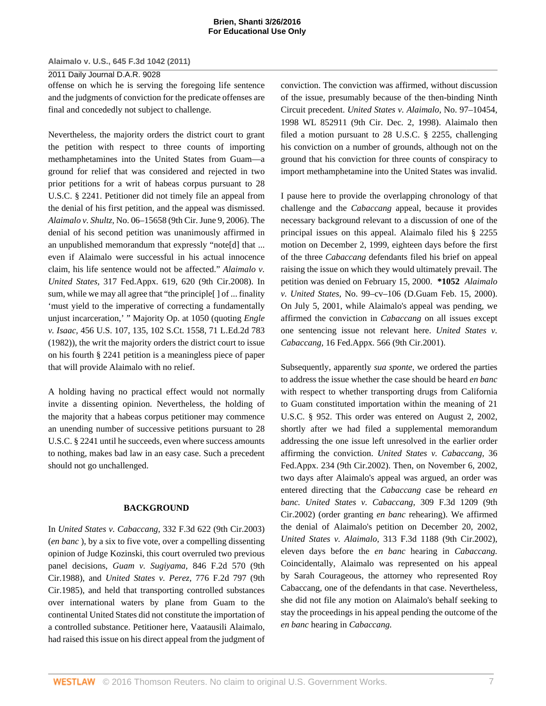#### 2011 Daily Journal D.A.R. 9028

offense on which he is serving the foregoing life sentence and the judgments of conviction for the predicate offenses are final and concededly not subject to challenge.

Nevertheless, the majority orders the district court to grant the petition with respect to three counts of importing methamphetamines into the United States from Guam—a ground for relief that was considered and rejected in two prior petitions for a writ of habeas corpus pursuant to [28](http://www.westlaw.com/Link/Document/FullText?findType=L&pubNum=1000546&cite=28USCAS2241&originatingDoc=I5835fa969cae11e0a8a2938374af9660&refType=LQ&originationContext=document&vr=3.0&rs=cblt1.0&transitionType=DocumentItem&contextData=(sc.Keycite)) [U.S.C. § 2241.](http://www.westlaw.com/Link/Document/FullText?findType=L&pubNum=1000546&cite=28USCAS2241&originatingDoc=I5835fa969cae11e0a8a2938374af9660&refType=LQ&originationContext=document&vr=3.0&rs=cblt1.0&transitionType=DocumentItem&contextData=(sc.Keycite)) Petitioner did not timely file an appeal from the denial of his first petition, and the appeal was dismissed. *Alaimalo v. Shultz,* No. 06–15658 (9th Cir. June 9, 2006). The denial of his second petition was unanimously affirmed in an unpublished memorandum that expressly "note[d] that ... even if Alaimalo were successful in his actual innocence claim, his life sentence would not be affected." *[Alaimalo v.](http://www.westlaw.com/Link/Document/FullText?findType=Y&serNum=2017121712&pubNum=6538&originatingDoc=I5835fa969cae11e0a8a2938374af9660&refType=RP&fi=co_pp_sp_6538_620&originationContext=document&vr=3.0&rs=cblt1.0&transitionType=DocumentItem&contextData=(sc.Keycite)#co_pp_sp_6538_620) United States,* [317 Fed.Appx. 619, 620 \(9th Cir.2008\).](http://www.westlaw.com/Link/Document/FullText?findType=Y&serNum=2017121712&pubNum=6538&originatingDoc=I5835fa969cae11e0a8a2938374af9660&refType=RP&fi=co_pp_sp_6538_620&originationContext=document&vr=3.0&rs=cblt1.0&transitionType=DocumentItem&contextData=(sc.Keycite)#co_pp_sp_6538_620) In sum, while we may all agree that "the principle[ ] of ... finality 'must yield to the imperative of correcting a fundamentally unjust incarceration,' " Majority Op. at 1050 (quoting *[Engle](http://www.westlaw.com/Link/Document/FullText?findType=Y&serNum=1982115446&pubNum=708&originatingDoc=I5835fa969cae11e0a8a2938374af9660&refType=RP&originationContext=document&vr=3.0&rs=cblt1.0&transitionType=DocumentItem&contextData=(sc.Keycite)) v. Isaac,* [456 U.S. 107, 135, 102 S.Ct. 1558, 71 L.Ed.2d 783](http://www.westlaw.com/Link/Document/FullText?findType=Y&serNum=1982115446&pubNum=708&originatingDoc=I5835fa969cae11e0a8a2938374af9660&refType=RP&originationContext=document&vr=3.0&rs=cblt1.0&transitionType=DocumentItem&contextData=(sc.Keycite)) [\(1982\)\)](http://www.westlaw.com/Link/Document/FullText?findType=Y&serNum=1982115446&pubNum=708&originatingDoc=I5835fa969cae11e0a8a2938374af9660&refType=RP&originationContext=document&vr=3.0&rs=cblt1.0&transitionType=DocumentItem&contextData=(sc.Keycite)), the writ the majority orders the district court to issue on his fourth [§ 2241](http://www.westlaw.com/Link/Document/FullText?findType=L&pubNum=1000546&cite=28USCAS2241&originatingDoc=I5835fa969cae11e0a8a2938374af9660&refType=LQ&originationContext=document&vr=3.0&rs=cblt1.0&transitionType=DocumentItem&contextData=(sc.Keycite)) petition is a meaningless piece of paper that will provide Alaimalo with no relief.

A holding having no practical effect would not normally invite a dissenting opinion. Nevertheless, the holding of the majority that a habeas corpus petitioner may commence an unending number of successive petitions pursuant to [28](http://www.westlaw.com/Link/Document/FullText?findType=L&pubNum=1000546&cite=28USCAS2241&originatingDoc=I5835fa969cae11e0a8a2938374af9660&refType=LQ&originationContext=document&vr=3.0&rs=cblt1.0&transitionType=DocumentItem&contextData=(sc.Keycite)) [U.S.C. § 2241](http://www.westlaw.com/Link/Document/FullText?findType=L&pubNum=1000546&cite=28USCAS2241&originatingDoc=I5835fa969cae11e0a8a2938374af9660&refType=LQ&originationContext=document&vr=3.0&rs=cblt1.0&transitionType=DocumentItem&contextData=(sc.Keycite)) until he succeeds, even where success amounts to nothing, makes bad law in an easy case. Such a precedent should not go unchallenged.

### **BACKGROUND**

In *United States v. Cabaccang,* [332 F.3d 622 \(9th Cir.2003\)](http://www.westlaw.com/Link/Document/FullText?findType=Y&serNum=2003401323&pubNum=506&originatingDoc=I5835fa969cae11e0a8a2938374af9660&refType=RP&originationContext=document&vr=3.0&rs=cblt1.0&transitionType=DocumentItem&contextData=(sc.Keycite)) (*en banc* ), by a six to five vote, over a compelling dissenting opinion of Judge Kozinski, this court overruled two previous panel decisions, *Guam v. Sugiyama,* [846 F.2d 570 \(9th](http://www.westlaw.com/Link/Document/FullText?findType=Y&serNum=1988064538&pubNum=350&originatingDoc=I5835fa969cae11e0a8a2938374af9660&refType=RP&originationContext=document&vr=3.0&rs=cblt1.0&transitionType=DocumentItem&contextData=(sc.Keycite)) [Cir.1988\),](http://www.westlaw.com/Link/Document/FullText?findType=Y&serNum=1988064538&pubNum=350&originatingDoc=I5835fa969cae11e0a8a2938374af9660&refType=RP&originationContext=document&vr=3.0&rs=cblt1.0&transitionType=DocumentItem&contextData=(sc.Keycite)) and *[United States v. Perez,](http://www.westlaw.com/Link/Document/FullText?findType=Y&serNum=1985156211&pubNum=350&originatingDoc=I5835fa969cae11e0a8a2938374af9660&refType=RP&originationContext=document&vr=3.0&rs=cblt1.0&transitionType=DocumentItem&contextData=(sc.Keycite))* 776 F.2d 797 (9th [Cir.1985\),](http://www.westlaw.com/Link/Document/FullText?findType=Y&serNum=1985156211&pubNum=350&originatingDoc=I5835fa969cae11e0a8a2938374af9660&refType=RP&originationContext=document&vr=3.0&rs=cblt1.0&transitionType=DocumentItem&contextData=(sc.Keycite)) and held that transporting controlled substances over international waters by plane from Guam to the continental United States did not constitute the importation of a controlled substance. Petitioner here, Vaatausili Alaimalo, had raised this issue on his direct appeal from the judgment of

conviction. The conviction was affirmed, without discussion of the issue, presumably because of the then-binding Ninth Circuit precedent. *[United States v. Alaimalo,](http://www.westlaw.com/Link/Document/FullText?findType=Y&serNum=1998248494&pubNum=0000999&originatingDoc=I5835fa969cae11e0a8a2938374af9660&refType=RP&originationContext=document&vr=3.0&rs=cblt1.0&transitionType=DocumentItem&contextData=(sc.Keycite))* No. 97–10454, [1998 WL 852911 \(9th Cir. Dec. 2, 1998\)](http://www.westlaw.com/Link/Document/FullText?findType=Y&serNum=1998248494&pubNum=0000999&originatingDoc=I5835fa969cae11e0a8a2938374af9660&refType=RP&originationContext=document&vr=3.0&rs=cblt1.0&transitionType=DocumentItem&contextData=(sc.Keycite)). Alaimalo then filed a motion pursuant to [28 U.S.C. § 2255,](http://www.westlaw.com/Link/Document/FullText?findType=L&pubNum=1000546&cite=28USCAS2255&originatingDoc=I5835fa969cae11e0a8a2938374af9660&refType=LQ&originationContext=document&vr=3.0&rs=cblt1.0&transitionType=DocumentItem&contextData=(sc.Keycite)) challenging his conviction on a number of grounds, although not on the ground that his conviction for three counts of conspiracy to import methamphetamine into the United States was invalid.

I pause here to provide the overlapping chronology of that challenge and the *[Cabaccang](http://www.westlaw.com/Link/Document/FullText?findType=Y&serNum=2003401323&originatingDoc=I5835fa969cae11e0a8a2938374af9660&refType=RP&originationContext=document&vr=3.0&rs=cblt1.0&transitionType=DocumentItem&contextData=(sc.Keycite))* appeal, because it provides necessary background relevant to a discussion of one of the principal issues on this appeal. Alaimalo filed his [§ 2255](http://www.westlaw.com/Link/Document/FullText?findType=L&pubNum=1000546&cite=28USCAS2255&originatingDoc=I5835fa969cae11e0a8a2938374af9660&refType=LQ&originationContext=document&vr=3.0&rs=cblt1.0&transitionType=DocumentItem&contextData=(sc.Keycite)) motion on December 2, 1999, eighteen days before the first of the three *Cabaccang* defendants filed his brief on appeal raising the issue on which they would ultimately prevail. The petition was denied on February 15, 2000. **\*1052** *Alaimalo v. United States,* No. 99–cv–106 (D.Guam Feb. 15, 2000). On July 5, 2001, while Alaimalo's appeal was pending, we affirmed the conviction in *Cabaccang* on all issues except one sentencing issue not relevant here. *[United States v.](http://www.westlaw.com/Link/Document/FullText?findType=Y&serNum=2001572033&pubNum=6538&originatingDoc=I5835fa969cae11e0a8a2938374af9660&refType=RP&originationContext=document&vr=3.0&rs=cblt1.0&transitionType=DocumentItem&contextData=(sc.Keycite)) Cabaccang,* [16 Fed.Appx. 566 \(9th Cir.2001\)](http://www.westlaw.com/Link/Document/FullText?findType=Y&serNum=2001572033&pubNum=6538&originatingDoc=I5835fa969cae11e0a8a2938374af9660&refType=RP&originationContext=document&vr=3.0&rs=cblt1.0&transitionType=DocumentItem&contextData=(sc.Keycite)).

Subsequently, apparently *sua sponte,* we ordered the parties to address the issue whether the case should be heard *en banc* with respect to whether transporting drugs from California to Guam constituted importation within the meaning of [21](http://www.westlaw.com/Link/Document/FullText?findType=L&pubNum=1000546&cite=21USCAS952&originatingDoc=I5835fa969cae11e0a8a2938374af9660&refType=LQ&originationContext=document&vr=3.0&rs=cblt1.0&transitionType=DocumentItem&contextData=(sc.Keycite)) [U.S.C. § 952](http://www.westlaw.com/Link/Document/FullText?findType=L&pubNum=1000546&cite=21USCAS952&originatingDoc=I5835fa969cae11e0a8a2938374af9660&refType=LQ&originationContext=document&vr=3.0&rs=cblt1.0&transitionType=DocumentItem&contextData=(sc.Keycite)). This order was entered on August 2, 2002, shortly after we had filed a supplemental memorandum addressing the one issue left unresolved in the earlier order affirming the conviction. *[United States v. Cabaccang,](http://www.westlaw.com/Link/Document/FullText?findType=Y&serNum=2002350591&pubNum=6538&originatingDoc=I5835fa969cae11e0a8a2938374af9660&refType=RP&originationContext=document&vr=3.0&rs=cblt1.0&transitionType=DocumentItem&contextData=(sc.Keycite))* 36 [Fed.Appx. 234 \(9th Cir.2002\).](http://www.westlaw.com/Link/Document/FullText?findType=Y&serNum=2002350591&pubNum=6538&originatingDoc=I5835fa969cae11e0a8a2938374af9660&refType=RP&originationContext=document&vr=3.0&rs=cblt1.0&transitionType=DocumentItem&contextData=(sc.Keycite)) Then, on November 6, 2002, two days after Alaimalo's appeal was argued, an order was entered directing that the *Cabaccang* case be reheard *en banc. [United States v. Cabaccang,](http://www.westlaw.com/Link/Document/FullText?findType=Y&serNum=2002714481&pubNum=506&originatingDoc=I5835fa969cae11e0a8a2938374af9660&refType=RP&originationContext=document&vr=3.0&rs=cblt1.0&transitionType=DocumentItem&contextData=(sc.Keycite))* 309 F.3d 1209 (9th [Cir.2002\)](http://www.westlaw.com/Link/Document/FullText?findType=Y&serNum=2002714481&pubNum=506&originatingDoc=I5835fa969cae11e0a8a2938374af9660&refType=RP&originationContext=document&vr=3.0&rs=cblt1.0&transitionType=DocumentItem&contextData=(sc.Keycite)) (order granting *en banc* rehearing). We affirmed the denial of Alaimalo's petition on December 20, 2002, *United States v. Alaimalo,* [313 F.3d 1188 \(9th Cir.2002\)](http://www.westlaw.com/Link/Document/FullText?findType=Y&serNum=2002790929&pubNum=506&originatingDoc=I5835fa969cae11e0a8a2938374af9660&refType=RP&originationContext=document&vr=3.0&rs=cblt1.0&transitionType=DocumentItem&contextData=(sc.Keycite)), eleven days before the *en banc* hearing in *Cabaccang.* Coincidentally, Alaimalo was represented on his appeal by Sarah Courageous, the attorney who represented Roy Cabaccang, one of the defendants in that case. Nevertheless, she did not file any motion on Alaimalo's behalf seeking to stay the proceedings in his appeal pending the outcome of the *en banc* hearing in *Cabaccang.*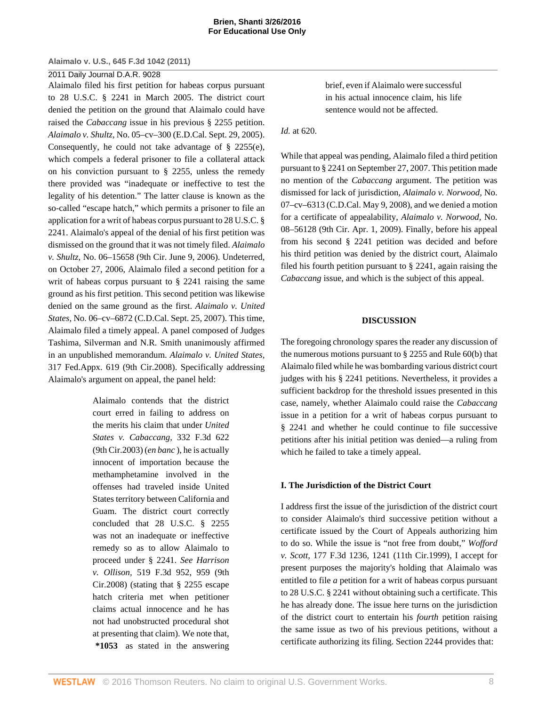# 2011 Daily Journal D.A.R. 9028

Alaimalo filed his first petition for habeas corpus pursuant to [28 U.S.C. § 2241](http://www.westlaw.com/Link/Document/FullText?findType=L&pubNum=1000546&cite=28USCAS2241&originatingDoc=I5835fa969cae11e0a8a2938374af9660&refType=LQ&originationContext=document&vr=3.0&rs=cblt1.0&transitionType=DocumentItem&contextData=(sc.Keycite)) in March 2005. The district court denied the petition on the ground that Alaimalo could have raised the *Cabaccang* issue in his previous [§ 2255](http://www.westlaw.com/Link/Document/FullText?findType=L&pubNum=1000546&cite=28USCAS2255&originatingDoc=I5835fa969cae11e0a8a2938374af9660&refType=LQ&originationContext=document&vr=3.0&rs=cblt1.0&transitionType=DocumentItem&contextData=(sc.Keycite)) petition. *Alaimalo v. Shultz,* No. 05–cv–300 (E.D.Cal. Sept. 29, 2005). Consequently, he could not take advantage of [§ 2255\(e\)](http://www.westlaw.com/Link/Document/FullText?findType=L&pubNum=1000546&cite=28USCAS2255&originatingDoc=I5835fa969cae11e0a8a2938374af9660&refType=RB&originationContext=document&vr=3.0&rs=cblt1.0&transitionType=DocumentItem&contextData=(sc.Keycite)#co_pp_7fdd00001ca15), which compels a federal prisoner to file a collateral attack on his conviction pursuant to [§ 2255](http://www.westlaw.com/Link/Document/FullText?findType=L&pubNum=1000546&cite=28USCAS2255&originatingDoc=I5835fa969cae11e0a8a2938374af9660&refType=LQ&originationContext=document&vr=3.0&rs=cblt1.0&transitionType=DocumentItem&contextData=(sc.Keycite)), unless the remedy there provided was "inadequate or ineffective to test the legality of his detention." The latter clause is known as the so-called "escape hatch," which permits a prisoner to file an application for a writ of habeas corpus pursuant to [28 U.S.C. §](http://www.westlaw.com/Link/Document/FullText?findType=L&pubNum=1000546&cite=28USCAS2241&originatingDoc=I5835fa969cae11e0a8a2938374af9660&refType=LQ&originationContext=document&vr=3.0&rs=cblt1.0&transitionType=DocumentItem&contextData=(sc.Keycite)) [2241](http://www.westlaw.com/Link/Document/FullText?findType=L&pubNum=1000546&cite=28USCAS2241&originatingDoc=I5835fa969cae11e0a8a2938374af9660&refType=LQ&originationContext=document&vr=3.0&rs=cblt1.0&transitionType=DocumentItem&contextData=(sc.Keycite)). Alaimalo's appeal of the denial of his first petition was dismissed on the ground that it was not timely filed. *Alaimalo v. Shultz,* No. 06–15658 (9th Cir. June 9, 2006). Undeterred, on October 27, 2006, Alaimalo filed a second petition for a writ of habeas corpus pursuant to [§ 2241](http://www.westlaw.com/Link/Document/FullText?findType=L&pubNum=1000546&cite=28USCAS2241&originatingDoc=I5835fa969cae11e0a8a2938374af9660&refType=LQ&originationContext=document&vr=3.0&rs=cblt1.0&transitionType=DocumentItem&contextData=(sc.Keycite)) raising the same ground as his first petition. This second petition was likewise denied on the same ground as the first. *Alaimalo v. United States,* No. 06–cv–6872 (C.D.Cal. Sept. 25, 2007). This time, Alaimalo filed a timely appeal. A panel composed of Judges Tashima, Silverman and N.R. Smith unanimously affirmed in an unpublished memorandum. *[Alaimalo v. United States,](http://www.westlaw.com/Link/Document/FullText?findType=Y&serNum=2017121712&pubNum=6538&originatingDoc=I5835fa969cae11e0a8a2938374af9660&refType=RP&originationContext=document&vr=3.0&rs=cblt1.0&transitionType=DocumentItem&contextData=(sc.Keycite))* [317 Fed.Appx. 619 \(9th Cir.2008\)](http://www.westlaw.com/Link/Document/FullText?findType=Y&serNum=2017121712&pubNum=6538&originatingDoc=I5835fa969cae11e0a8a2938374af9660&refType=RP&originationContext=document&vr=3.0&rs=cblt1.0&transitionType=DocumentItem&contextData=(sc.Keycite)). Specifically addressing Alaimalo's argument on appeal, the panel held:

> Alaimalo contends that the district court erred in failing to address on the merits his claim that under *[United](http://www.westlaw.com/Link/Document/FullText?findType=Y&serNum=2003401323&pubNum=506&originatingDoc=I5835fa969cae11e0a8a2938374af9660&refType=RP&originationContext=document&vr=3.0&rs=cblt1.0&transitionType=DocumentItem&contextData=(sc.Keycite)) [States v. Cabaccang,](http://www.westlaw.com/Link/Document/FullText?findType=Y&serNum=2003401323&pubNum=506&originatingDoc=I5835fa969cae11e0a8a2938374af9660&refType=RP&originationContext=document&vr=3.0&rs=cblt1.0&transitionType=DocumentItem&contextData=(sc.Keycite))* 332 F.3d 622 [\(9th Cir.2003\)](http://www.westlaw.com/Link/Document/FullText?findType=Y&serNum=2003401323&pubNum=506&originatingDoc=I5835fa969cae11e0a8a2938374af9660&refType=RP&originationContext=document&vr=3.0&rs=cblt1.0&transitionType=DocumentItem&contextData=(sc.Keycite)) (*en banc* ), he is actually innocent of importation because the methamphetamine involved in the offenses had traveled inside United States territory between California and Guam. The district court correctly concluded that [28 U.S.C. § 2255](http://www.westlaw.com/Link/Document/FullText?findType=L&pubNum=1000546&cite=28USCAS2255&originatingDoc=I5835fa969cae11e0a8a2938374af9660&refType=LQ&originationContext=document&vr=3.0&rs=cblt1.0&transitionType=DocumentItem&contextData=(sc.Keycite)) was not an inadequate or ineffective remedy so as to allow Alaimalo to proceed under [§ 2241.](http://www.westlaw.com/Link/Document/FullText?findType=L&pubNum=1000546&cite=28USCAS2241&originatingDoc=I5835fa969cae11e0a8a2938374af9660&refType=LQ&originationContext=document&vr=3.0&rs=cblt1.0&transitionType=DocumentItem&contextData=(sc.Keycite)) *See [Harrison](http://www.westlaw.com/Link/Document/FullText?findType=Y&serNum=2015526100&pubNum=506&originatingDoc=I5835fa969cae11e0a8a2938374af9660&refType=RP&fi=co_pp_sp_506_959&originationContext=document&vr=3.0&rs=cblt1.0&transitionType=DocumentItem&contextData=(sc.Keycite)#co_pp_sp_506_959) v. Ollison,* [519 F.3d 952, 959 \(9th](http://www.westlaw.com/Link/Document/FullText?findType=Y&serNum=2015526100&pubNum=506&originatingDoc=I5835fa969cae11e0a8a2938374af9660&refType=RP&fi=co_pp_sp_506_959&originationContext=document&vr=3.0&rs=cblt1.0&transitionType=DocumentItem&contextData=(sc.Keycite)#co_pp_sp_506_959) [Cir.2008\)](http://www.westlaw.com/Link/Document/FullText?findType=Y&serNum=2015526100&pubNum=506&originatingDoc=I5835fa969cae11e0a8a2938374af9660&refType=RP&fi=co_pp_sp_506_959&originationContext=document&vr=3.0&rs=cblt1.0&transitionType=DocumentItem&contextData=(sc.Keycite)#co_pp_sp_506_959) (stating that [§ 2255](http://www.westlaw.com/Link/Document/FullText?findType=L&pubNum=1000546&cite=28USCAS2255&originatingDoc=I5835fa969cae11e0a8a2938374af9660&refType=LQ&originationContext=document&vr=3.0&rs=cblt1.0&transitionType=DocumentItem&contextData=(sc.Keycite)) escape hatch criteria met when petitioner claims actual innocence and he has not had unobstructed procedural shot at presenting that claim). We note that, **\*1053** as stated in the answering

brief, even if Alaimalo were successful in his actual innocence claim, his life sentence would not be affected.

*Id.* [at 620.](http://www.westlaw.com/Link/Document/FullText?findType=Y&serNum=2017121712&originatingDoc=I5835fa969cae11e0a8a2938374af9660&refType=RP&originationContext=document&vr=3.0&rs=cblt1.0&transitionType=DocumentItem&contextData=(sc.Keycite))

While that appeal was pending, Alaimalo filed a third petition pursuant to [§ 2241](http://www.westlaw.com/Link/Document/FullText?findType=L&pubNum=1000546&cite=28USCAS2241&originatingDoc=I5835fa969cae11e0a8a2938374af9660&refType=LQ&originationContext=document&vr=3.0&rs=cblt1.0&transitionType=DocumentItem&contextData=(sc.Keycite)) on September 27, 2007. This petition made no mention of the *[Cabaccang](http://www.westlaw.com/Link/Document/FullText?findType=Y&serNum=2003401323&originatingDoc=I5835fa969cae11e0a8a2938374af9660&refType=RP&originationContext=document&vr=3.0&rs=cblt1.0&transitionType=DocumentItem&contextData=(sc.Keycite))* argument. The petition was dismissed for lack of jurisdiction, *Alaimalo v. Norwood,* No. 07–cv–6313 (C.D.Cal. May 9, 2008), and we denied a motion for a certificate of appealability, *Alaimalo v. Norwood,* No. 08–56128 (9th Cir. Apr. 1, 2009). Finally, before his appeal from his second [§ 2241](http://www.westlaw.com/Link/Document/FullText?findType=L&pubNum=1000546&cite=28USCAS2241&originatingDoc=I5835fa969cae11e0a8a2938374af9660&refType=LQ&originationContext=document&vr=3.0&rs=cblt1.0&transitionType=DocumentItem&contextData=(sc.Keycite)) petition was decided and before his third petition was denied by the district court, Alaimalo filed his fourth petition pursuant to [§ 2241](http://www.westlaw.com/Link/Document/FullText?findType=L&pubNum=1000546&cite=28USCAS2241&originatingDoc=I5835fa969cae11e0a8a2938374af9660&refType=LQ&originationContext=document&vr=3.0&rs=cblt1.0&transitionType=DocumentItem&contextData=(sc.Keycite)), again raising the *[Cabaccang](http://www.westlaw.com/Link/Document/FullText?findType=Y&serNum=2003401323&originatingDoc=I5835fa969cae11e0a8a2938374af9660&refType=RP&originationContext=document&vr=3.0&rs=cblt1.0&transitionType=DocumentItem&contextData=(sc.Keycite))* issue, and which is the subject of this appeal.

# **DISCUSSION**

The foregoing chronology spares the reader any discussion of the numerous motions pursuant to [§ 2255](http://www.westlaw.com/Link/Document/FullText?findType=L&pubNum=1000546&cite=28USCAS2255&originatingDoc=I5835fa969cae11e0a8a2938374af9660&refType=LQ&originationContext=document&vr=3.0&rs=cblt1.0&transitionType=DocumentItem&contextData=(sc.Keycite)) and Rule 60(b) that Alaimalo filed while he was bombarding various district court judges with his [§ 2241](http://www.westlaw.com/Link/Document/FullText?findType=L&pubNum=1000546&cite=28USCAS2241&originatingDoc=I5835fa969cae11e0a8a2938374af9660&refType=LQ&originationContext=document&vr=3.0&rs=cblt1.0&transitionType=DocumentItem&contextData=(sc.Keycite)) petitions. Nevertheless, it provides a sufficient backdrop for the threshold issues presented in this case, namely, whether Alaimalo could raise the *[Cabaccang](http://www.westlaw.com/Link/Document/FullText?findType=Y&serNum=2003401323&originatingDoc=I5835fa969cae11e0a8a2938374af9660&refType=RP&originationContext=document&vr=3.0&rs=cblt1.0&transitionType=DocumentItem&contextData=(sc.Keycite))* issue in a petition for a writ of habeas corpus pursuant to [§ 2241](http://www.westlaw.com/Link/Document/FullText?findType=L&pubNum=1000546&cite=28USCAS2241&originatingDoc=I5835fa969cae11e0a8a2938374af9660&refType=LQ&originationContext=document&vr=3.0&rs=cblt1.0&transitionType=DocumentItem&contextData=(sc.Keycite)) and whether he could continue to file successive petitions after his initial petition was denied—a ruling from which he failed to take a timely appeal.

### **I. The Jurisdiction of the District Court**

I address first the issue of the jurisdiction of the district court to consider Alaimalo's third successive petition without a certificate issued by the Court of Appeals authorizing him to do so. While the issue is "not free from doubt," *[Wofford](http://www.westlaw.com/Link/Document/FullText?findType=Y&serNum=1999140763&pubNum=506&originatingDoc=I5835fa969cae11e0a8a2938374af9660&refType=RP&fi=co_pp_sp_506_1241&originationContext=document&vr=3.0&rs=cblt1.0&transitionType=DocumentItem&contextData=(sc.Keycite)#co_pp_sp_506_1241) v. Scott,* [177 F.3d 1236, 1241 \(11th Cir.1999\)](http://www.westlaw.com/Link/Document/FullText?findType=Y&serNum=1999140763&pubNum=506&originatingDoc=I5835fa969cae11e0a8a2938374af9660&refType=RP&fi=co_pp_sp_506_1241&originationContext=document&vr=3.0&rs=cblt1.0&transitionType=DocumentItem&contextData=(sc.Keycite)#co_pp_sp_506_1241), I accept for present purposes the majority's holding that Alaimalo was entitled to file *a* petition for a writ of habeas corpus pursuant to [28 U.S.C. § 2241](http://www.westlaw.com/Link/Document/FullText?findType=L&pubNum=1000546&cite=28USCAS2241&originatingDoc=I5835fa969cae11e0a8a2938374af9660&refType=LQ&originationContext=document&vr=3.0&rs=cblt1.0&transitionType=DocumentItem&contextData=(sc.Keycite)) without obtaining such a certificate. This he has already done. The issue here turns on the jurisdiction of the district court to entertain his *fourth* petition raising the same issue as two of his previous petitions, without a certificate authorizing its filing. [Section 2244](http://www.westlaw.com/Link/Document/FullText?findType=L&pubNum=1000546&cite=28USCAS2244&originatingDoc=I5835fa969cae11e0a8a2938374af9660&refType=LQ&originationContext=document&vr=3.0&rs=cblt1.0&transitionType=DocumentItem&contextData=(sc.Keycite)) provides that: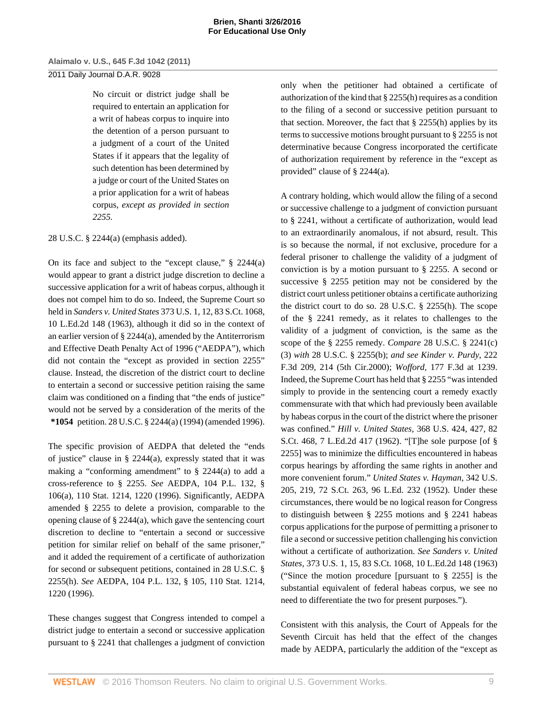# 2011 Daily Journal D.A.R. 9028

No circuit or district judge shall be required to entertain an application for a writ of habeas corpus to inquire into the detention of a person pursuant to a judgment of a court of the United States if it appears that the legality of such detention has been determined by a judge or court of the United States on a prior application for a writ of habeas corpus, *except as provided in [section](http://www.westlaw.com/Link/Document/FullText?findType=L&pubNum=1000546&cite=28USCAS2255&originatingDoc=I5835fa969cae11e0a8a2938374af9660&refType=LQ&originationContext=document&vr=3.0&rs=cblt1.0&transitionType=DocumentItem&contextData=(sc.Keycite)) [2255](http://www.westlaw.com/Link/Document/FullText?findType=L&pubNum=1000546&cite=28USCAS2255&originatingDoc=I5835fa969cae11e0a8a2938374af9660&refType=LQ&originationContext=document&vr=3.0&rs=cblt1.0&transitionType=DocumentItem&contextData=(sc.Keycite)).*

# [28 U.S.C. § 2244\(a\)](http://www.westlaw.com/Link/Document/FullText?findType=L&pubNum=1000546&cite=28USCAS2244&originatingDoc=I5835fa969cae11e0a8a2938374af9660&refType=RB&originationContext=document&vr=3.0&rs=cblt1.0&transitionType=DocumentItem&contextData=(sc.Keycite)#co_pp_8b3b0000958a4) (emphasis added).

On its face and subject to the "except clause," [§ 2244\(a\)](http://www.westlaw.com/Link/Document/FullText?findType=L&pubNum=1000546&cite=28USCAS2244&originatingDoc=I5835fa969cae11e0a8a2938374af9660&refType=RB&originationContext=document&vr=3.0&rs=cblt1.0&transitionType=DocumentItem&contextData=(sc.Keycite)#co_pp_8b3b0000958a4) would appear to grant a district judge discretion to decline a successive application for a writ of habeas corpus, although it does not compel him to do so. Indeed, the Supreme Court so held in *Sanders v. United States* [373 U.S. 1, 12, 83 S.Ct. 1068,](http://www.westlaw.com/Link/Document/FullText?findType=Y&serNum=1963125341&pubNum=708&originatingDoc=I5835fa969cae11e0a8a2938374af9660&refType=RP&originationContext=document&vr=3.0&rs=cblt1.0&transitionType=DocumentItem&contextData=(sc.Keycite)) [10 L.Ed.2d 148 \(1963\),](http://www.westlaw.com/Link/Document/FullText?findType=Y&serNum=1963125341&pubNum=708&originatingDoc=I5835fa969cae11e0a8a2938374af9660&refType=RP&originationContext=document&vr=3.0&rs=cblt1.0&transitionType=DocumentItem&contextData=(sc.Keycite)) although it did so in the context of an earlier version of [§ 2244\(a\)](http://www.westlaw.com/Link/Document/FullText?findType=L&pubNum=1000546&cite=28USCAS2244&originatingDoc=I5835fa969cae11e0a8a2938374af9660&refType=RB&originationContext=document&vr=3.0&rs=cblt1.0&transitionType=DocumentItem&contextData=(sc.Keycite)#co_pp_8b3b0000958a4), amended by the Antiterrorism and Effective Death Penalty Act of 1996 ("AEDPA"), which did not contain the "except as provided in [section 2255"](http://www.westlaw.com/Link/Document/FullText?findType=L&pubNum=1000546&cite=28USCAS2255&originatingDoc=I5835fa969cae11e0a8a2938374af9660&refType=LQ&originationContext=document&vr=3.0&rs=cblt1.0&transitionType=DocumentItem&contextData=(sc.Keycite)) clause. Instead, the discretion of the district court to decline to entertain a second or successive petition raising the same claim was conditioned on a finding that "the ends of justice" would not be served by a consideration of the merits of the **\*1054** petition. [28 U.S.C. § 2244\(a\) \(1994\)](http://www.westlaw.com/Link/Document/FullText?findType=L&pubNum=1000546&cite=28USCAS2244&originatingDoc=I5835fa969cae11e0a8a2938374af9660&refType=RB&originationContext=document&vr=3.0&rs=cblt1.0&transitionType=DocumentItem&contextData=(sc.Keycite)#co_pp_8b3b0000958a4) (amended 1996).

The specific provision of AEDPA that deleted the "ends of justice" clause in [§ 2244\(a\),](http://www.westlaw.com/Link/Document/FullText?findType=L&pubNum=1000546&cite=28USCAS2244&originatingDoc=I5835fa969cae11e0a8a2938374af9660&refType=RB&originationContext=document&vr=3.0&rs=cblt1.0&transitionType=DocumentItem&contextData=(sc.Keycite)#co_pp_8b3b0000958a4) expressly stated that it was making a "conforming amendment" to [§ 2244\(a\)](http://www.westlaw.com/Link/Document/FullText?findType=L&pubNum=1000546&cite=28USCAS2244&originatingDoc=I5835fa969cae11e0a8a2938374af9660&refType=RB&originationContext=document&vr=3.0&rs=cblt1.0&transitionType=DocumentItem&contextData=(sc.Keycite)#co_pp_8b3b0000958a4) to add a cross-reference to [§ 2255](http://www.westlaw.com/Link/Document/FullText?findType=L&pubNum=1000546&cite=28USCAS2255&originatingDoc=I5835fa969cae11e0a8a2938374af9660&refType=LQ&originationContext=document&vr=3.0&rs=cblt1.0&transitionType=DocumentItem&contextData=(sc.Keycite)). *See* AEDPA, 104 P.L. 132, § 106(a), 110 Stat. 1214, 1220 (1996). Significantly, AEDPA amended [§ 2255](http://www.westlaw.com/Link/Document/FullText?findType=L&pubNum=1000546&cite=28USCAS2255&originatingDoc=I5835fa969cae11e0a8a2938374af9660&refType=LQ&originationContext=document&vr=3.0&rs=cblt1.0&transitionType=DocumentItem&contextData=(sc.Keycite)) to delete a provision, comparable to the opening clause of [§ 2244\(a\),](http://www.westlaw.com/Link/Document/FullText?findType=L&pubNum=1000546&cite=28USCAS2244&originatingDoc=I5835fa969cae11e0a8a2938374af9660&refType=RB&originationContext=document&vr=3.0&rs=cblt1.0&transitionType=DocumentItem&contextData=(sc.Keycite)#co_pp_8b3b0000958a4) which gave the sentencing court discretion to decline to "entertain a second or successive petition for similar relief on behalf of the same prisoner," and it added the requirement of a certificate of authorization for second or subsequent petitions, contained in [28 U.S.C. §](http://www.westlaw.com/Link/Document/FullText?findType=L&pubNum=1000546&cite=28USCAS2255&originatingDoc=I5835fa969cae11e0a8a2938374af9660&refType=RB&originationContext=document&vr=3.0&rs=cblt1.0&transitionType=DocumentItem&contextData=(sc.Keycite)#co_pp_f383000077b35) [2255\(h\).](http://www.westlaw.com/Link/Document/FullText?findType=L&pubNum=1000546&cite=28USCAS2255&originatingDoc=I5835fa969cae11e0a8a2938374af9660&refType=RB&originationContext=document&vr=3.0&rs=cblt1.0&transitionType=DocumentItem&contextData=(sc.Keycite)#co_pp_f383000077b35) *See* AEDPA, 104 P.L. 132, § 105, 110 Stat. 1214, 1220 (1996).

These changes suggest that Congress intended to compel a district judge to entertain a second or successive application pursuant to [§ 2241](http://www.westlaw.com/Link/Document/FullText?findType=L&pubNum=1000546&cite=28USCAS2241&originatingDoc=I5835fa969cae11e0a8a2938374af9660&refType=LQ&originationContext=document&vr=3.0&rs=cblt1.0&transitionType=DocumentItem&contextData=(sc.Keycite)) that challenges a judgment of conviction only when the petitioner had obtained a certificate of authorization of the kind that [§ 2255\(h\)](http://www.westlaw.com/Link/Document/FullText?findType=L&pubNum=1000546&cite=28USCAS2255&originatingDoc=I5835fa969cae11e0a8a2938374af9660&refType=RB&originationContext=document&vr=3.0&rs=cblt1.0&transitionType=DocumentItem&contextData=(sc.Keycite)#co_pp_f383000077b35) requires as a condition to the filing of a second or successive petition pursuant to that section. Moreover, the fact that  $\S$  2255(h) applies by its terms to successive motions brought pursuant to [§ 2255](http://www.westlaw.com/Link/Document/FullText?findType=L&pubNum=1000546&cite=28USCAS2255&originatingDoc=I5835fa969cae11e0a8a2938374af9660&refType=LQ&originationContext=document&vr=3.0&rs=cblt1.0&transitionType=DocumentItem&contextData=(sc.Keycite)) is not determinative because Congress incorporated the certificate of authorization requirement by reference in the "except as provided" clause of [§ 2244\(a\)](http://www.westlaw.com/Link/Document/FullText?findType=L&pubNum=1000546&cite=28USCAS2244&originatingDoc=I5835fa969cae11e0a8a2938374af9660&refType=RB&originationContext=document&vr=3.0&rs=cblt1.0&transitionType=DocumentItem&contextData=(sc.Keycite)#co_pp_8b3b0000958a4).

A contrary holding, which would allow the filing of a second or successive challenge to a judgment of conviction pursuant to [§ 2241,](http://www.westlaw.com/Link/Document/FullText?findType=L&pubNum=1000546&cite=28USCAS2241&originatingDoc=I5835fa969cae11e0a8a2938374af9660&refType=LQ&originationContext=document&vr=3.0&rs=cblt1.0&transitionType=DocumentItem&contextData=(sc.Keycite)) without a certificate of authorization, would lead to an extraordinarily anomalous, if not absurd, result. This is so because the normal, if not exclusive, procedure for a federal prisoner to challenge the validity of a judgment of conviction is by a motion pursuant to [§ 2255.](http://www.westlaw.com/Link/Document/FullText?findType=L&pubNum=1000546&cite=28USCAS2255&originatingDoc=I5835fa969cae11e0a8a2938374af9660&refType=LQ&originationContext=document&vr=3.0&rs=cblt1.0&transitionType=DocumentItem&contextData=(sc.Keycite)) A second or successive [§ 2255](http://www.westlaw.com/Link/Document/FullText?findType=L&pubNum=1000546&cite=28USCAS2255&originatingDoc=I5835fa969cae11e0a8a2938374af9660&refType=LQ&originationContext=document&vr=3.0&rs=cblt1.0&transitionType=DocumentItem&contextData=(sc.Keycite)) petition may not be considered by the district court unless petitioner obtains a certificate authorizing the district court to do so. [28 U.S.C. § 2255\(h\)](http://www.westlaw.com/Link/Document/FullText?findType=L&pubNum=1000546&cite=28USCAS2255&originatingDoc=I5835fa969cae11e0a8a2938374af9660&refType=RB&originationContext=document&vr=3.0&rs=cblt1.0&transitionType=DocumentItem&contextData=(sc.Keycite)#co_pp_f383000077b35). The scope of the [§ 2241](http://www.westlaw.com/Link/Document/FullText?findType=L&pubNum=1000546&cite=28USCAS2241&originatingDoc=I5835fa969cae11e0a8a2938374af9660&refType=LQ&originationContext=document&vr=3.0&rs=cblt1.0&transitionType=DocumentItem&contextData=(sc.Keycite)) remedy, as it relates to challenges to the validity of a judgment of conviction, is the same as the scope of the [§ 2255](http://www.westlaw.com/Link/Document/FullText?findType=L&pubNum=1000546&cite=28USCAS2255&originatingDoc=I5835fa969cae11e0a8a2938374af9660&refType=LQ&originationContext=document&vr=3.0&rs=cblt1.0&transitionType=DocumentItem&contextData=(sc.Keycite)) remedy. *Compare* [28 U.S.C. § 2241\(c\)](http://www.westlaw.com/Link/Document/FullText?findType=L&pubNum=1000546&cite=28USCAS2241&originatingDoc=I5835fa969cae11e0a8a2938374af9660&refType=RB&originationContext=document&vr=3.0&rs=cblt1.0&transitionType=DocumentItem&contextData=(sc.Keycite)#co_pp_b1b5000051ac5) [\(3\)](http://www.westlaw.com/Link/Document/FullText?findType=L&pubNum=1000546&cite=28USCAS2241&originatingDoc=I5835fa969cae11e0a8a2938374af9660&refType=RB&originationContext=document&vr=3.0&rs=cblt1.0&transitionType=DocumentItem&contextData=(sc.Keycite)#co_pp_b1b5000051ac5) *with* [28 U.S.C. § 2255\(b\);](http://www.westlaw.com/Link/Document/FullText?findType=L&pubNum=1000546&cite=28USCAS2255&originatingDoc=I5835fa969cae11e0a8a2938374af9660&refType=RB&originationContext=document&vr=3.0&rs=cblt1.0&transitionType=DocumentItem&contextData=(sc.Keycite)#co_pp_a83b000018c76) *and see [Kinder v. Purdy,](http://www.westlaw.com/Link/Document/FullText?findType=Y&serNum=2000470565&pubNum=506&originatingDoc=I5835fa969cae11e0a8a2938374af9660&refType=RP&fi=co_pp_sp_506_214&originationContext=document&vr=3.0&rs=cblt1.0&transitionType=DocumentItem&contextData=(sc.Keycite)#co_pp_sp_506_214)* 222 [F.3d 209, 214 \(5th Cir.2000\);](http://www.westlaw.com/Link/Document/FullText?findType=Y&serNum=2000470565&pubNum=506&originatingDoc=I5835fa969cae11e0a8a2938374af9660&refType=RP&fi=co_pp_sp_506_214&originationContext=document&vr=3.0&rs=cblt1.0&transitionType=DocumentItem&contextData=(sc.Keycite)#co_pp_sp_506_214) *Wofford,* [177 F.3d at 1239.](http://www.westlaw.com/Link/Document/FullText?findType=Y&serNum=1999140763&pubNum=506&originatingDoc=I5835fa969cae11e0a8a2938374af9660&refType=RP&fi=co_pp_sp_506_1239&originationContext=document&vr=3.0&rs=cblt1.0&transitionType=DocumentItem&contextData=(sc.Keycite)#co_pp_sp_506_1239) Indeed, the Supreme Court has held that [§ 2255](http://www.westlaw.com/Link/Document/FullText?findType=L&pubNum=1000546&cite=28USCAS2255&originatingDoc=I5835fa969cae11e0a8a2938374af9660&refType=LQ&originationContext=document&vr=3.0&rs=cblt1.0&transitionType=DocumentItem&contextData=(sc.Keycite)) "was intended simply to provide in the sentencing court a remedy exactly commensurate with that which had previously been available by habeas corpus in the court of the district where the prisoner was confined." *Hill v. United States,* [368 U.S. 424, 427, 82](http://www.westlaw.com/Link/Document/FullText?findType=Y&serNum=1962127566&pubNum=708&originatingDoc=I5835fa969cae11e0a8a2938374af9660&refType=RP&originationContext=document&vr=3.0&rs=cblt1.0&transitionType=DocumentItem&contextData=(sc.Keycite)) [S.Ct. 468, 7 L.Ed.2d 417 \(1962\).](http://www.westlaw.com/Link/Document/FullText?findType=Y&serNum=1962127566&pubNum=708&originatingDoc=I5835fa969cae11e0a8a2938374af9660&refType=RP&originationContext=document&vr=3.0&rs=cblt1.0&transitionType=DocumentItem&contextData=(sc.Keycite)) "[T]he sole purpose [of [§](http://www.westlaw.com/Link/Document/FullText?findType=L&pubNum=1000546&cite=28USCAS2255&originatingDoc=I5835fa969cae11e0a8a2938374af9660&refType=LQ&originationContext=document&vr=3.0&rs=cblt1.0&transitionType=DocumentItem&contextData=(sc.Keycite)) [2255](http://www.westlaw.com/Link/Document/FullText?findType=L&pubNum=1000546&cite=28USCAS2255&originatingDoc=I5835fa969cae11e0a8a2938374af9660&refType=LQ&originationContext=document&vr=3.0&rs=cblt1.0&transitionType=DocumentItem&contextData=(sc.Keycite))] was to minimize the difficulties encountered in habeas corpus hearings by affording the same rights in another and more convenient forum." *[United States v. Hayman,](http://www.westlaw.com/Link/Document/FullText?findType=Y&serNum=1952119672&pubNum=708&originatingDoc=I5835fa969cae11e0a8a2938374af9660&refType=RP&originationContext=document&vr=3.0&rs=cblt1.0&transitionType=DocumentItem&contextData=(sc.Keycite))* 342 U.S. [205, 219, 72 S.Ct. 263, 96 L.Ed. 232 \(1952\)](http://www.westlaw.com/Link/Document/FullText?findType=Y&serNum=1952119672&pubNum=708&originatingDoc=I5835fa969cae11e0a8a2938374af9660&refType=RP&originationContext=document&vr=3.0&rs=cblt1.0&transitionType=DocumentItem&contextData=(sc.Keycite)). Under these circumstances, there would be no logical reason for Congress to distinguish between [§ 2255](http://www.westlaw.com/Link/Document/FullText?findType=L&pubNum=1000546&cite=28USCAS2255&originatingDoc=I5835fa969cae11e0a8a2938374af9660&refType=LQ&originationContext=document&vr=3.0&rs=cblt1.0&transitionType=DocumentItem&contextData=(sc.Keycite)) motions and [§ 2241](http://www.westlaw.com/Link/Document/FullText?findType=L&pubNum=1000546&cite=28USCAS2241&originatingDoc=I5835fa969cae11e0a8a2938374af9660&refType=LQ&originationContext=document&vr=3.0&rs=cblt1.0&transitionType=DocumentItem&contextData=(sc.Keycite)) habeas corpus applications for the purpose of permitting a prisoner to file a second or successive petition challenging his conviction without a certificate of authorization. *See [Sanders v. United](http://www.westlaw.com/Link/Document/FullText?findType=Y&serNum=1963125341&pubNum=708&originatingDoc=I5835fa969cae11e0a8a2938374af9660&refType=RP&originationContext=document&vr=3.0&rs=cblt1.0&transitionType=DocumentItem&contextData=(sc.Keycite)) States,* [373 U.S. 1, 15, 83 S.Ct. 1068, 10 L.Ed.2d 148 \(1963\)](http://www.westlaw.com/Link/Document/FullText?findType=Y&serNum=1963125341&pubNum=708&originatingDoc=I5835fa969cae11e0a8a2938374af9660&refType=RP&originationContext=document&vr=3.0&rs=cblt1.0&transitionType=DocumentItem&contextData=(sc.Keycite)) ("Since the motion procedure [pursuant to [§ 2255\]](http://www.westlaw.com/Link/Document/FullText?findType=L&pubNum=1000546&cite=28USCAS2255&originatingDoc=I5835fa969cae11e0a8a2938374af9660&refType=LQ&originationContext=document&vr=3.0&rs=cblt1.0&transitionType=DocumentItem&contextData=(sc.Keycite)) is the substantial equivalent of federal habeas corpus, we see no need to differentiate the two for present purposes.").

Consistent with this analysis, the Court of Appeals for the Seventh Circuit has held that the effect of the changes made by AEDPA, particularly the addition of the "except as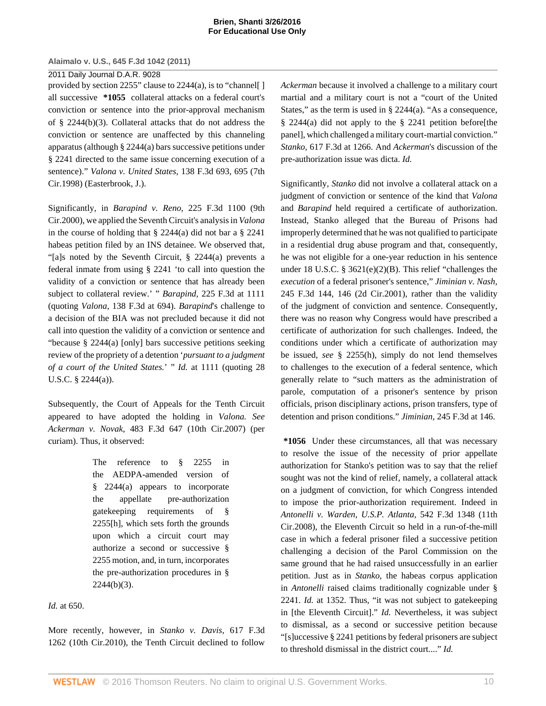# 2011 Daily Journal D.A.R. 9028

provided by [section 2255](http://www.westlaw.com/Link/Document/FullText?findType=L&pubNum=1000546&cite=28USCAS2255&originatingDoc=I5835fa969cae11e0a8a2938374af9660&refType=LQ&originationContext=document&vr=3.0&rs=cblt1.0&transitionType=DocumentItem&contextData=(sc.Keycite))" clause to 2244(a), is to "channel[ ] all successive **\*1055** collateral attacks on a federal court's conviction or sentence into the prior-approval mechanism of [§ 2244\(b\)\(3\).](http://www.westlaw.com/Link/Document/FullText?findType=L&pubNum=1000546&cite=28USCAS2244&originatingDoc=I5835fa969cae11e0a8a2938374af9660&refType=RB&originationContext=document&vr=3.0&rs=cblt1.0&transitionType=DocumentItem&contextData=(sc.Keycite)#co_pp_d801000002763) Collateral attacks that do not address the conviction or sentence are unaffected by this channeling apparatus (although [§ 2244\(a\)](http://www.westlaw.com/Link/Document/FullText?findType=L&pubNum=1000546&cite=28USCAS2244&originatingDoc=I5835fa969cae11e0a8a2938374af9660&refType=RB&originationContext=document&vr=3.0&rs=cblt1.0&transitionType=DocumentItem&contextData=(sc.Keycite)#co_pp_8b3b0000958a4) bars successive petitions under [§ 2241](http://www.westlaw.com/Link/Document/FullText?findType=L&pubNum=1000546&cite=28USCAS2241&originatingDoc=I5835fa969cae11e0a8a2938374af9660&refType=LQ&originationContext=document&vr=3.0&rs=cblt1.0&transitionType=DocumentItem&contextData=(sc.Keycite)) directed to the same issue concerning execution of a sentence)." *[Valona v. United States,](http://www.westlaw.com/Link/Document/FullText?findType=Y&serNum=1998068736&pubNum=506&originatingDoc=I5835fa969cae11e0a8a2938374af9660&refType=RP&fi=co_pp_sp_506_695&originationContext=document&vr=3.0&rs=cblt1.0&transitionType=DocumentItem&contextData=(sc.Keycite)#co_pp_sp_506_695)* 138 F.3d 693, 695 (7th [Cir.1998\)](http://www.westlaw.com/Link/Document/FullText?findType=Y&serNum=1998068736&pubNum=506&originatingDoc=I5835fa969cae11e0a8a2938374af9660&refType=RP&fi=co_pp_sp_506_695&originationContext=document&vr=3.0&rs=cblt1.0&transitionType=DocumentItem&contextData=(sc.Keycite)#co_pp_sp_506_695) (Easterbrook, J.).

Significantly, in *Barapind v. Reno,* [225 F.3d 1100 \(9th](http://www.westlaw.com/Link/Document/FullText?findType=Y&serNum=2000489298&pubNum=506&originatingDoc=I5835fa969cae11e0a8a2938374af9660&refType=RP&originationContext=document&vr=3.0&rs=cblt1.0&transitionType=DocumentItem&contextData=(sc.Keycite)) [Cir.2000\),](http://www.westlaw.com/Link/Document/FullText?findType=Y&serNum=2000489298&pubNum=506&originatingDoc=I5835fa969cae11e0a8a2938374af9660&refType=RP&originationContext=document&vr=3.0&rs=cblt1.0&transitionType=DocumentItem&contextData=(sc.Keycite)) we applied the Seventh Circuit's analysis in *[Valona](http://www.westlaw.com/Link/Document/FullText?findType=Y&serNum=1998068736&originatingDoc=I5835fa969cae11e0a8a2938374af9660&refType=RP&originationContext=document&vr=3.0&rs=cblt1.0&transitionType=DocumentItem&contextData=(sc.Keycite))* in the course of holding that  $\S$  2244(a) did not bar a  $\S$  2241 habeas petition filed by an INS detainee. We observed that, "[a]s noted by the Seventh Circuit, [§ 2244\(a\)](http://www.westlaw.com/Link/Document/FullText?findType=L&pubNum=1000546&cite=28USCAS2244&originatingDoc=I5835fa969cae11e0a8a2938374af9660&refType=RB&originationContext=document&vr=3.0&rs=cblt1.0&transitionType=DocumentItem&contextData=(sc.Keycite)#co_pp_8b3b0000958a4) prevents a federal inmate from using [§ 2241](http://www.westlaw.com/Link/Document/FullText?findType=L&pubNum=1000546&cite=28USCAS2241&originatingDoc=I5835fa969cae11e0a8a2938374af9660&refType=LQ&originationContext=document&vr=3.0&rs=cblt1.0&transitionType=DocumentItem&contextData=(sc.Keycite)) 'to call into question the validity of a conviction or sentence that has already been subject to collateral review.' " *Barapind,* [225 F.3d at 1111](http://www.westlaw.com/Link/Document/FullText?findType=Y&serNum=2000489298&pubNum=506&originatingDoc=I5835fa969cae11e0a8a2938374af9660&refType=RP&fi=co_pp_sp_506_1111&originationContext=document&vr=3.0&rs=cblt1.0&transitionType=DocumentItem&contextData=(sc.Keycite)#co_pp_sp_506_1111) (quoting *Valona,* [138 F.3d at 694\).](http://www.westlaw.com/Link/Document/FullText?findType=Y&serNum=1998068736&pubNum=506&originatingDoc=I5835fa969cae11e0a8a2938374af9660&refType=RP&fi=co_pp_sp_506_694&originationContext=document&vr=3.0&rs=cblt1.0&transitionType=DocumentItem&contextData=(sc.Keycite)#co_pp_sp_506_694) *[Barapind](http://www.westlaw.com/Link/Document/FullText?findType=Y&serNum=2000489298&originatingDoc=I5835fa969cae11e0a8a2938374af9660&refType=RP&originationContext=document&vr=3.0&rs=cblt1.0&transitionType=DocumentItem&contextData=(sc.Keycite))*'s challenge to a decision of the BIA was not precluded because it did not call into question the validity of a conviction or sentence and "because [§ 2244\(a\)](http://www.westlaw.com/Link/Document/FullText?findType=L&pubNum=1000546&cite=28USCAS2244&originatingDoc=I5835fa969cae11e0a8a2938374af9660&refType=RB&originationContext=document&vr=3.0&rs=cblt1.0&transitionType=DocumentItem&contextData=(sc.Keycite)#co_pp_8b3b0000958a4) [only] bars successive petitions seeking review of the propriety of a detention '*pursuant to a judgment of a court of the United States.*' " *Id.* [at 1111](http://www.westlaw.com/Link/Document/FullText?findType=Y&serNum=2000489298&originatingDoc=I5835fa969cae11e0a8a2938374af9660&refType=RP&originationContext=document&vr=3.0&rs=cblt1.0&transitionType=DocumentItem&contextData=(sc.Keycite)) (quoting [28](http://www.westlaw.com/Link/Document/FullText?findType=L&pubNum=1000546&cite=28USCAS2244&originatingDoc=I5835fa969cae11e0a8a2938374af9660&refType=RB&originationContext=document&vr=3.0&rs=cblt1.0&transitionType=DocumentItem&contextData=(sc.Keycite)#co_pp_8b3b0000958a4) [U.S.C. § 2244\(a\)](http://www.westlaw.com/Link/Document/FullText?findType=L&pubNum=1000546&cite=28USCAS2244&originatingDoc=I5835fa969cae11e0a8a2938374af9660&refType=RB&originationContext=document&vr=3.0&rs=cblt1.0&transitionType=DocumentItem&contextData=(sc.Keycite)#co_pp_8b3b0000958a4)).

Subsequently, the Court of Appeals for the Tenth Circuit appeared to have adopted the holding in *[Valona.](http://www.westlaw.com/Link/Document/FullText?findType=Y&serNum=1998068736&originatingDoc=I5835fa969cae11e0a8a2938374af9660&refType=RP&originationContext=document&vr=3.0&rs=cblt1.0&transitionType=DocumentItem&contextData=(sc.Keycite)) See Ackerman v. Novak,* [483 F.3d 647 \(10th Cir.2007\)](http://www.westlaw.com/Link/Document/FullText?findType=Y&serNum=2011685979&pubNum=506&originatingDoc=I5835fa969cae11e0a8a2938374af9660&refType=RP&originationContext=document&vr=3.0&rs=cblt1.0&transitionType=DocumentItem&contextData=(sc.Keycite)) (per curiam). Thus, it observed:

> The reference to [§ 2255](http://www.westlaw.com/Link/Document/FullText?findType=L&pubNum=1000546&cite=28USCAS2255&originatingDoc=I5835fa969cae11e0a8a2938374af9660&refType=LQ&originationContext=document&vr=3.0&rs=cblt1.0&transitionType=DocumentItem&contextData=(sc.Keycite)) in the AEDPA-amended version of [§ 2244\(a\)](http://www.westlaw.com/Link/Document/FullText?findType=L&pubNum=1000546&cite=28USCAS2244&originatingDoc=I5835fa969cae11e0a8a2938374af9660&refType=RB&originationContext=document&vr=3.0&rs=cblt1.0&transitionType=DocumentItem&contextData=(sc.Keycite)#co_pp_8b3b0000958a4) appears to incorporate the appellate pre-authorization gatekeeping requirements of [§](http://www.westlaw.com/Link/Document/FullText?findType=L&pubNum=1000546&cite=28USCAS2255&originatingDoc=I5835fa969cae11e0a8a2938374af9660&refType=LQ&originationContext=document&vr=3.0&rs=cblt1.0&transitionType=DocumentItem&contextData=(sc.Keycite)) [2255](http://www.westlaw.com/Link/Document/FullText?findType=L&pubNum=1000546&cite=28USCAS2255&originatingDoc=I5835fa969cae11e0a8a2938374af9660&refType=LQ&originationContext=document&vr=3.0&rs=cblt1.0&transitionType=DocumentItem&contextData=(sc.Keycite))[h], which sets forth the grounds upon which a circuit court may authorize a second or successive [§](http://www.westlaw.com/Link/Document/FullText?findType=L&pubNum=1000546&cite=28USCAS2255&originatingDoc=I5835fa969cae11e0a8a2938374af9660&refType=LQ&originationContext=document&vr=3.0&rs=cblt1.0&transitionType=DocumentItem&contextData=(sc.Keycite)) [2255](http://www.westlaw.com/Link/Document/FullText?findType=L&pubNum=1000546&cite=28USCAS2255&originatingDoc=I5835fa969cae11e0a8a2938374af9660&refType=LQ&originationContext=document&vr=3.0&rs=cblt1.0&transitionType=DocumentItem&contextData=(sc.Keycite)) motion, and, in turn, incorporates the pre-authorization procedures in [§](http://www.westlaw.com/Link/Document/FullText?findType=L&pubNum=1000546&cite=28USCAS2244&originatingDoc=I5835fa969cae11e0a8a2938374af9660&refType=RB&originationContext=document&vr=3.0&rs=cblt1.0&transitionType=DocumentItem&contextData=(sc.Keycite)#co_pp_d801000002763)  $2244(b)(3)$ .

# *Id.* [at 650.](http://www.westlaw.com/Link/Document/FullText?findType=Y&serNum=2011685979&originatingDoc=I5835fa969cae11e0a8a2938374af9660&refType=RP&originationContext=document&vr=3.0&rs=cblt1.0&transitionType=DocumentItem&contextData=(sc.Keycite))

More recently, however, in *[Stanko v. Davis,](http://www.westlaw.com/Link/Document/FullText?findType=Y&serNum=2022729923&pubNum=506&originatingDoc=I5835fa969cae11e0a8a2938374af9660&refType=RP&originationContext=document&vr=3.0&rs=cblt1.0&transitionType=DocumentItem&contextData=(sc.Keycite))* 617 F.3d [1262 \(10th Cir.2010\)](http://www.westlaw.com/Link/Document/FullText?findType=Y&serNum=2022729923&pubNum=506&originatingDoc=I5835fa969cae11e0a8a2938374af9660&refType=RP&originationContext=document&vr=3.0&rs=cblt1.0&transitionType=DocumentItem&contextData=(sc.Keycite)), the Tenth Circuit declined to follow *[Ackerman](http://www.westlaw.com/Link/Document/FullText?findType=Y&serNum=2011685979&originatingDoc=I5835fa969cae11e0a8a2938374af9660&refType=RP&originationContext=document&vr=3.0&rs=cblt1.0&transitionType=DocumentItem&contextData=(sc.Keycite))* because it involved a challenge to a military court martial and a military court is not a "court of the United States," as the term is used in [§ 2244\(a\)](http://www.westlaw.com/Link/Document/FullText?findType=L&pubNum=1000546&cite=28USCAS2244&originatingDoc=I5835fa969cae11e0a8a2938374af9660&refType=RB&originationContext=document&vr=3.0&rs=cblt1.0&transitionType=DocumentItem&contextData=(sc.Keycite)#co_pp_8b3b0000958a4). "As a consequence, [§ 2244\(a\)](http://www.westlaw.com/Link/Document/FullText?findType=L&pubNum=1000546&cite=28USCAS2244&originatingDoc=I5835fa969cae11e0a8a2938374af9660&refType=RB&originationContext=document&vr=3.0&rs=cblt1.0&transitionType=DocumentItem&contextData=(sc.Keycite)#co_pp_8b3b0000958a4) did not apply to the [§ 2241](http://www.westlaw.com/Link/Document/FullText?findType=L&pubNum=1000546&cite=28USCAS2241&originatingDoc=I5835fa969cae11e0a8a2938374af9660&refType=LQ&originationContext=document&vr=3.0&rs=cblt1.0&transitionType=DocumentItem&contextData=(sc.Keycite)) petition before[the panel], which challenged a military court-martial conviction." *Stanko,* [617 F.3d at 1266.](http://www.westlaw.com/Link/Document/FullText?findType=Y&serNum=2022729923&pubNum=506&originatingDoc=I5835fa969cae11e0a8a2938374af9660&refType=RP&fi=co_pp_sp_506_1266&originationContext=document&vr=3.0&rs=cblt1.0&transitionType=DocumentItem&contextData=(sc.Keycite)#co_pp_sp_506_1266) And *[Ackerman](http://www.westlaw.com/Link/Document/FullText?findType=Y&serNum=2011685979&originatingDoc=I5835fa969cae11e0a8a2938374af9660&refType=RP&originationContext=document&vr=3.0&rs=cblt1.0&transitionType=DocumentItem&contextData=(sc.Keycite))*'s discussion of the pre-authorization issue was dicta. *[Id.](http://www.westlaw.com/Link/Document/FullText?findType=Y&serNum=2011685979&originatingDoc=I5835fa969cae11e0a8a2938374af9660&refType=RP&originationContext=document&vr=3.0&rs=cblt1.0&transitionType=DocumentItem&contextData=(sc.Keycite))*

Significantly, *[Stanko](http://www.westlaw.com/Link/Document/FullText?findType=Y&serNum=2022729923&originatingDoc=I5835fa969cae11e0a8a2938374af9660&refType=RP&originationContext=document&vr=3.0&rs=cblt1.0&transitionType=DocumentItem&contextData=(sc.Keycite))* did not involve a collateral attack on a judgment of conviction or sentence of the kind that *[Valona](http://www.westlaw.com/Link/Document/FullText?findType=Y&serNum=1998068736&originatingDoc=I5835fa969cae11e0a8a2938374af9660&refType=RP&originationContext=document&vr=3.0&rs=cblt1.0&transitionType=DocumentItem&contextData=(sc.Keycite))* and *[Barapind](http://www.westlaw.com/Link/Document/FullText?findType=Y&serNum=2000489298&originatingDoc=I5835fa969cae11e0a8a2938374af9660&refType=RP&originationContext=document&vr=3.0&rs=cblt1.0&transitionType=DocumentItem&contextData=(sc.Keycite))* held required a certificate of authorization. Instead, Stanko alleged that the Bureau of Prisons had improperly determined that he was not qualified to participate in a residential drug abuse program and that, consequently, he was not eligible for a one-year reduction in his sentence under [18 U.S.C. § 3621\(e\)\(2\)\(B\).](http://www.westlaw.com/Link/Document/FullText?findType=L&pubNum=1000546&cite=18USCAS3621&originatingDoc=I5835fa969cae11e0a8a2938374af9660&refType=RB&originationContext=document&vr=3.0&rs=cblt1.0&transitionType=DocumentItem&contextData=(sc.Keycite)#co_pp_43e70000a9743) This relief "challenges the *execution* of a federal prisoner's sentence," *[Jiminian v. Nash,](http://www.westlaw.com/Link/Document/FullText?findType=Y&serNum=2001271564&pubNum=506&originatingDoc=I5835fa969cae11e0a8a2938374af9660&refType=RP&fi=co_pp_sp_506_146&originationContext=document&vr=3.0&rs=cblt1.0&transitionType=DocumentItem&contextData=(sc.Keycite)#co_pp_sp_506_146)* [245 F.3d 144, 146 \(2d Cir.2001\),](http://www.westlaw.com/Link/Document/FullText?findType=Y&serNum=2001271564&pubNum=506&originatingDoc=I5835fa969cae11e0a8a2938374af9660&refType=RP&fi=co_pp_sp_506_146&originationContext=document&vr=3.0&rs=cblt1.0&transitionType=DocumentItem&contextData=(sc.Keycite)#co_pp_sp_506_146) rather than the validity of the judgment of conviction and sentence. Consequently, there was no reason why Congress would have prescribed a certificate of authorization for such challenges. Indeed, the conditions under which a certificate of authorization may be issued, *see* [§ 2255\(h\)](http://www.westlaw.com/Link/Document/FullText?findType=L&pubNum=1000546&cite=28USCAS2255&originatingDoc=I5835fa969cae11e0a8a2938374af9660&refType=RB&originationContext=document&vr=3.0&rs=cblt1.0&transitionType=DocumentItem&contextData=(sc.Keycite)#co_pp_f383000077b35), simply do not lend themselves to challenges to the execution of a federal sentence, which generally relate to "such matters as the administration of parole, computation of a prisoner's sentence by prison officials, prison disciplinary actions, prison transfers, type of detention and prison conditions." *Jiminian,* [245 F.3d at 146](http://www.westlaw.com/Link/Document/FullText?findType=Y&serNum=2001271564&pubNum=506&originatingDoc=I5835fa969cae11e0a8a2938374af9660&refType=RP&fi=co_pp_sp_506_146&originationContext=document&vr=3.0&rs=cblt1.0&transitionType=DocumentItem&contextData=(sc.Keycite)#co_pp_sp_506_146).

**\*1056** Under these circumstances, all that was necessary to resolve the issue of the necessity of prior appellate authorization for Stanko's petition was to say that the relief sought was not the kind of relief, namely, a collateral attack on a judgment of conviction, for which Congress intended to impose the prior-authorization requirement. Indeed in *[Antonelli v. Warden, U.S.P. Atlanta,](http://www.westlaw.com/Link/Document/FullText?findType=Y&serNum=2016996021&pubNum=506&originatingDoc=I5835fa969cae11e0a8a2938374af9660&refType=RP&originationContext=document&vr=3.0&rs=cblt1.0&transitionType=DocumentItem&contextData=(sc.Keycite))* 542 F.3d 1348 (11th [Cir.2008\),](http://www.westlaw.com/Link/Document/FullText?findType=Y&serNum=2016996021&pubNum=506&originatingDoc=I5835fa969cae11e0a8a2938374af9660&refType=RP&originationContext=document&vr=3.0&rs=cblt1.0&transitionType=DocumentItem&contextData=(sc.Keycite)) the Eleventh Circuit so held in a run-of-the-mill case in which a federal prisoner filed a successive petition challenging a decision of the Parol Commission on the same ground that he had raised unsuccessfully in an earlier petition. Just as in *[Stanko,](http://www.westlaw.com/Link/Document/FullText?findType=Y&serNum=2022729923&originatingDoc=I5835fa969cae11e0a8a2938374af9660&refType=RP&originationContext=document&vr=3.0&rs=cblt1.0&transitionType=DocumentItem&contextData=(sc.Keycite))* the habeas corpus application in *[Antonelli](http://www.westlaw.com/Link/Document/FullText?findType=Y&serNum=2016996021&originatingDoc=I5835fa969cae11e0a8a2938374af9660&refType=RP&originationContext=document&vr=3.0&rs=cblt1.0&transitionType=DocumentItem&contextData=(sc.Keycite))* raised claims traditionally cognizable under [§](http://www.westlaw.com/Link/Document/FullText?findType=L&pubNum=1000546&cite=28USCAS2241&originatingDoc=I5835fa969cae11e0a8a2938374af9660&refType=LQ&originationContext=document&vr=3.0&rs=cblt1.0&transitionType=DocumentItem&contextData=(sc.Keycite)) [2241](http://www.westlaw.com/Link/Document/FullText?findType=L&pubNum=1000546&cite=28USCAS2241&originatingDoc=I5835fa969cae11e0a8a2938374af9660&refType=LQ&originationContext=document&vr=3.0&rs=cblt1.0&transitionType=DocumentItem&contextData=(sc.Keycite)). *Id.* [at 1352.](http://www.westlaw.com/Link/Document/FullText?findType=Y&serNum=2016996021&originatingDoc=I5835fa969cae11e0a8a2938374af9660&refType=RP&originationContext=document&vr=3.0&rs=cblt1.0&transitionType=DocumentItem&contextData=(sc.Keycite)) Thus, "it was not subject to gatekeeping in [the Eleventh Circuit]." *[Id.](http://www.westlaw.com/Link/Document/FullText?findType=Y&serNum=2016996021&originatingDoc=I5835fa969cae11e0a8a2938374af9660&refType=RP&originationContext=document&vr=3.0&rs=cblt1.0&transitionType=DocumentItem&contextData=(sc.Keycite))* Nevertheless, it was subject to dismissal, as a second or successive petition because "[s]uccessive [§ 2241](http://www.westlaw.com/Link/Document/FullText?findType=L&pubNum=1000546&cite=28USCAS2241&originatingDoc=I5835fa969cae11e0a8a2938374af9660&refType=LQ&originationContext=document&vr=3.0&rs=cblt1.0&transitionType=DocumentItem&contextData=(sc.Keycite)) petitions by federal prisoners are subject to threshold dismissal in the district court...." *[Id.](http://www.westlaw.com/Link/Document/FullText?findType=Y&serNum=2016996021&originatingDoc=I5835fa969cae11e0a8a2938374af9660&refType=RP&originationContext=document&vr=3.0&rs=cblt1.0&transitionType=DocumentItem&contextData=(sc.Keycite))*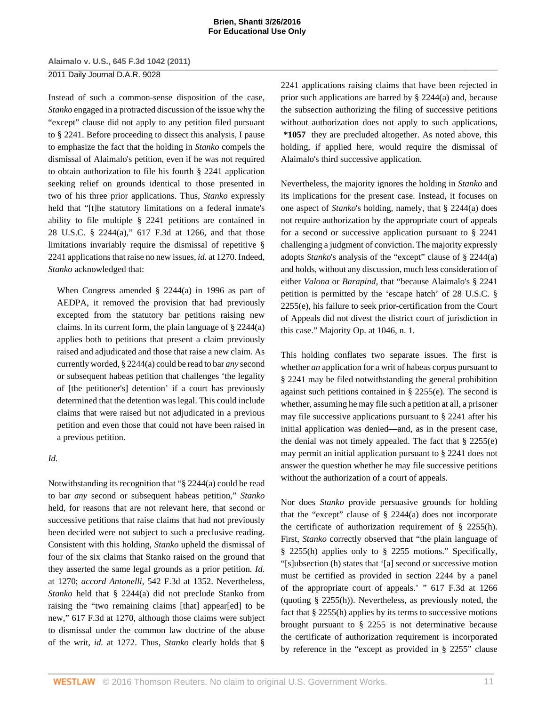2011 Daily Journal D.A.R. 9028

Instead of such a common-sense disposition of the case, *[Stanko](http://www.westlaw.com/Link/Document/FullText?findType=Y&serNum=2022729923&originatingDoc=I5835fa969cae11e0a8a2938374af9660&refType=RP&originationContext=document&vr=3.0&rs=cblt1.0&transitionType=DocumentItem&contextData=(sc.Keycite))* engaged in a protracted discussion of the issue why the "except" clause did not apply to any petition filed pursuant to [§ 2241.](http://www.westlaw.com/Link/Document/FullText?findType=L&pubNum=1000546&cite=28USCAS2241&originatingDoc=I5835fa969cae11e0a8a2938374af9660&refType=LQ&originationContext=document&vr=3.0&rs=cblt1.0&transitionType=DocumentItem&contextData=(sc.Keycite)) Before proceeding to dissect this analysis, I pause to emphasize the fact that the holding in *[Stanko](http://www.westlaw.com/Link/Document/FullText?findType=Y&serNum=2022729923&originatingDoc=I5835fa969cae11e0a8a2938374af9660&refType=RP&originationContext=document&vr=3.0&rs=cblt1.0&transitionType=DocumentItem&contextData=(sc.Keycite))* compels the dismissal of Alaimalo's petition, even if he was not required to obtain authorization to file his fourth [§ 2241](http://www.westlaw.com/Link/Document/FullText?findType=L&pubNum=1000546&cite=28USCAS2241&originatingDoc=I5835fa969cae11e0a8a2938374af9660&refType=LQ&originationContext=document&vr=3.0&rs=cblt1.0&transitionType=DocumentItem&contextData=(sc.Keycite)) application seeking relief on grounds identical to those presented in two of his three prior applications. Thus, *[Stanko](http://www.westlaw.com/Link/Document/FullText?findType=Y&serNum=2022729923&originatingDoc=I5835fa969cae11e0a8a2938374af9660&refType=RP&originationContext=document&vr=3.0&rs=cblt1.0&transitionType=DocumentItem&contextData=(sc.Keycite))* expressly held that "[t]he statutory limitations on a federal inmate's ability to file multiple [§ 2241](http://www.westlaw.com/Link/Document/FullText?findType=L&pubNum=1000546&cite=28USCAS2241&originatingDoc=I5835fa969cae11e0a8a2938374af9660&refType=LQ&originationContext=document&vr=3.0&rs=cblt1.0&transitionType=DocumentItem&contextData=(sc.Keycite)) petitions are contained in [28 U.S.C. § 2244\(a\),](http://www.westlaw.com/Link/Document/FullText?findType=L&pubNum=1000546&cite=28USCAS2244&originatingDoc=I5835fa969cae11e0a8a2938374af9660&refType=RB&originationContext=document&vr=3.0&rs=cblt1.0&transitionType=DocumentItem&contextData=(sc.Keycite)#co_pp_8b3b0000958a4)" [617 F.3d at 1266,](http://www.westlaw.com/Link/Document/FullText?findType=Y&serNum=2022729923&pubNum=506&originatingDoc=I5835fa969cae11e0a8a2938374af9660&refType=RP&fi=co_pp_sp_506_1266&originationContext=document&vr=3.0&rs=cblt1.0&transitionType=DocumentItem&contextData=(sc.Keycite)#co_pp_sp_506_1266) and that those limitations invariably require the dismissal of repetitive [§](http://www.westlaw.com/Link/Document/FullText?findType=L&pubNum=1000546&cite=28USCAS2241&originatingDoc=I5835fa969cae11e0a8a2938374af9660&refType=LQ&originationContext=document&vr=3.0&rs=cblt1.0&transitionType=DocumentItem&contextData=(sc.Keycite)) [2241](http://www.westlaw.com/Link/Document/FullText?findType=L&pubNum=1000546&cite=28USCAS2241&originatingDoc=I5835fa969cae11e0a8a2938374af9660&refType=LQ&originationContext=document&vr=3.0&rs=cblt1.0&transitionType=DocumentItem&contextData=(sc.Keycite)) applications that raise no new issues, *id.* [at 1270.](http://www.westlaw.com/Link/Document/FullText?findType=Y&serNum=2022729923&originatingDoc=I5835fa969cae11e0a8a2938374af9660&refType=RP&originationContext=document&vr=3.0&rs=cblt1.0&transitionType=DocumentItem&contextData=(sc.Keycite)) Indeed, *[Stanko](http://www.westlaw.com/Link/Document/FullText?findType=Y&serNum=2022729923&originatingDoc=I5835fa969cae11e0a8a2938374af9660&refType=RP&originationContext=document&vr=3.0&rs=cblt1.0&transitionType=DocumentItem&contextData=(sc.Keycite))* acknowledged that:

When Congress amended [§ 2244\(a\)](http://www.westlaw.com/Link/Document/FullText?findType=L&pubNum=1000546&cite=28USCAS2244&originatingDoc=I5835fa969cae11e0a8a2938374af9660&refType=RB&originationContext=document&vr=3.0&rs=cblt1.0&transitionType=DocumentItem&contextData=(sc.Keycite)#co_pp_8b3b0000958a4) in 1996 as part of AEDPA, it removed the provision that had previously excepted from the statutory bar petitions raising new claims. In its current form, the plain language of [§ 2244\(a\)](http://www.westlaw.com/Link/Document/FullText?findType=L&pubNum=1000546&cite=28USCAS2244&originatingDoc=I5835fa969cae11e0a8a2938374af9660&refType=RB&originationContext=document&vr=3.0&rs=cblt1.0&transitionType=DocumentItem&contextData=(sc.Keycite)#co_pp_8b3b0000958a4) applies both to petitions that present a claim previously raised and adjudicated and those that raise a new claim. As currently worded, [§ 2244\(a\)](http://www.westlaw.com/Link/Document/FullText?findType=L&pubNum=1000546&cite=28USCAS2244&originatingDoc=I5835fa969cae11e0a8a2938374af9660&refType=RB&originationContext=document&vr=3.0&rs=cblt1.0&transitionType=DocumentItem&contextData=(sc.Keycite)#co_pp_8b3b0000958a4) could be read to bar *any* second or subsequent habeas petition that challenges 'the legality of [the petitioner's] detention' if a court has previously determined that the detention was legal. This could include claims that were raised but not adjudicated in a previous petition and even those that could not have been raised in a previous petition.

# *[Id.](http://www.westlaw.com/Link/Document/FullText?findType=Y&serNum=2022729923&originatingDoc=I5835fa969cae11e0a8a2938374af9660&refType=RP&originationContext=document&vr=3.0&rs=cblt1.0&transitionType=DocumentItem&contextData=(sc.Keycite))*

Notwithstanding its recognition that "[§ 2244\(a\)](http://www.westlaw.com/Link/Document/FullText?findType=L&pubNum=1000546&cite=28USCAS2244&originatingDoc=I5835fa969cae11e0a8a2938374af9660&refType=RB&originationContext=document&vr=3.0&rs=cblt1.0&transitionType=DocumentItem&contextData=(sc.Keycite)#co_pp_8b3b0000958a4) could be read to bar *any* second or subsequent habeas petition," *[Stanko](http://www.westlaw.com/Link/Document/FullText?findType=Y&serNum=2022729923&originatingDoc=I5835fa969cae11e0a8a2938374af9660&refType=RP&originationContext=document&vr=3.0&rs=cblt1.0&transitionType=DocumentItem&contextData=(sc.Keycite))* held, for reasons that are not relevant here, that second or successive petitions that raise claims that had not previously been decided were not subject to such a preclusive reading. Consistent with this holding, *[Stanko](http://www.westlaw.com/Link/Document/FullText?findType=Y&serNum=2022729923&originatingDoc=I5835fa969cae11e0a8a2938374af9660&refType=RP&originationContext=document&vr=3.0&rs=cblt1.0&transitionType=DocumentItem&contextData=(sc.Keycite))* upheld the dismissal of four of the six claims that Stanko raised on the ground that they asserted the same legal grounds as a prior petition. *[Id.](http://www.westlaw.com/Link/Document/FullText?findType=Y&serNum=2022729923&originatingDoc=I5835fa969cae11e0a8a2938374af9660&refType=RP&originationContext=document&vr=3.0&rs=cblt1.0&transitionType=DocumentItem&contextData=(sc.Keycite))* [at 1270;](http://www.westlaw.com/Link/Document/FullText?findType=Y&serNum=2022729923&originatingDoc=I5835fa969cae11e0a8a2938374af9660&refType=RP&originationContext=document&vr=3.0&rs=cblt1.0&transitionType=DocumentItem&contextData=(sc.Keycite)) *accord Antonelli,* [542 F.3d at 1352.](http://www.westlaw.com/Link/Document/FullText?findType=Y&serNum=2016996021&pubNum=506&originatingDoc=I5835fa969cae11e0a8a2938374af9660&refType=RP&fi=co_pp_sp_506_1352&originationContext=document&vr=3.0&rs=cblt1.0&transitionType=DocumentItem&contextData=(sc.Keycite)#co_pp_sp_506_1352) Nevertheless, *[Stanko](http://www.westlaw.com/Link/Document/FullText?findType=Y&serNum=2022729923&originatingDoc=I5835fa969cae11e0a8a2938374af9660&refType=RP&originationContext=document&vr=3.0&rs=cblt1.0&transitionType=DocumentItem&contextData=(sc.Keycite))* held that [§ 2244\(a\)](http://www.westlaw.com/Link/Document/FullText?findType=L&pubNum=1000546&cite=28USCAS2244&originatingDoc=I5835fa969cae11e0a8a2938374af9660&refType=RB&originationContext=document&vr=3.0&rs=cblt1.0&transitionType=DocumentItem&contextData=(sc.Keycite)#co_pp_8b3b0000958a4) did not preclude Stanko from raising the "two remaining claims [that] appear[ed] to be new," [617 F.3d at 1270,](http://www.westlaw.com/Link/Document/FullText?findType=Y&serNum=2022729923&pubNum=506&originatingDoc=I5835fa969cae11e0a8a2938374af9660&refType=RP&fi=co_pp_sp_506_1270&originationContext=document&vr=3.0&rs=cblt1.0&transitionType=DocumentItem&contextData=(sc.Keycite)#co_pp_sp_506_1270) although those claims were subject to dismissal under the common law doctrine of the abuse of the writ, *id.* [at 1272.](http://www.westlaw.com/Link/Document/FullText?findType=Y&serNum=2022729923&originatingDoc=I5835fa969cae11e0a8a2938374af9660&refType=RP&originationContext=document&vr=3.0&rs=cblt1.0&transitionType=DocumentItem&contextData=(sc.Keycite)) Thus, *[Stanko](http://www.westlaw.com/Link/Document/FullText?findType=Y&serNum=2022729923&originatingDoc=I5835fa969cae11e0a8a2938374af9660&refType=RP&originationContext=document&vr=3.0&rs=cblt1.0&transitionType=DocumentItem&contextData=(sc.Keycite))* clearly holds that [§](http://www.westlaw.com/Link/Document/FullText?findType=L&pubNum=1000546&cite=28USCAS2241&originatingDoc=I5835fa969cae11e0a8a2938374af9660&refType=LQ&originationContext=document&vr=3.0&rs=cblt1.0&transitionType=DocumentItem&contextData=(sc.Keycite)) [2241](http://www.westlaw.com/Link/Document/FullText?findType=L&pubNum=1000546&cite=28USCAS2241&originatingDoc=I5835fa969cae11e0a8a2938374af9660&refType=LQ&originationContext=document&vr=3.0&rs=cblt1.0&transitionType=DocumentItem&contextData=(sc.Keycite)) applications raising claims that have been rejected in prior such applications are barred by [§ 2244\(a\)](http://www.westlaw.com/Link/Document/FullText?findType=L&pubNum=1000546&cite=28USCAS2244&originatingDoc=I5835fa969cae11e0a8a2938374af9660&refType=RB&originationContext=document&vr=3.0&rs=cblt1.0&transitionType=DocumentItem&contextData=(sc.Keycite)#co_pp_8b3b0000958a4) and, because the subsection authorizing the filing of successive petitions without authorization does not apply to such applications, **\*1057** they are precluded altogether. As noted above, this holding, if applied here, would require the dismissal of Alaimalo's third successive application.

Nevertheless, the majority ignores the holding in *[Stanko](http://www.westlaw.com/Link/Document/FullText?findType=Y&serNum=2022729923&originatingDoc=I5835fa969cae11e0a8a2938374af9660&refType=RP&originationContext=document&vr=3.0&rs=cblt1.0&transitionType=DocumentItem&contextData=(sc.Keycite))* and its implications for the present case. Instead, it focuses on one aspect of *[Stanko](http://www.westlaw.com/Link/Document/FullText?findType=Y&serNum=2022729923&originatingDoc=I5835fa969cae11e0a8a2938374af9660&refType=RP&originationContext=document&vr=3.0&rs=cblt1.0&transitionType=DocumentItem&contextData=(sc.Keycite))*'s holding, namely, that [§ 2244\(a\)](http://www.westlaw.com/Link/Document/FullText?findType=L&pubNum=1000546&cite=28USCAS2244&originatingDoc=I5835fa969cae11e0a8a2938374af9660&refType=RB&originationContext=document&vr=3.0&rs=cblt1.0&transitionType=DocumentItem&contextData=(sc.Keycite)#co_pp_8b3b0000958a4) does not require authorization by the appropriate court of appeals for a second or successive application pursuant to [§ 2241](http://www.westlaw.com/Link/Document/FullText?findType=L&pubNum=1000546&cite=28USCAS2241&originatingDoc=I5835fa969cae11e0a8a2938374af9660&refType=LQ&originationContext=document&vr=3.0&rs=cblt1.0&transitionType=DocumentItem&contextData=(sc.Keycite)) challenging a judgment of conviction. The majority expressly adopts *[Stanko](http://www.westlaw.com/Link/Document/FullText?findType=Y&serNum=2022729923&originatingDoc=I5835fa969cae11e0a8a2938374af9660&refType=RP&originationContext=document&vr=3.0&rs=cblt1.0&transitionType=DocumentItem&contextData=(sc.Keycite))*'s analysis of the "except" clause of [§ 2244\(a\)](http://www.westlaw.com/Link/Document/FullText?findType=L&pubNum=1000546&cite=28USCAS2244&originatingDoc=I5835fa969cae11e0a8a2938374af9660&refType=RB&originationContext=document&vr=3.0&rs=cblt1.0&transitionType=DocumentItem&contextData=(sc.Keycite)#co_pp_8b3b0000958a4) and holds, without any discussion, much less consideration of either *[Valona](http://www.westlaw.com/Link/Document/FullText?findType=Y&serNum=1998068736&originatingDoc=I5835fa969cae11e0a8a2938374af9660&refType=RP&originationContext=document&vr=3.0&rs=cblt1.0&transitionType=DocumentItem&contextData=(sc.Keycite))* or *[Barapind,](http://www.westlaw.com/Link/Document/FullText?findType=Y&serNum=2000489298&originatingDoc=I5835fa969cae11e0a8a2938374af9660&refType=RP&originationContext=document&vr=3.0&rs=cblt1.0&transitionType=DocumentItem&contextData=(sc.Keycite))* that "because Alaimalo's [§ 2241](http://www.westlaw.com/Link/Document/FullText?findType=L&pubNum=1000546&cite=28USCAS2241&originatingDoc=I5835fa969cae11e0a8a2938374af9660&refType=LQ&originationContext=document&vr=3.0&rs=cblt1.0&transitionType=DocumentItem&contextData=(sc.Keycite)) petition is permitted by the 'escape hatch' of [28 U.S.C. §](http://www.westlaw.com/Link/Document/FullText?findType=L&pubNum=1000546&cite=28USCAS2255&originatingDoc=I5835fa969cae11e0a8a2938374af9660&refType=RB&originationContext=document&vr=3.0&rs=cblt1.0&transitionType=DocumentItem&contextData=(sc.Keycite)#co_pp_7fdd00001ca15) [2255\(e\)](http://www.westlaw.com/Link/Document/FullText?findType=L&pubNum=1000546&cite=28USCAS2255&originatingDoc=I5835fa969cae11e0a8a2938374af9660&refType=RB&originationContext=document&vr=3.0&rs=cblt1.0&transitionType=DocumentItem&contextData=(sc.Keycite)#co_pp_7fdd00001ca15), his failure to seek prior-certification from the Court of Appeals did not divest the district court of jurisdiction in this case." Majority Op. at 1046, n. 1.

This holding conflates two separate issues. The first is whether *an* application for a writ of habeas corpus pursuant to [§ 2241](http://www.westlaw.com/Link/Document/FullText?findType=L&pubNum=1000546&cite=28USCAS2241&originatingDoc=I5835fa969cae11e0a8a2938374af9660&refType=LQ&originationContext=document&vr=3.0&rs=cblt1.0&transitionType=DocumentItem&contextData=(sc.Keycite)) may be filed notwithstanding the general prohibition against such petitions contained in [§ 2255\(e\).](http://www.westlaw.com/Link/Document/FullText?findType=L&pubNum=1000546&cite=28USCAS2255&originatingDoc=I5835fa969cae11e0a8a2938374af9660&refType=RB&originationContext=document&vr=3.0&rs=cblt1.0&transitionType=DocumentItem&contextData=(sc.Keycite)#co_pp_7fdd00001ca15) The second is whether, assuming he may file such a petition at all, a prisoner may file successive applications pursuant to [§ 2241](http://www.westlaw.com/Link/Document/FullText?findType=L&pubNum=1000546&cite=28USCAS2241&originatingDoc=I5835fa969cae11e0a8a2938374af9660&refType=LQ&originationContext=document&vr=3.0&rs=cblt1.0&transitionType=DocumentItem&contextData=(sc.Keycite)) after his initial application was denied—and, as in the present case, the denial was not timely appealed. The fact that [§ 2255\(e\)](http://www.westlaw.com/Link/Document/FullText?findType=L&pubNum=1000546&cite=28USCAS2255&originatingDoc=I5835fa969cae11e0a8a2938374af9660&refType=RB&originationContext=document&vr=3.0&rs=cblt1.0&transitionType=DocumentItem&contextData=(sc.Keycite)#co_pp_7fdd00001ca15) may permit an initial application pursuant to [§ 2241](http://www.westlaw.com/Link/Document/FullText?findType=L&pubNum=1000546&cite=28USCAS2241&originatingDoc=I5835fa969cae11e0a8a2938374af9660&refType=LQ&originationContext=document&vr=3.0&rs=cblt1.0&transitionType=DocumentItem&contextData=(sc.Keycite)) does not answer the question whether he may file successive petitions without the authorization of a court of appeals.

Nor does *[Stanko](http://www.westlaw.com/Link/Document/FullText?findType=Y&serNum=2022729923&originatingDoc=I5835fa969cae11e0a8a2938374af9660&refType=RP&originationContext=document&vr=3.0&rs=cblt1.0&transitionType=DocumentItem&contextData=(sc.Keycite))* provide persuasive grounds for holding that the "except" clause of  $\S$  2244(a) does not incorporate the certificate of authorization requirement of  $\S$  2255(h). First, *[Stanko](http://www.westlaw.com/Link/Document/FullText?findType=Y&serNum=2022729923&originatingDoc=I5835fa969cae11e0a8a2938374af9660&refType=RP&originationContext=document&vr=3.0&rs=cblt1.0&transitionType=DocumentItem&contextData=(sc.Keycite))* correctly observed that "the plain language of [§ 2255\(h\)](http://www.westlaw.com/Link/Document/FullText?findType=L&pubNum=1000546&cite=28USCAS2255&originatingDoc=I5835fa969cae11e0a8a2938374af9660&refType=RB&originationContext=document&vr=3.0&rs=cblt1.0&transitionType=DocumentItem&contextData=(sc.Keycite)#co_pp_f383000077b35) applies only to [§ 2255](http://www.westlaw.com/Link/Document/FullText?findType=L&pubNum=1000546&cite=28USCAS2255&originatingDoc=I5835fa969cae11e0a8a2938374af9660&refType=LQ&originationContext=document&vr=3.0&rs=cblt1.0&transitionType=DocumentItem&contextData=(sc.Keycite)) motions." Specifically, "[s]ubsection (h) states that '[a] second or successive motion must be certified as provided in [section 2244](http://www.westlaw.com/Link/Document/FullText?findType=L&pubNum=1000546&cite=28USCAS2244&originatingDoc=I5835fa969cae11e0a8a2938374af9660&refType=LQ&originationContext=document&vr=3.0&rs=cblt1.0&transitionType=DocumentItem&contextData=(sc.Keycite)) by a panel of the appropriate court of appeals.' " [617 F.3d at 1266](http://www.westlaw.com/Link/Document/FullText?findType=Y&serNum=2022729923&pubNum=506&originatingDoc=I5835fa969cae11e0a8a2938374af9660&refType=RP&fi=co_pp_sp_506_1266&originationContext=document&vr=3.0&rs=cblt1.0&transitionType=DocumentItem&contextData=(sc.Keycite)#co_pp_sp_506_1266) (quoting [§ 2255\(h\)\)](http://www.westlaw.com/Link/Document/FullText?findType=L&pubNum=1000546&cite=28USCAS2255&originatingDoc=I5835fa969cae11e0a8a2938374af9660&refType=RB&originationContext=document&vr=3.0&rs=cblt1.0&transitionType=DocumentItem&contextData=(sc.Keycite)#co_pp_f383000077b35). Nevertheless, as previously noted, the fact that [§ 2255\(h\)](http://www.westlaw.com/Link/Document/FullText?findType=L&pubNum=1000546&cite=28USCAS2255&originatingDoc=I5835fa969cae11e0a8a2938374af9660&refType=RB&originationContext=document&vr=3.0&rs=cblt1.0&transitionType=DocumentItem&contextData=(sc.Keycite)#co_pp_f383000077b35) applies by its terms to successive motions brought pursuant to [§ 2255](http://www.westlaw.com/Link/Document/FullText?findType=L&pubNum=1000546&cite=28USCAS2255&originatingDoc=I5835fa969cae11e0a8a2938374af9660&refType=LQ&originationContext=document&vr=3.0&rs=cblt1.0&transitionType=DocumentItem&contextData=(sc.Keycite)) is not determinative because the certificate of authorization requirement is incorporated by reference in the "except as provided in [§ 2255"](http://www.westlaw.com/Link/Document/FullText?findType=L&pubNum=1000546&cite=28USCAS2255&originatingDoc=I5835fa969cae11e0a8a2938374af9660&refType=LQ&originationContext=document&vr=3.0&rs=cblt1.0&transitionType=DocumentItem&contextData=(sc.Keycite)) clause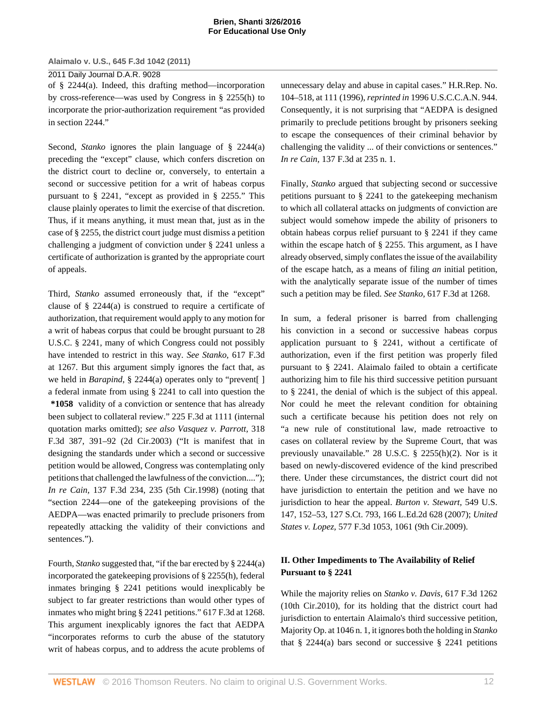### 2011 Daily Journal D.A.R. 9028

of [§ 2244\(a\)](http://www.westlaw.com/Link/Document/FullText?findType=L&pubNum=1000546&cite=28USCAS2244&originatingDoc=I5835fa969cae11e0a8a2938374af9660&refType=RB&originationContext=document&vr=3.0&rs=cblt1.0&transitionType=DocumentItem&contextData=(sc.Keycite)#co_pp_8b3b0000958a4). Indeed, this drafting method—incorporation by cross-reference—was used by Congress in [§ 2255\(h\)](http://www.westlaw.com/Link/Document/FullText?findType=L&pubNum=1000546&cite=28USCAS2255&originatingDoc=I5835fa969cae11e0a8a2938374af9660&refType=RB&originationContext=document&vr=3.0&rs=cblt1.0&transitionType=DocumentItem&contextData=(sc.Keycite)#co_pp_f383000077b35) to incorporate the prior-authorization requirement "as provided in [section 2244](http://www.westlaw.com/Link/Document/FullText?findType=L&pubNum=1000546&cite=28USCAS2244&originatingDoc=I5835fa969cae11e0a8a2938374af9660&refType=LQ&originationContext=document&vr=3.0&rs=cblt1.0&transitionType=DocumentItem&contextData=(sc.Keycite))."

Second, *[Stanko](http://www.westlaw.com/Link/Document/FullText?findType=Y&serNum=2022729923&originatingDoc=I5835fa969cae11e0a8a2938374af9660&refType=RP&originationContext=document&vr=3.0&rs=cblt1.0&transitionType=DocumentItem&contextData=(sc.Keycite))* ignores the plain language of [§ 2244\(a\)](http://www.westlaw.com/Link/Document/FullText?findType=L&pubNum=1000546&cite=28USCAS2244&originatingDoc=I5835fa969cae11e0a8a2938374af9660&refType=RB&originationContext=document&vr=3.0&rs=cblt1.0&transitionType=DocumentItem&contextData=(sc.Keycite)#co_pp_8b3b0000958a4) preceding the "except" clause, which confers discretion on the district court to decline or, conversely, to entertain a second or successive petition for a writ of habeas corpus pursuant to [§ 2241,](http://www.westlaw.com/Link/Document/FullText?findType=L&pubNum=1000546&cite=28USCAS2241&originatingDoc=I5835fa969cae11e0a8a2938374af9660&refType=LQ&originationContext=document&vr=3.0&rs=cblt1.0&transitionType=DocumentItem&contextData=(sc.Keycite)) "except as provided in [§ 2255](http://www.westlaw.com/Link/Document/FullText?findType=L&pubNum=1000546&cite=28USCAS2255&originatingDoc=I5835fa969cae11e0a8a2938374af9660&refType=LQ&originationContext=document&vr=3.0&rs=cblt1.0&transitionType=DocumentItem&contextData=(sc.Keycite))." This clause plainly operates to limit the exercise of that discretion. Thus, if it means anything, it must mean that, just as in the case of [§ 2255,](http://www.westlaw.com/Link/Document/FullText?findType=L&pubNum=1000546&cite=28USCAS2255&originatingDoc=I5835fa969cae11e0a8a2938374af9660&refType=LQ&originationContext=document&vr=3.0&rs=cblt1.0&transitionType=DocumentItem&contextData=(sc.Keycite)) the district court judge must dismiss a petition challenging a judgment of conviction under [§ 2241](http://www.westlaw.com/Link/Document/FullText?findType=L&pubNum=1000546&cite=28USCAS2241&originatingDoc=I5835fa969cae11e0a8a2938374af9660&refType=LQ&originationContext=document&vr=3.0&rs=cblt1.0&transitionType=DocumentItem&contextData=(sc.Keycite)) unless a certificate of authorization is granted by the appropriate court of appeals.

Third, *[Stanko](http://www.westlaw.com/Link/Document/FullText?findType=Y&serNum=2022729923&originatingDoc=I5835fa969cae11e0a8a2938374af9660&refType=RP&originationContext=document&vr=3.0&rs=cblt1.0&transitionType=DocumentItem&contextData=(sc.Keycite))* assumed erroneously that, if the "except" clause of [§ 2244\(a\)](http://www.westlaw.com/Link/Document/FullText?findType=L&pubNum=1000546&cite=28USCAS2244&originatingDoc=I5835fa969cae11e0a8a2938374af9660&refType=RB&originationContext=document&vr=3.0&rs=cblt1.0&transitionType=DocumentItem&contextData=(sc.Keycite)#co_pp_8b3b0000958a4) is construed to require a certificate of authorization, that requirement would apply to any motion for a writ of habeas corpus that could be brought pursuant to [28](http://www.westlaw.com/Link/Document/FullText?findType=L&pubNum=1000546&cite=28USCAS2241&originatingDoc=I5835fa969cae11e0a8a2938374af9660&refType=LQ&originationContext=document&vr=3.0&rs=cblt1.0&transitionType=DocumentItem&contextData=(sc.Keycite)) [U.S.C. § 2241](http://www.westlaw.com/Link/Document/FullText?findType=L&pubNum=1000546&cite=28USCAS2241&originatingDoc=I5835fa969cae11e0a8a2938374af9660&refType=LQ&originationContext=document&vr=3.0&rs=cblt1.0&transitionType=DocumentItem&contextData=(sc.Keycite)), many of which Congress could not possibly have intended to restrict in this way. *See Stanko,* [617 F.3d](http://www.westlaw.com/Link/Document/FullText?findType=Y&serNum=2022729923&pubNum=506&originatingDoc=I5835fa969cae11e0a8a2938374af9660&refType=RP&fi=co_pp_sp_506_1267&originationContext=document&vr=3.0&rs=cblt1.0&transitionType=DocumentItem&contextData=(sc.Keycite)#co_pp_sp_506_1267) [at 1267.](http://www.westlaw.com/Link/Document/FullText?findType=Y&serNum=2022729923&pubNum=506&originatingDoc=I5835fa969cae11e0a8a2938374af9660&refType=RP&fi=co_pp_sp_506_1267&originationContext=document&vr=3.0&rs=cblt1.0&transitionType=DocumentItem&contextData=(sc.Keycite)#co_pp_sp_506_1267) But this argument simply ignores the fact that, as we held in *[Barapind](http://www.westlaw.com/Link/Document/FullText?findType=Y&serNum=2000489298&originatingDoc=I5835fa969cae11e0a8a2938374af9660&refType=RP&originationContext=document&vr=3.0&rs=cblt1.0&transitionType=DocumentItem&contextData=(sc.Keycite))*, [§ 2244\(a\)](http://www.westlaw.com/Link/Document/FullText?findType=L&pubNum=1000546&cite=28USCAS2244&originatingDoc=I5835fa969cae11e0a8a2938374af9660&refType=RB&originationContext=document&vr=3.0&rs=cblt1.0&transitionType=DocumentItem&contextData=(sc.Keycite)#co_pp_8b3b0000958a4) operates only to "prevent[ ] a federal inmate from using [§ 2241](http://www.westlaw.com/Link/Document/FullText?findType=L&pubNum=1000546&cite=28USCAS2241&originatingDoc=I5835fa969cae11e0a8a2938374af9660&refType=LQ&originationContext=document&vr=3.0&rs=cblt1.0&transitionType=DocumentItem&contextData=(sc.Keycite)) to call into question the **\*1058** validity of a conviction or sentence that has already been subject to collateral review." [225 F.3d at 1111](http://www.westlaw.com/Link/Document/FullText?findType=Y&serNum=2000489298&pubNum=506&originatingDoc=I5835fa969cae11e0a8a2938374af9660&refType=RP&fi=co_pp_sp_506_1111&originationContext=document&vr=3.0&rs=cblt1.0&transitionType=DocumentItem&contextData=(sc.Keycite)#co_pp_sp_506_1111) (internal quotation marks omitted); *see also [Vasquez v. Parrott,](http://www.westlaw.com/Link/Document/FullText?findType=Y&serNum=2003117493&pubNum=506&originatingDoc=I5835fa969cae11e0a8a2938374af9660&refType=RP&fi=co_pp_sp_506_391&originationContext=document&vr=3.0&rs=cblt1.0&transitionType=DocumentItem&contextData=(sc.Keycite)#co_pp_sp_506_391)* 318 [F.3d 387, 391–92 \(2d Cir.2003\)](http://www.westlaw.com/Link/Document/FullText?findType=Y&serNum=2003117493&pubNum=506&originatingDoc=I5835fa969cae11e0a8a2938374af9660&refType=RP&fi=co_pp_sp_506_391&originationContext=document&vr=3.0&rs=cblt1.0&transitionType=DocumentItem&contextData=(sc.Keycite)#co_pp_sp_506_391) ("It is manifest that in designing the standards under which a second or successive petition would be allowed, Congress was contemplating only petitions that challenged the lawfulness of the conviction...."); *In re Cain,* [137 F.3d 234, 235 \(5th Cir.1998\)](http://www.westlaw.com/Link/Document/FullText?findType=Y&serNum=1998072184&pubNum=506&originatingDoc=I5835fa969cae11e0a8a2938374af9660&refType=RP&fi=co_pp_sp_506_235&originationContext=document&vr=3.0&rs=cblt1.0&transitionType=DocumentItem&contextData=(sc.Keycite)#co_pp_sp_506_235) (noting that "section 2244—one of the gatekeeping provisions of the AEDPA—was enacted primarily to preclude prisoners from repeatedly attacking the validity of their convictions and sentences.").

Fourth, *[Stanko](http://www.westlaw.com/Link/Document/FullText?findType=Y&serNum=2022729923&originatingDoc=I5835fa969cae11e0a8a2938374af9660&refType=RP&originationContext=document&vr=3.0&rs=cblt1.0&transitionType=DocumentItem&contextData=(sc.Keycite))* suggested that, "if the bar erected by [§ 2244\(a\)](http://www.westlaw.com/Link/Document/FullText?findType=L&pubNum=1000546&cite=28USCAS2244&originatingDoc=I5835fa969cae11e0a8a2938374af9660&refType=RB&originationContext=document&vr=3.0&rs=cblt1.0&transitionType=DocumentItem&contextData=(sc.Keycite)#co_pp_8b3b0000958a4) incorporated the gatekeeping provisions of [§ 2255\(h\),](http://www.westlaw.com/Link/Document/FullText?findType=L&pubNum=1000546&cite=28USCAS2255&originatingDoc=I5835fa969cae11e0a8a2938374af9660&refType=RB&originationContext=document&vr=3.0&rs=cblt1.0&transitionType=DocumentItem&contextData=(sc.Keycite)#co_pp_f383000077b35) federal inmates bringing [§ 2241](http://www.westlaw.com/Link/Document/FullText?findType=L&pubNum=1000546&cite=28USCAS2241&originatingDoc=I5835fa969cae11e0a8a2938374af9660&refType=LQ&originationContext=document&vr=3.0&rs=cblt1.0&transitionType=DocumentItem&contextData=(sc.Keycite)) petitions would inexplicably be subject to far greater restrictions than would other types of inmates who might bring [§ 2241](http://www.westlaw.com/Link/Document/FullText?findType=L&pubNum=1000546&cite=28USCAS2241&originatingDoc=I5835fa969cae11e0a8a2938374af9660&refType=LQ&originationContext=document&vr=3.0&rs=cblt1.0&transitionType=DocumentItem&contextData=(sc.Keycite)) petitions." [617 F.3d at 1268.](http://www.westlaw.com/Link/Document/FullText?findType=Y&serNum=2022729923&pubNum=506&originatingDoc=I5835fa969cae11e0a8a2938374af9660&refType=RP&fi=co_pp_sp_506_1268&originationContext=document&vr=3.0&rs=cblt1.0&transitionType=DocumentItem&contextData=(sc.Keycite)#co_pp_sp_506_1268) This argument inexplicably ignores the fact that AEDPA "incorporates reforms to curb the abuse of the statutory writ of habeas corpus, and to address the acute problems of unnecessary delay and abuse in capital cases." [H.R.Rep. No.](http://www.westlaw.com/Link/Document/FullText?findType=Y&pubNum=0100014&cite=HRREP104-518&originatingDoc=I5835fa969cae11e0a8a2938374af9660&refType=TV&originationContext=document&vr=3.0&rs=cblt1.0&transitionType=DocumentItem&contextData=(sc.Keycite)) [104–518, at 111 \(1996\)](http://www.westlaw.com/Link/Document/FullText?findType=Y&pubNum=0100014&cite=HRREP104-518&originatingDoc=I5835fa969cae11e0a8a2938374af9660&refType=TV&originationContext=document&vr=3.0&rs=cblt1.0&transitionType=DocumentItem&contextData=(sc.Keycite)), *reprinted in* 1996 U.S.C.C.A.N. 944. Consequently, it is not surprising that "AEDPA is designed primarily to preclude petitions brought by prisoners seeking to escape the consequences of their criminal behavior by challenging the validity ... of their convictions or sentences." *In re Cain,* [137 F.3d at 235 n. 1](http://www.westlaw.com/Link/Document/FullText?findType=Y&serNum=1998072184&pubNum=506&originatingDoc=I5835fa969cae11e0a8a2938374af9660&refType=RP&fi=co_pp_sp_506_235&originationContext=document&vr=3.0&rs=cblt1.0&transitionType=DocumentItem&contextData=(sc.Keycite)#co_pp_sp_506_235).

Finally, *[Stanko](http://www.westlaw.com/Link/Document/FullText?findType=Y&serNum=2022729923&originatingDoc=I5835fa969cae11e0a8a2938374af9660&refType=RP&originationContext=document&vr=3.0&rs=cblt1.0&transitionType=DocumentItem&contextData=(sc.Keycite))* argued that subjecting second or successive petitions pursuant to [§ 2241](http://www.westlaw.com/Link/Document/FullText?findType=L&pubNum=1000546&cite=28USCAS2241&originatingDoc=I5835fa969cae11e0a8a2938374af9660&refType=LQ&originationContext=document&vr=3.0&rs=cblt1.0&transitionType=DocumentItem&contextData=(sc.Keycite)) to the gatekeeping mechanism to which all collateral attacks on judgments of conviction are subject would somehow impede the ability of prisoners to obtain habeas corpus relief pursuant to [§ 2241](http://www.westlaw.com/Link/Document/FullText?findType=L&pubNum=1000546&cite=28USCAS2241&originatingDoc=I5835fa969cae11e0a8a2938374af9660&refType=LQ&originationContext=document&vr=3.0&rs=cblt1.0&transitionType=DocumentItem&contextData=(sc.Keycite)) if they came within the escape hatch of [§ 2255](http://www.westlaw.com/Link/Document/FullText?findType=L&pubNum=1000546&cite=28USCAS2255&originatingDoc=I5835fa969cae11e0a8a2938374af9660&refType=LQ&originationContext=document&vr=3.0&rs=cblt1.0&transitionType=DocumentItem&contextData=(sc.Keycite)). This argument, as I have already observed, simply conflates the issue of the availability of the escape hatch, as a means of filing *an* initial petition, with the analytically separate issue of the number of times such a petition may be filed. *See Stanko,* [617 F.3d at 1268](http://www.westlaw.com/Link/Document/FullText?findType=Y&serNum=2022729923&pubNum=506&originatingDoc=I5835fa969cae11e0a8a2938374af9660&refType=RP&fi=co_pp_sp_506_1268&originationContext=document&vr=3.0&rs=cblt1.0&transitionType=DocumentItem&contextData=(sc.Keycite)#co_pp_sp_506_1268).

In sum, a federal prisoner is barred from challenging his conviction in a second or successive habeas corpus application pursuant to [§ 2241](http://www.westlaw.com/Link/Document/FullText?findType=L&pubNum=1000546&cite=28USCAS2241&originatingDoc=I5835fa969cae11e0a8a2938374af9660&refType=LQ&originationContext=document&vr=3.0&rs=cblt1.0&transitionType=DocumentItem&contextData=(sc.Keycite)), without a certificate of authorization, even if the first petition was properly filed pursuant to [§ 2241](http://www.westlaw.com/Link/Document/FullText?findType=L&pubNum=1000546&cite=28USCAS2241&originatingDoc=I5835fa969cae11e0a8a2938374af9660&refType=LQ&originationContext=document&vr=3.0&rs=cblt1.0&transitionType=DocumentItem&contextData=(sc.Keycite)). Alaimalo failed to obtain a certificate authorizing him to file his third successive petition pursuant to [§ 2241](http://www.westlaw.com/Link/Document/FullText?findType=L&pubNum=1000546&cite=28USCAS2241&originatingDoc=I5835fa969cae11e0a8a2938374af9660&refType=LQ&originationContext=document&vr=3.0&rs=cblt1.0&transitionType=DocumentItem&contextData=(sc.Keycite)), the denial of which is the subject of this appeal. Nor could he meet the relevant condition for obtaining such a certificate because his petition does not rely on "a new rule of constitutional law, made retroactive to cases on collateral review by the Supreme Court, that was previously unavailable." [28 U.S.C. § 2255\(h\)\(2\).](http://www.westlaw.com/Link/Document/FullText?findType=L&pubNum=1000546&cite=28USCAS2255&originatingDoc=I5835fa969cae11e0a8a2938374af9660&refType=RB&originationContext=document&vr=3.0&rs=cblt1.0&transitionType=DocumentItem&contextData=(sc.Keycite)#co_pp_1d410000745d2) Nor is it based on newly-discovered evidence of the kind prescribed there. Under these circumstances, the district court did not have jurisdiction to entertain the petition and we have no jurisdiction to hear the appeal. *[Burton v. Stewart,](http://www.westlaw.com/Link/Document/FullText?findType=Y&serNum=2011143141&pubNum=708&originatingDoc=I5835fa969cae11e0a8a2938374af9660&refType=RP&originationContext=document&vr=3.0&rs=cblt1.0&transitionType=DocumentItem&contextData=(sc.Keycite))* 549 U.S. [147, 152–53, 127 S.Ct. 793, 166 L.Ed.2d 628 \(2007\);](http://www.westlaw.com/Link/Document/FullText?findType=Y&serNum=2011143141&pubNum=708&originatingDoc=I5835fa969cae11e0a8a2938374af9660&refType=RP&originationContext=document&vr=3.0&rs=cblt1.0&transitionType=DocumentItem&contextData=(sc.Keycite)) *[United](http://www.westlaw.com/Link/Document/FullText?findType=Y&serNum=2019624295&pubNum=506&originatingDoc=I5835fa969cae11e0a8a2938374af9660&refType=RP&fi=co_pp_sp_506_1061&originationContext=document&vr=3.0&rs=cblt1.0&transitionType=DocumentItem&contextData=(sc.Keycite)#co_pp_sp_506_1061) States v. Lopez,* [577 F.3d 1053, 1061 \(9th Cir.2009\)](http://www.westlaw.com/Link/Document/FullText?findType=Y&serNum=2019624295&pubNum=506&originatingDoc=I5835fa969cae11e0a8a2938374af9660&refType=RP&fi=co_pp_sp_506_1061&originationContext=document&vr=3.0&rs=cblt1.0&transitionType=DocumentItem&contextData=(sc.Keycite)#co_pp_sp_506_1061).

# **II. Other Impediments to The Availability of Relief Pursuant to [§ 2241](http://www.westlaw.com/Link/Document/FullText?findType=L&pubNum=1000546&cite=28USCAS2241&originatingDoc=I5835fa969cae11e0a8a2938374af9660&refType=LQ&originationContext=document&vr=3.0&rs=cblt1.0&transitionType=DocumentItem&contextData=(sc.Keycite))**

While the majority relies on *[Stanko v. Davis,](http://www.westlaw.com/Link/Document/FullText?findType=Y&serNum=2022729923&pubNum=506&originatingDoc=I5835fa969cae11e0a8a2938374af9660&refType=RP&originationContext=document&vr=3.0&rs=cblt1.0&transitionType=DocumentItem&contextData=(sc.Keycite))* 617 F.3d 1262 [\(10th Cir.2010\)](http://www.westlaw.com/Link/Document/FullText?findType=Y&serNum=2022729923&pubNum=506&originatingDoc=I5835fa969cae11e0a8a2938374af9660&refType=RP&originationContext=document&vr=3.0&rs=cblt1.0&transitionType=DocumentItem&contextData=(sc.Keycite)), for its holding that the district court had jurisdiction to entertain Alaimalo's third successive petition, Majority Op. at 1046 n. 1, it ignores both the holding in *[Stanko](http://www.westlaw.com/Link/Document/FullText?findType=Y&serNum=2022729923&originatingDoc=I5835fa969cae11e0a8a2938374af9660&refType=RP&originationContext=document&vr=3.0&rs=cblt1.0&transitionType=DocumentItem&contextData=(sc.Keycite))* that  $\S$  2244(a) bars second or successive  $\S$  2241 petitions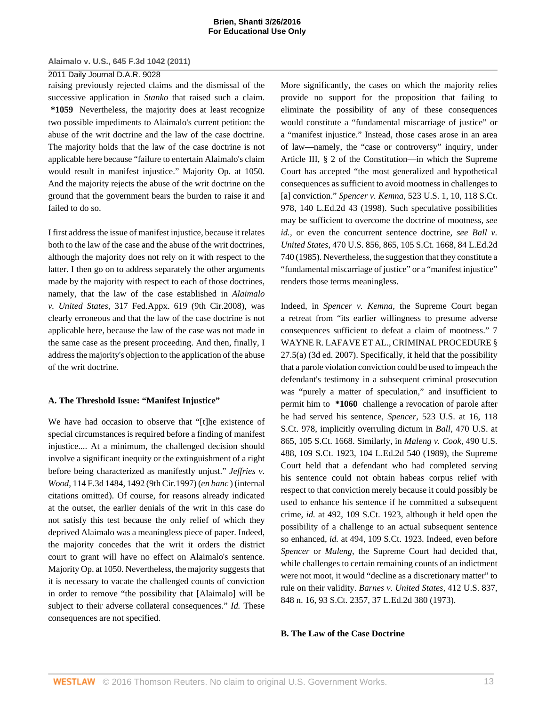### 2011 Daily Journal D.A.R. 9028

raising previously rejected claims and the dismissal of the successive application in *[Stanko](http://www.westlaw.com/Link/Document/FullText?findType=Y&serNum=2022729923&originatingDoc=I5835fa969cae11e0a8a2938374af9660&refType=RP&originationContext=document&vr=3.0&rs=cblt1.0&transitionType=DocumentItem&contextData=(sc.Keycite))* that raised such a claim. **\*1059** Nevertheless, the majority does at least recognize two possible impediments to Alaimalo's current petition: the abuse of the writ doctrine and the law of the case doctrine. The majority holds that the law of the case doctrine is not applicable here because "failure to entertain Alaimalo's claim would result in manifest injustice." Majority Op. at 1050. And the majority rejects the abuse of the writ doctrine on the ground that the government bears the burden to raise it and failed to do so.

I first address the issue of manifest injustice, because it relates both to the law of the case and the abuse of the writ doctrines, although the majority does not rely on it with respect to the latter. I then go on to address separately the other arguments made by the majority with respect to each of those doctrines, namely, that the law of the case established in *[Alaimalo](http://www.westlaw.com/Link/Document/FullText?findType=Y&serNum=2017121712&pubNum=6538&originatingDoc=I5835fa969cae11e0a8a2938374af9660&refType=RP&originationContext=document&vr=3.0&rs=cblt1.0&transitionType=DocumentItem&contextData=(sc.Keycite)) v. United States,* [317 Fed.Appx. 619 \(9th Cir.2008\)](http://www.westlaw.com/Link/Document/FullText?findType=Y&serNum=2017121712&pubNum=6538&originatingDoc=I5835fa969cae11e0a8a2938374af9660&refType=RP&originationContext=document&vr=3.0&rs=cblt1.0&transitionType=DocumentItem&contextData=(sc.Keycite)), was clearly erroneous and that the law of the case doctrine is not applicable here, because the law of the case was not made in the same case as the present proceeding. And then, finally, I address the majority's objection to the application of the abuse of the writ doctrine.

### **A. The Threshold Issue: "Manifest Injustice"**

We have had occasion to observe that "[t]he existence of special circumstances is required before a finding of manifest injustice.... At a minimum, the challenged decision should involve a significant inequity or the extinguishment of a right before being characterized as manifestly unjust." *[Jeffries v.](http://www.westlaw.com/Link/Document/FullText?findType=Y&serNum=1997110546&pubNum=506&originatingDoc=I5835fa969cae11e0a8a2938374af9660&refType=RP&fi=co_pp_sp_506_1492&originationContext=document&vr=3.0&rs=cblt1.0&transitionType=DocumentItem&contextData=(sc.Keycite)#co_pp_sp_506_1492) Wood,* [114 F.3d 1484, 1492 \(9th Cir.1997\)](http://www.westlaw.com/Link/Document/FullText?findType=Y&serNum=1997110546&pubNum=506&originatingDoc=I5835fa969cae11e0a8a2938374af9660&refType=RP&fi=co_pp_sp_506_1492&originationContext=document&vr=3.0&rs=cblt1.0&transitionType=DocumentItem&contextData=(sc.Keycite)#co_pp_sp_506_1492) (*en banc* ) (internal citations omitted). Of course, for reasons already indicated at the outset, the earlier denials of the writ in this case do not satisfy this test because the only relief of which they deprived Alaimalo was a meaningless piece of paper. Indeed, the majority concedes that the writ it orders the district court to grant will have no effect on Alaimalo's sentence. Majority Op. at 1050. Nevertheless, the majority suggests that it is necessary to vacate the challenged counts of conviction in order to remove "the possibility that [Alaimalo] will be subject to their adverse collateral consequences." *Id.* These consequences are not specified.

More significantly, the cases on which the majority relies provide no support for the proposition that failing to eliminate the possibility of any of these consequences would constitute a "fundamental miscarriage of justice" or a "manifest injustice." Instead, those cases arose in an area of law—namely, the "case or controversy" inquiry, under Article III, § 2 of the Constitution—in which the Supreme Court has accepted "the most generalized and hypothetical consequences as sufficient to avoid mootness in challenges to [a] conviction." *Spencer v. Kemna,* [523 U.S. 1, 10, 118 S.Ct.](http://www.westlaw.com/Link/Document/FullText?findType=Y&serNum=1998061324&pubNum=708&originatingDoc=I5835fa969cae11e0a8a2938374af9660&refType=RP&originationContext=document&vr=3.0&rs=cblt1.0&transitionType=DocumentItem&contextData=(sc.Keycite)) [978, 140 L.Ed.2d 43 \(1998\)](http://www.westlaw.com/Link/Document/FullText?findType=Y&serNum=1998061324&pubNum=708&originatingDoc=I5835fa969cae11e0a8a2938374af9660&refType=RP&originationContext=document&vr=3.0&rs=cblt1.0&transitionType=DocumentItem&contextData=(sc.Keycite)). Such speculative possibilities may be sufficient to overcome the doctrine of mootness, *see [id.,](http://www.westlaw.com/Link/Document/FullText?findType=Y&serNum=1998061324&originatingDoc=I5835fa969cae11e0a8a2938374af9660&refType=RP&originationContext=document&vr=3.0&rs=cblt1.0&transitionType=DocumentItem&contextData=(sc.Keycite))* or even the concurrent sentence doctrine, *see [Ball v.](http://www.westlaw.com/Link/Document/FullText?findType=Y&serNum=1985115399&pubNum=708&originatingDoc=I5835fa969cae11e0a8a2938374af9660&refType=RP&originationContext=document&vr=3.0&rs=cblt1.0&transitionType=DocumentItem&contextData=(sc.Keycite)) United States,* [470 U.S. 856, 865, 105 S.Ct. 1668, 84 L.Ed.2d](http://www.westlaw.com/Link/Document/FullText?findType=Y&serNum=1985115399&pubNum=708&originatingDoc=I5835fa969cae11e0a8a2938374af9660&refType=RP&originationContext=document&vr=3.0&rs=cblt1.0&transitionType=DocumentItem&contextData=(sc.Keycite)) [740 \(1985\)](http://www.westlaw.com/Link/Document/FullText?findType=Y&serNum=1985115399&pubNum=708&originatingDoc=I5835fa969cae11e0a8a2938374af9660&refType=RP&originationContext=document&vr=3.0&rs=cblt1.0&transitionType=DocumentItem&contextData=(sc.Keycite)). Nevertheless, the suggestion that they constitute a "fundamental miscarriage of justice" or a "manifest injustice" renders those terms meaningless.

Indeed, in *[Spencer v. Kemna,](http://www.westlaw.com/Link/Document/FullText?findType=Y&serNum=1998061324&originatingDoc=I5835fa969cae11e0a8a2938374af9660&refType=RP&originationContext=document&vr=3.0&rs=cblt1.0&transitionType=DocumentItem&contextData=(sc.Keycite))* the Supreme Court began a retreat from "its earlier willingness to presume adverse consequences sufficient to defeat a claim of mootness." [7](http://www.westlaw.com/Link/Document/FullText?findType=Y&serNum=0335016987&pubNum=0131619&originatingDoc=I5835fa969cae11e0a8a2938374af9660&refType=TS&originationContext=document&vr=3.0&rs=cblt1.0&transitionType=DocumentItem&contextData=(sc.Keycite)) [WAYNE R. LAFAVE ET AL., CRIMINAL PROCEDURE §](http://www.westlaw.com/Link/Document/FullText?findType=Y&serNum=0335016987&pubNum=0131619&originatingDoc=I5835fa969cae11e0a8a2938374af9660&refType=TS&originationContext=document&vr=3.0&rs=cblt1.0&transitionType=DocumentItem&contextData=(sc.Keycite)) [27.5\(a\) \(3d ed. 2007\)](http://www.westlaw.com/Link/Document/FullText?findType=Y&serNum=0335016987&pubNum=0131619&originatingDoc=I5835fa969cae11e0a8a2938374af9660&refType=TS&originationContext=document&vr=3.0&rs=cblt1.0&transitionType=DocumentItem&contextData=(sc.Keycite)). Specifically, it held that the possibility that a parole violation conviction could be used to impeach the defendant's testimony in a subsequent criminal prosecution was "purely a matter of speculation," and insufficient to permit him to **\*1060** challenge a revocation of parole after he had served his sentence, *Spencer,* [523 U.S. at 16, 118](http://www.westlaw.com/Link/Document/FullText?findType=Y&serNum=1998061324&pubNum=708&originatingDoc=I5835fa969cae11e0a8a2938374af9660&refType=RP&originationContext=document&vr=3.0&rs=cblt1.0&transitionType=DocumentItem&contextData=(sc.Keycite)) [S.Ct. 978,](http://www.westlaw.com/Link/Document/FullText?findType=Y&serNum=1998061324&pubNum=708&originatingDoc=I5835fa969cae11e0a8a2938374af9660&refType=RP&originationContext=document&vr=3.0&rs=cblt1.0&transitionType=DocumentItem&contextData=(sc.Keycite)) implicitly overruling dictum in *Ball,* [470 U.S. at](http://www.westlaw.com/Link/Document/FullText?findType=Y&serNum=1985115399&pubNum=708&originatingDoc=I5835fa969cae11e0a8a2938374af9660&refType=RP&originationContext=document&vr=3.0&rs=cblt1.0&transitionType=DocumentItem&contextData=(sc.Keycite)) [865, 105 S.Ct. 1668.](http://www.westlaw.com/Link/Document/FullText?findType=Y&serNum=1985115399&pubNum=708&originatingDoc=I5835fa969cae11e0a8a2938374af9660&refType=RP&originationContext=document&vr=3.0&rs=cblt1.0&transitionType=DocumentItem&contextData=(sc.Keycite)) Similarly, in *[Maleng v. Cook,](http://www.westlaw.com/Link/Document/FullText?findType=Y&serNum=1989072204&pubNum=708&originatingDoc=I5835fa969cae11e0a8a2938374af9660&refType=RP&originationContext=document&vr=3.0&rs=cblt1.0&transitionType=DocumentItem&contextData=(sc.Keycite))* 490 U.S. [488, 109 S.Ct. 1923, 104 L.Ed.2d 540 \(1989\)](http://www.westlaw.com/Link/Document/FullText?findType=Y&serNum=1989072204&pubNum=708&originatingDoc=I5835fa969cae11e0a8a2938374af9660&refType=RP&originationContext=document&vr=3.0&rs=cblt1.0&transitionType=DocumentItem&contextData=(sc.Keycite)), the Supreme Court held that a defendant who had completed serving his sentence could not obtain habeas corpus relief with respect to that conviction merely because it could possibly be used to enhance his sentence if he committed a subsequent crime, *id.* [at 492, 109 S.Ct. 1923,](http://www.westlaw.com/Link/Document/FullText?findType=Y&serNum=1989072204&pubNum=708&originatingDoc=I5835fa969cae11e0a8a2938374af9660&refType=RP&originationContext=document&vr=3.0&rs=cblt1.0&transitionType=DocumentItem&contextData=(sc.Keycite)) although it held open the possibility of a challenge to an actual subsequent sentence so enhanced, *id.* [at 494, 109 S.Ct. 1923.](http://www.westlaw.com/Link/Document/FullText?findType=Y&serNum=1989072204&pubNum=708&originatingDoc=I5835fa969cae11e0a8a2938374af9660&refType=RP&originationContext=document&vr=3.0&rs=cblt1.0&transitionType=DocumentItem&contextData=(sc.Keycite)) Indeed, even before *[Spencer](http://www.westlaw.com/Link/Document/FullText?findType=Y&serNum=1998061324&originatingDoc=I5835fa969cae11e0a8a2938374af9660&refType=RP&originationContext=document&vr=3.0&rs=cblt1.0&transitionType=DocumentItem&contextData=(sc.Keycite))* or *[Maleng,](http://www.westlaw.com/Link/Document/FullText?findType=Y&serNum=1989072204&originatingDoc=I5835fa969cae11e0a8a2938374af9660&refType=RP&originationContext=document&vr=3.0&rs=cblt1.0&transitionType=DocumentItem&contextData=(sc.Keycite))* the Supreme Court had decided that, while challenges to certain remaining counts of an indictment were not moot, it would "decline as a discretionary matter" to rule on their validity. *[Barnes v. United States,](http://www.westlaw.com/Link/Document/FullText?findType=Y&serNum=1973126423&pubNum=708&originatingDoc=I5835fa969cae11e0a8a2938374af9660&refType=RP&originationContext=document&vr=3.0&rs=cblt1.0&transitionType=DocumentItem&contextData=(sc.Keycite))* 412 U.S. 837, [848 n. 16, 93 S.Ct. 2357, 37 L.Ed.2d 380 \(1973\).](http://www.westlaw.com/Link/Document/FullText?findType=Y&serNum=1973126423&pubNum=708&originatingDoc=I5835fa969cae11e0a8a2938374af9660&refType=RP&originationContext=document&vr=3.0&rs=cblt1.0&transitionType=DocumentItem&contextData=(sc.Keycite))

# **B. The Law of the Case Doctrine**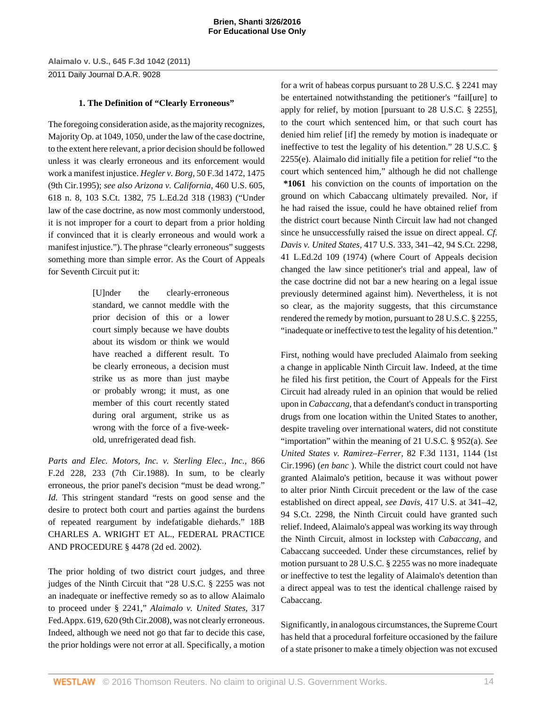2011 Daily Journal D.A.R. 9028

# **1. The Definition of "Clearly Erroneous"**

The foregoing consideration aside, as the majority recognizes, Majority Op. at 1049, 1050, under the law of the case doctrine, to the extent here relevant, a prior decision should be followed unless it was clearly erroneous and its enforcement would work a manifest injustice. *Hegler v. Borg,* [50 F.3d 1472, 1475](http://www.westlaw.com/Link/Document/FullText?findType=Y&serNum=1995073034&pubNum=506&originatingDoc=I5835fa969cae11e0a8a2938374af9660&refType=RP&fi=co_pp_sp_506_1475&originationContext=document&vr=3.0&rs=cblt1.0&transitionType=DocumentItem&contextData=(sc.Keycite)#co_pp_sp_506_1475) [\(9th Cir.1995\)](http://www.westlaw.com/Link/Document/FullText?findType=Y&serNum=1995073034&pubNum=506&originatingDoc=I5835fa969cae11e0a8a2938374af9660&refType=RP&fi=co_pp_sp_506_1475&originationContext=document&vr=3.0&rs=cblt1.0&transitionType=DocumentItem&contextData=(sc.Keycite)#co_pp_sp_506_1475); *see also [Arizona v. California,](http://www.westlaw.com/Link/Document/FullText?findType=Y&serNum=1983114949&pubNum=708&originatingDoc=I5835fa969cae11e0a8a2938374af9660&refType=RP&originationContext=document&vr=3.0&rs=cblt1.0&transitionType=DocumentItem&contextData=(sc.Keycite))* 460 U.S. 605, [618 n. 8, 103 S.Ct. 1382, 75 L.Ed.2d 318 \(1983\)](http://www.westlaw.com/Link/Document/FullText?findType=Y&serNum=1983114949&pubNum=708&originatingDoc=I5835fa969cae11e0a8a2938374af9660&refType=RP&originationContext=document&vr=3.0&rs=cblt1.0&transitionType=DocumentItem&contextData=(sc.Keycite)) ("Under law of the case doctrine, as now most commonly understood, it is not improper for a court to depart from a prior holding if convinced that it is clearly erroneous and would work a manifest injustice."). The phrase "clearly erroneous" suggests something more than simple error. As the Court of Appeals for Seventh Circuit put it:

> [U]nder the clearly-erroneous standard, we cannot meddle with the prior decision of this or a lower court simply because we have doubts about its wisdom or think we would have reached a different result. To be clearly erroneous, a decision must strike us as more than just maybe or probably wrong; it must, as one member of this court recently stated during oral argument, strike us as wrong with the force of a five-weekold, unrefrigerated dead fish.

*[Parts and Elec. Motors, Inc. v. Sterling Elec., Inc.,](http://www.westlaw.com/Link/Document/FullText?findType=Y&serNum=1989017802&pubNum=350&originatingDoc=I5835fa969cae11e0a8a2938374af9660&refType=RP&fi=co_pp_sp_350_233&originationContext=document&vr=3.0&rs=cblt1.0&transitionType=DocumentItem&contextData=(sc.Keycite)#co_pp_sp_350_233)* 866 [F.2d 228, 233 \(7th Cir.1988\)](http://www.westlaw.com/Link/Document/FullText?findType=Y&serNum=1989017802&pubNum=350&originatingDoc=I5835fa969cae11e0a8a2938374af9660&refType=RP&fi=co_pp_sp_350_233&originationContext=document&vr=3.0&rs=cblt1.0&transitionType=DocumentItem&contextData=(sc.Keycite)#co_pp_sp_350_233). In sum, to be clearly erroneous, the prior panel's decision "must be dead wrong." *[Id.](http://www.westlaw.com/Link/Document/FullText?findType=Y&serNum=1989017802&originatingDoc=I5835fa969cae11e0a8a2938374af9660&refType=RP&originationContext=document&vr=3.0&rs=cblt1.0&transitionType=DocumentItem&contextData=(sc.Keycite))* This stringent standard "rests on good sense and the desire to protect both court and parties against the burdens of repeated reargument by indefatigable diehards." [18B](http://www.westlaw.com/Link/Document/FullText?findType=Y&serNum=0288024767&pubNum=0102228&originatingDoc=I5835fa969cae11e0a8a2938374af9660&refType=TS&originationContext=document&vr=3.0&rs=cblt1.0&transitionType=DocumentItem&contextData=(sc.Keycite)) [CHARLES A. WRIGHT ET AL., FEDERAL PRACTICE](http://www.westlaw.com/Link/Document/FullText?findType=Y&serNum=0288024767&pubNum=0102228&originatingDoc=I5835fa969cae11e0a8a2938374af9660&refType=TS&originationContext=document&vr=3.0&rs=cblt1.0&transitionType=DocumentItem&contextData=(sc.Keycite)) [AND PROCEDURE § 4478 \(2d ed. 2002\).](http://www.westlaw.com/Link/Document/FullText?findType=Y&serNum=0288024767&pubNum=0102228&originatingDoc=I5835fa969cae11e0a8a2938374af9660&refType=TS&originationContext=document&vr=3.0&rs=cblt1.0&transitionType=DocumentItem&contextData=(sc.Keycite))

The prior holding of two district court judges, and three judges of the Ninth Circuit that ["28 U.S.C. § 2255](http://www.westlaw.com/Link/Document/FullText?findType=L&pubNum=1000546&cite=28USCAS2255&originatingDoc=I5835fa969cae11e0a8a2938374af9660&refType=LQ&originationContext=document&vr=3.0&rs=cblt1.0&transitionType=DocumentItem&contextData=(sc.Keycite)) was not an inadequate or ineffective remedy so as to allow Alaimalo to proceed under [§ 2241](http://www.westlaw.com/Link/Document/FullText?findType=L&pubNum=1000546&cite=28USCAS2241&originatingDoc=I5835fa969cae11e0a8a2938374af9660&refType=LQ&originationContext=document&vr=3.0&rs=cblt1.0&transitionType=DocumentItem&contextData=(sc.Keycite))," *[Alaimalo v. United States,](http://www.westlaw.com/Link/Document/FullText?findType=Y&serNum=2017121712&pubNum=6538&originatingDoc=I5835fa969cae11e0a8a2938374af9660&refType=RP&fi=co_pp_sp_6538_620&originationContext=document&vr=3.0&rs=cblt1.0&transitionType=DocumentItem&contextData=(sc.Keycite)#co_pp_sp_6538_620)* 317 [Fed.Appx. 619, 620 \(9th Cir.2008\)](http://www.westlaw.com/Link/Document/FullText?findType=Y&serNum=2017121712&pubNum=6538&originatingDoc=I5835fa969cae11e0a8a2938374af9660&refType=RP&fi=co_pp_sp_6538_620&originationContext=document&vr=3.0&rs=cblt1.0&transitionType=DocumentItem&contextData=(sc.Keycite)#co_pp_sp_6538_620), was not clearly erroneous. Indeed, although we need not go that far to decide this case, the prior holdings were not error at all. Specifically, a motion for a writ of habeas corpus pursuant to [28 U.S.C. § 2241](http://www.westlaw.com/Link/Document/FullText?findType=L&pubNum=1000546&cite=28USCAS2241&originatingDoc=I5835fa969cae11e0a8a2938374af9660&refType=LQ&originationContext=document&vr=3.0&rs=cblt1.0&transitionType=DocumentItem&contextData=(sc.Keycite)) may be entertained notwithstanding the petitioner's "fail[ure] to apply for relief, by motion [pursuant to [28 U.S.C. § 2255](http://www.westlaw.com/Link/Document/FullText?findType=L&pubNum=1000546&cite=28USCAS2255&originatingDoc=I5835fa969cae11e0a8a2938374af9660&refType=LQ&originationContext=document&vr=3.0&rs=cblt1.0&transitionType=DocumentItem&contextData=(sc.Keycite))], to the court which sentenced him, or that such court has denied him relief [if] the remedy by motion is inadequate or ineffective to test the legality of his detention." [28 U.S.C. §](http://www.westlaw.com/Link/Document/FullText?findType=L&pubNum=1000546&cite=28USCAS2255&originatingDoc=I5835fa969cae11e0a8a2938374af9660&refType=RB&originationContext=document&vr=3.0&rs=cblt1.0&transitionType=DocumentItem&contextData=(sc.Keycite)#co_pp_7fdd00001ca15) [2255\(e\)](http://www.westlaw.com/Link/Document/FullText?findType=L&pubNum=1000546&cite=28USCAS2255&originatingDoc=I5835fa969cae11e0a8a2938374af9660&refType=RB&originationContext=document&vr=3.0&rs=cblt1.0&transitionType=DocumentItem&contextData=(sc.Keycite)#co_pp_7fdd00001ca15). Alaimalo did initially file a petition for relief "to the court which sentenced him," although he did not challenge **\*1061** his conviction on the counts of importation on the ground on which Cabaccang ultimately prevailed. Nor, if he had raised the issue, could he have obtained relief from the district court because Ninth Circuit law had not changed since he unsuccessfully raised the issue on direct appeal. *Cf. Davis v. United States,* [417 U.S. 333, 341–42, 94 S.Ct. 2298,](http://www.westlaw.com/Link/Document/FullText?findType=Y&serNum=1974127209&pubNum=708&originatingDoc=I5835fa969cae11e0a8a2938374af9660&refType=RP&originationContext=document&vr=3.0&rs=cblt1.0&transitionType=DocumentItem&contextData=(sc.Keycite)) [41 L.Ed.2d 109 \(1974\)](http://www.westlaw.com/Link/Document/FullText?findType=Y&serNum=1974127209&pubNum=708&originatingDoc=I5835fa969cae11e0a8a2938374af9660&refType=RP&originationContext=document&vr=3.0&rs=cblt1.0&transitionType=DocumentItem&contextData=(sc.Keycite)) (where Court of Appeals decision changed the law since petitioner's trial and appeal, law of the case doctrine did not bar a new hearing on a legal issue previously determined against him). Nevertheless, it is not so clear, as the majority suggests, that this circumstance rendered the remedy by motion, pursuant to [28 U.S.C. § 2255,](http://www.westlaw.com/Link/Document/FullText?findType=L&pubNum=1000546&cite=28USCAS2255&originatingDoc=I5835fa969cae11e0a8a2938374af9660&refType=LQ&originationContext=document&vr=3.0&rs=cblt1.0&transitionType=DocumentItem&contextData=(sc.Keycite)) "inadequate or ineffective to test the legality of his detention."

First, nothing would have precluded Alaimalo from seeking a change in applicable Ninth Circuit law. Indeed, at the time he filed his first petition, the Court of Appeals for the First Circuit had already ruled in an opinion that would be relied upon in *[Cabaccang,](http://www.westlaw.com/Link/Document/FullText?findType=Y&serNum=2003401323&originatingDoc=I5835fa969cae11e0a8a2938374af9660&refType=RP&originationContext=document&vr=3.0&rs=cblt1.0&transitionType=DocumentItem&contextData=(sc.Keycite))* that a defendant's conduct in transporting drugs from one location within the United States to another, despite traveling over international waters, did not constitute "importation" within the meaning of [21 U.S.C. § 952\(a\)](http://www.westlaw.com/Link/Document/FullText?findType=L&pubNum=1000546&cite=21USCAS952&originatingDoc=I5835fa969cae11e0a8a2938374af9660&refType=RB&originationContext=document&vr=3.0&rs=cblt1.0&transitionType=DocumentItem&contextData=(sc.Keycite)#co_pp_8b3b0000958a4). *See [United States v. Ramirez–Ferrer,](http://www.westlaw.com/Link/Document/FullText?findType=Y&serNum=1996075779&pubNum=506&originatingDoc=I5835fa969cae11e0a8a2938374af9660&refType=RP&fi=co_pp_sp_506_1144&originationContext=document&vr=3.0&rs=cblt1.0&transitionType=DocumentItem&contextData=(sc.Keycite)#co_pp_sp_506_1144)* 82 F.3d 1131, 1144 (1st [Cir.1996\)](http://www.westlaw.com/Link/Document/FullText?findType=Y&serNum=1996075779&pubNum=506&originatingDoc=I5835fa969cae11e0a8a2938374af9660&refType=RP&fi=co_pp_sp_506_1144&originationContext=document&vr=3.0&rs=cblt1.0&transitionType=DocumentItem&contextData=(sc.Keycite)#co_pp_sp_506_1144) (*en banc* ). While the district court could not have granted Alaimalo's petition, because it was without power to alter prior Ninth Circuit precedent or the law of the case established on direct appeal, *see Davis,* [417 U.S. at 341–42,](http://www.westlaw.com/Link/Document/FullText?findType=Y&serNum=1974127209&pubNum=708&originatingDoc=I5835fa969cae11e0a8a2938374af9660&refType=RP&originationContext=document&vr=3.0&rs=cblt1.0&transitionType=DocumentItem&contextData=(sc.Keycite)) [94 S.Ct. 2298,](http://www.westlaw.com/Link/Document/FullText?findType=Y&serNum=1974127209&pubNum=708&originatingDoc=I5835fa969cae11e0a8a2938374af9660&refType=RP&originationContext=document&vr=3.0&rs=cblt1.0&transitionType=DocumentItem&contextData=(sc.Keycite)) the Ninth Circuit could have granted such relief. Indeed, Alaimalo's appeal was working its way through the Ninth Circuit, almost in lockstep with *[Cabaccang,](http://www.westlaw.com/Link/Document/FullText?findType=Y&serNum=2003401323&originatingDoc=I5835fa969cae11e0a8a2938374af9660&refType=RP&originationContext=document&vr=3.0&rs=cblt1.0&transitionType=DocumentItem&contextData=(sc.Keycite))* and Cabaccang succeeded. Under these circumstances, relief by motion pursuant to [28 U.S.C. § 2255](http://www.westlaw.com/Link/Document/FullText?findType=L&pubNum=1000546&cite=28USCAS2255&originatingDoc=I5835fa969cae11e0a8a2938374af9660&refType=LQ&originationContext=document&vr=3.0&rs=cblt1.0&transitionType=DocumentItem&contextData=(sc.Keycite)) was no more inadequate or ineffective to test the legality of Alaimalo's detention than a direct appeal was to test the identical challenge raised by Cabaccang.

Significantly, in analogous circumstances, the Supreme Court has held that a procedural forfeiture occasioned by the failure of a state prisoner to make a timely objection was not excused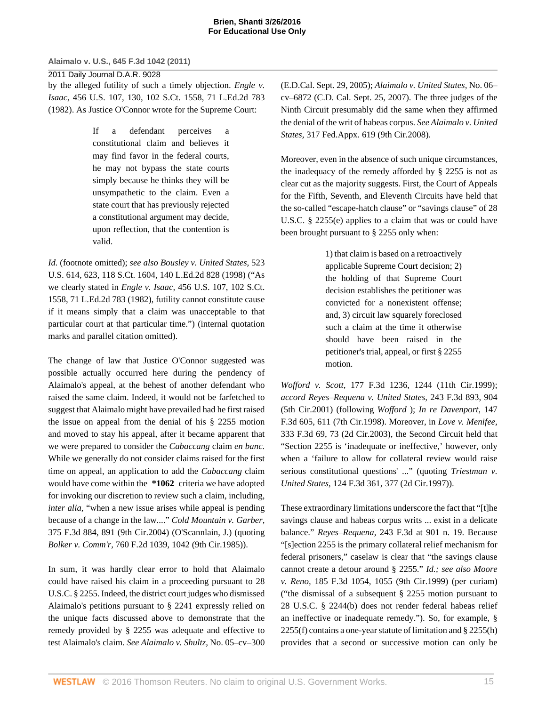2011 Daily Journal D.A.R. 9028 by the alleged futility of such a timely objection. *[Engle v.](http://www.westlaw.com/Link/Document/FullText?findType=Y&serNum=1982115446&pubNum=708&originatingDoc=I5835fa969cae11e0a8a2938374af9660&refType=RP&originationContext=document&vr=3.0&rs=cblt1.0&transitionType=DocumentItem&contextData=(sc.Keycite)) Isaac,* [456 U.S. 107, 130, 102 S.Ct. 1558, 71 L.Ed.2d 783](http://www.westlaw.com/Link/Document/FullText?findType=Y&serNum=1982115446&pubNum=708&originatingDoc=I5835fa969cae11e0a8a2938374af9660&refType=RP&originationContext=document&vr=3.0&rs=cblt1.0&transitionType=DocumentItem&contextData=(sc.Keycite)) [\(1982\).](http://www.westlaw.com/Link/Document/FullText?findType=Y&serNum=1982115446&pubNum=708&originatingDoc=I5835fa969cae11e0a8a2938374af9660&refType=RP&originationContext=document&vr=3.0&rs=cblt1.0&transitionType=DocumentItem&contextData=(sc.Keycite)) As Justice O'Connor wrote for the Supreme Court:

> If a defendant perceives a constitutional claim and believes it may find favor in the federal courts, he may not bypass the state courts simply because he thinks they will be unsympathetic to the claim. Even a state court that has previously rejected a constitutional argument may decide, upon reflection, that the contention is valid.

*[Id.](http://www.westlaw.com/Link/Document/FullText?findType=Y&serNum=1982115446&originatingDoc=I5835fa969cae11e0a8a2938374af9660&refType=RP&originationContext=document&vr=3.0&rs=cblt1.0&transitionType=DocumentItem&contextData=(sc.Keycite))* (footnote omitted); *see also [Bousley v. United States,](http://www.westlaw.com/Link/Document/FullText?findType=Y&serNum=1998108681&pubNum=708&originatingDoc=I5835fa969cae11e0a8a2938374af9660&refType=RP&originationContext=document&vr=3.0&rs=cblt1.0&transitionType=DocumentItem&contextData=(sc.Keycite))* 523 [U.S. 614, 623, 118 S.Ct. 1604, 140 L.Ed.2d 828 \(1998\)](http://www.westlaw.com/Link/Document/FullText?findType=Y&serNum=1998108681&pubNum=708&originatingDoc=I5835fa969cae11e0a8a2938374af9660&refType=RP&originationContext=document&vr=3.0&rs=cblt1.0&transitionType=DocumentItem&contextData=(sc.Keycite)) ("As we clearly stated in *Engle v. Isaac,* [456 U.S. 107, 102 S.Ct.](http://www.westlaw.com/Link/Document/FullText?findType=Y&serNum=1982115446&pubNum=708&originatingDoc=I5835fa969cae11e0a8a2938374af9660&refType=RP&originationContext=document&vr=3.0&rs=cblt1.0&transitionType=DocumentItem&contextData=(sc.Keycite)) [1558, 71 L.Ed.2d 783 \(1982\),](http://www.westlaw.com/Link/Document/FullText?findType=Y&serNum=1982115446&pubNum=708&originatingDoc=I5835fa969cae11e0a8a2938374af9660&refType=RP&originationContext=document&vr=3.0&rs=cblt1.0&transitionType=DocumentItem&contextData=(sc.Keycite)) futility cannot constitute cause if it means simply that a claim was unacceptable to that particular court at that particular time.") (internal quotation marks and parallel citation omitted).

The change of law that Justice O'Connor suggested was possible actually occurred here during the pendency of Alaimalo's appeal, at the behest of another defendant who raised the same claim. Indeed, it would not be farfetched to suggest that Alaimalo might have prevailed had he first raised the issue on appeal from the denial of his [§ 2255](http://www.westlaw.com/Link/Document/FullText?findType=L&pubNum=1000546&cite=28USCAS2255&originatingDoc=I5835fa969cae11e0a8a2938374af9660&refType=LQ&originationContext=document&vr=3.0&rs=cblt1.0&transitionType=DocumentItem&contextData=(sc.Keycite)) motion and moved to stay his appeal, after it became apparent that we were prepared to consider the *[Cabaccang](http://www.westlaw.com/Link/Document/FullText?findType=Y&serNum=2003401323&originatingDoc=I5835fa969cae11e0a8a2938374af9660&refType=RP&originationContext=document&vr=3.0&rs=cblt1.0&transitionType=DocumentItem&contextData=(sc.Keycite))* claim *en banc.* While we generally do not consider claims raised for the first time on appeal, an application to add the *[Cabaccang](http://www.westlaw.com/Link/Document/FullText?findType=Y&serNum=2003401323&originatingDoc=I5835fa969cae11e0a8a2938374af9660&refType=RP&originationContext=document&vr=3.0&rs=cblt1.0&transitionType=DocumentItem&contextData=(sc.Keycite))* claim would have come within the **\*1062** criteria we have adopted for invoking our discretion to review such a claim, including, *inter alia,* "when a new issue arises while appeal is pending because of a change in the law...." *[Cold Mountain v. Garber,](http://www.westlaw.com/Link/Document/FullText?findType=Y&serNum=2004692660&pubNum=506&originatingDoc=I5835fa969cae11e0a8a2938374af9660&refType=RP&fi=co_pp_sp_506_891&originationContext=document&vr=3.0&rs=cblt1.0&transitionType=DocumentItem&contextData=(sc.Keycite)#co_pp_sp_506_891)* [375 F.3d 884, 891 \(9th Cir.2004\)](http://www.westlaw.com/Link/Document/FullText?findType=Y&serNum=2004692660&pubNum=506&originatingDoc=I5835fa969cae11e0a8a2938374af9660&refType=RP&fi=co_pp_sp_506_891&originationContext=document&vr=3.0&rs=cblt1.0&transitionType=DocumentItem&contextData=(sc.Keycite)#co_pp_sp_506_891) (O'Scannlain, J.) (quoting *Bolker v. Comm'r,* [760 F.2d 1039, 1042 \(9th Cir.1985\)\)](http://www.westlaw.com/Link/Document/FullText?findType=Y&serNum=1985125228&pubNum=350&originatingDoc=I5835fa969cae11e0a8a2938374af9660&refType=RP&fi=co_pp_sp_350_1042&originationContext=document&vr=3.0&rs=cblt1.0&transitionType=DocumentItem&contextData=(sc.Keycite)#co_pp_sp_350_1042).

In sum, it was hardly clear error to hold that Alaimalo could have raised his claim in a proceeding pursuant to [28](http://www.westlaw.com/Link/Document/FullText?findType=L&pubNum=1000546&cite=28USCAS2255&originatingDoc=I5835fa969cae11e0a8a2938374af9660&refType=LQ&originationContext=document&vr=3.0&rs=cblt1.0&transitionType=DocumentItem&contextData=(sc.Keycite)) [U.S.C. § 2255](http://www.westlaw.com/Link/Document/FullText?findType=L&pubNum=1000546&cite=28USCAS2255&originatingDoc=I5835fa969cae11e0a8a2938374af9660&refType=LQ&originationContext=document&vr=3.0&rs=cblt1.0&transitionType=DocumentItem&contextData=(sc.Keycite)). Indeed, the district court judges who dismissed Alaimalo's petitions pursuant to [§ 2241](http://www.westlaw.com/Link/Document/FullText?findType=L&pubNum=1000546&cite=28USCAS2241&originatingDoc=I5835fa969cae11e0a8a2938374af9660&refType=LQ&originationContext=document&vr=3.0&rs=cblt1.0&transitionType=DocumentItem&contextData=(sc.Keycite)) expressly relied on the unique facts discussed above to demonstrate that the remedy provided by [§ 2255](http://www.westlaw.com/Link/Document/FullText?findType=L&pubNum=1000546&cite=28USCAS2255&originatingDoc=I5835fa969cae11e0a8a2938374af9660&refType=LQ&originationContext=document&vr=3.0&rs=cblt1.0&transitionType=DocumentItem&contextData=(sc.Keycite)) was adequate and effective to test Alaimalo's claim. *See Alaimalo v. Shultz,* No. 05–cv–300 (E.D.Cal. Sept. 29, 2005); *Alaimalo v. United States,* No. 06– cv–6872 (C.D. Cal. Sept. 25, 2007). The three judges of the Ninth Circuit presumably did the same when they affirmed the denial of the writ of habeas corpus. *See [Alaimalo v. United](http://www.westlaw.com/Link/Document/FullText?findType=Y&serNum=2017121712&pubNum=6538&originatingDoc=I5835fa969cae11e0a8a2938374af9660&refType=RP&originationContext=document&vr=3.0&rs=cblt1.0&transitionType=DocumentItem&contextData=(sc.Keycite)) States,* [317 Fed.Appx. 619 \(9th Cir.2008\).](http://www.westlaw.com/Link/Document/FullText?findType=Y&serNum=2017121712&pubNum=6538&originatingDoc=I5835fa969cae11e0a8a2938374af9660&refType=RP&originationContext=document&vr=3.0&rs=cblt1.0&transitionType=DocumentItem&contextData=(sc.Keycite))

Moreover, even in the absence of such unique circumstances, the inadequacy of the remedy afforded by [§ 2255](http://www.westlaw.com/Link/Document/FullText?findType=L&pubNum=1000546&cite=28USCAS2255&originatingDoc=I5835fa969cae11e0a8a2938374af9660&refType=LQ&originationContext=document&vr=3.0&rs=cblt1.0&transitionType=DocumentItem&contextData=(sc.Keycite)) is not as clear cut as the majority suggests. First, the Court of Appeals for the Fifth, Seventh, and Eleventh Circuits have held that the so-called "escape-hatch clause" or "savings clause" of [28](http://www.westlaw.com/Link/Document/FullText?findType=L&pubNum=1000546&cite=28USCAS2255&originatingDoc=I5835fa969cae11e0a8a2938374af9660&refType=RB&originationContext=document&vr=3.0&rs=cblt1.0&transitionType=DocumentItem&contextData=(sc.Keycite)#co_pp_7fdd00001ca15) [U.S.C. § 2255\(e\)](http://www.westlaw.com/Link/Document/FullText?findType=L&pubNum=1000546&cite=28USCAS2255&originatingDoc=I5835fa969cae11e0a8a2938374af9660&refType=RB&originationContext=document&vr=3.0&rs=cblt1.0&transitionType=DocumentItem&contextData=(sc.Keycite)#co_pp_7fdd00001ca15) applies to a claim that was or could have been brought pursuant to [§ 2255](http://www.westlaw.com/Link/Document/FullText?findType=L&pubNum=1000546&cite=28USCAS2255&originatingDoc=I5835fa969cae11e0a8a2938374af9660&refType=LQ&originationContext=document&vr=3.0&rs=cblt1.0&transitionType=DocumentItem&contextData=(sc.Keycite)) only when:

> 1) that claim is based on a retroactively applicable Supreme Court decision; 2) the holding of that Supreme Court decision establishes the petitioner was convicted for a nonexistent offense; and, 3) circuit law squarely foreclosed such a claim at the time it otherwise should have been raised in the petitioner's trial, appeal, or first [§ 2255](http://www.westlaw.com/Link/Document/FullText?findType=L&pubNum=1000546&cite=28USCAS2255&originatingDoc=I5835fa969cae11e0a8a2938374af9660&refType=LQ&originationContext=document&vr=3.0&rs=cblt1.0&transitionType=DocumentItem&contextData=(sc.Keycite)) motion.

*Wofford v. Scott,* [177 F.3d 1236, 1244 \(11th Cir.1999\)](http://www.westlaw.com/Link/Document/FullText?findType=Y&serNum=1999140763&pubNum=506&originatingDoc=I5835fa969cae11e0a8a2938374af9660&refType=RP&fi=co_pp_sp_506_1244&originationContext=document&vr=3.0&rs=cblt1.0&transitionType=DocumentItem&contextData=(sc.Keycite)#co_pp_sp_506_1244); *accord [Reyes–Requena v. United States,](http://www.westlaw.com/Link/Document/FullText?findType=Y&serNum=2001189503&pubNum=506&originatingDoc=I5835fa969cae11e0a8a2938374af9660&refType=RP&fi=co_pp_sp_506_904&originationContext=document&vr=3.0&rs=cblt1.0&transitionType=DocumentItem&contextData=(sc.Keycite)#co_pp_sp_506_904)* 243 F.3d 893, 904 [\(5th Cir.2001\)](http://www.westlaw.com/Link/Document/FullText?findType=Y&serNum=2001189503&pubNum=506&originatingDoc=I5835fa969cae11e0a8a2938374af9660&refType=RP&fi=co_pp_sp_506_904&originationContext=document&vr=3.0&rs=cblt1.0&transitionType=DocumentItem&contextData=(sc.Keycite)#co_pp_sp_506_904) (following *[Wofford](http://www.westlaw.com/Link/Document/FullText?findType=Y&serNum=1999140763&originatingDoc=I5835fa969cae11e0a8a2938374af9660&refType=RP&originationContext=document&vr=3.0&rs=cblt1.0&transitionType=DocumentItem&contextData=(sc.Keycite))* ); *[In re Davenport,](http://www.westlaw.com/Link/Document/FullText?findType=Y&serNum=1998128480&pubNum=506&originatingDoc=I5835fa969cae11e0a8a2938374af9660&refType=RP&fi=co_pp_sp_506_611&originationContext=document&vr=3.0&rs=cblt1.0&transitionType=DocumentItem&contextData=(sc.Keycite)#co_pp_sp_506_611)* 147 [F.3d 605, 611 \(7th Cir.1998\)](http://www.westlaw.com/Link/Document/FullText?findType=Y&serNum=1998128480&pubNum=506&originatingDoc=I5835fa969cae11e0a8a2938374af9660&refType=RP&fi=co_pp_sp_506_611&originationContext=document&vr=3.0&rs=cblt1.0&transitionType=DocumentItem&contextData=(sc.Keycite)#co_pp_sp_506_611). Moreover, in *[Love v. Menifee,](http://www.westlaw.com/Link/Document/FullText?findType=Y&serNum=2003428962&pubNum=506&originatingDoc=I5835fa969cae11e0a8a2938374af9660&refType=RP&fi=co_pp_sp_506_73&originationContext=document&vr=3.0&rs=cblt1.0&transitionType=DocumentItem&contextData=(sc.Keycite)#co_pp_sp_506_73)* [333 F.3d 69, 73 \(2d Cir.2003\)](http://www.westlaw.com/Link/Document/FullText?findType=Y&serNum=2003428962&pubNum=506&originatingDoc=I5835fa969cae11e0a8a2938374af9660&refType=RP&fi=co_pp_sp_506_73&originationContext=document&vr=3.0&rs=cblt1.0&transitionType=DocumentItem&contextData=(sc.Keycite)#co_pp_sp_506_73), the Second Circuit held that ["Section 2255](http://www.westlaw.com/Link/Document/FullText?findType=L&pubNum=1000546&cite=28USCAS2255&originatingDoc=I5835fa969cae11e0a8a2938374af9660&refType=LQ&originationContext=document&vr=3.0&rs=cblt1.0&transitionType=DocumentItem&contextData=(sc.Keycite)) is 'inadequate or ineffective,' however, only when a 'failure to allow for collateral review would raise serious constitutional questions' ..." (quoting *[Triestman v.](http://www.westlaw.com/Link/Document/FullText?findType=Y&serNum=1997179383&pubNum=506&originatingDoc=I5835fa969cae11e0a8a2938374af9660&refType=RP&fi=co_pp_sp_506_377&originationContext=document&vr=3.0&rs=cblt1.0&transitionType=DocumentItem&contextData=(sc.Keycite)#co_pp_sp_506_377) United States,* [124 F.3d 361, 377 \(2d Cir.1997\)\)](http://www.westlaw.com/Link/Document/FullText?findType=Y&serNum=1997179383&pubNum=506&originatingDoc=I5835fa969cae11e0a8a2938374af9660&refType=RP&fi=co_pp_sp_506_377&originationContext=document&vr=3.0&rs=cblt1.0&transitionType=DocumentItem&contextData=(sc.Keycite)#co_pp_sp_506_377).

These extraordinary limitations underscore the fact that "[t]he savings clause and habeas corpus writs ... exist in a delicate balance." *Reyes–Requena,* [243 F.3d at 901 n. 19.](http://www.westlaw.com/Link/Document/FullText?findType=Y&serNum=2001189503&pubNum=506&originatingDoc=I5835fa969cae11e0a8a2938374af9660&refType=RP&fi=co_pp_sp_506_901&originationContext=document&vr=3.0&rs=cblt1.0&transitionType=DocumentItem&contextData=(sc.Keycite)#co_pp_sp_506_901) Because "[s]ection 2255 is the primary collateral relief mechanism for federal prisoners," caselaw is clear that "the savings clause cannot create a detour around [§ 2255.](http://www.westlaw.com/Link/Document/FullText?findType=L&pubNum=1000546&cite=28USCAS2255&originatingDoc=I5835fa969cae11e0a8a2938374af9660&refType=LQ&originationContext=document&vr=3.0&rs=cblt1.0&transitionType=DocumentItem&contextData=(sc.Keycite))" *[Id.;](http://www.westlaw.com/Link/Document/FullText?findType=Y&serNum=2001189503&originatingDoc=I5835fa969cae11e0a8a2938374af9660&refType=RP&originationContext=document&vr=3.0&rs=cblt1.0&transitionType=DocumentItem&contextData=(sc.Keycite)) see also [Moore](http://www.westlaw.com/Link/Document/FullText?findType=Y&serNum=1999183571&pubNum=506&originatingDoc=I5835fa969cae11e0a8a2938374af9660&refType=RP&fi=co_pp_sp_506_1055&originationContext=document&vr=3.0&rs=cblt1.0&transitionType=DocumentItem&contextData=(sc.Keycite)#co_pp_sp_506_1055) v. Reno,* [185 F.3d 1054, 1055 \(9th Cir.1999\)](http://www.westlaw.com/Link/Document/FullText?findType=Y&serNum=1999183571&pubNum=506&originatingDoc=I5835fa969cae11e0a8a2938374af9660&refType=RP&fi=co_pp_sp_506_1055&originationContext=document&vr=3.0&rs=cblt1.0&transitionType=DocumentItem&contextData=(sc.Keycite)#co_pp_sp_506_1055) (per curiam) ("the dismissal of a subsequent [§ 2255](http://www.westlaw.com/Link/Document/FullText?findType=L&pubNum=1000546&cite=28USCAS2255&originatingDoc=I5835fa969cae11e0a8a2938374af9660&refType=LQ&originationContext=document&vr=3.0&rs=cblt1.0&transitionType=DocumentItem&contextData=(sc.Keycite)) motion pursuant to [28 U.S.C. § 2244\(b\)](http://www.westlaw.com/Link/Document/FullText?findType=L&pubNum=1000546&cite=28USCAS2244&originatingDoc=I5835fa969cae11e0a8a2938374af9660&refType=RB&originationContext=document&vr=3.0&rs=cblt1.0&transitionType=DocumentItem&contextData=(sc.Keycite)#co_pp_a83b000018c76) does not render federal habeas relief an ineffective or inadequate remedy."). So, for example, [§](http://www.westlaw.com/Link/Document/FullText?findType=L&pubNum=1000546&cite=28USCAS2255&originatingDoc=I5835fa969cae11e0a8a2938374af9660&refType=RB&originationContext=document&vr=3.0&rs=cblt1.0&transitionType=DocumentItem&contextData=(sc.Keycite)#co_pp_ae0d0000c5150) [2255\(f\)](http://www.westlaw.com/Link/Document/FullText?findType=L&pubNum=1000546&cite=28USCAS2255&originatingDoc=I5835fa969cae11e0a8a2938374af9660&refType=RB&originationContext=document&vr=3.0&rs=cblt1.0&transitionType=DocumentItem&contextData=(sc.Keycite)#co_pp_ae0d0000c5150) contains a one-year statute of limitation and [§ 2255\(h\)](http://www.westlaw.com/Link/Document/FullText?findType=L&pubNum=1000546&cite=28USCAS2255&originatingDoc=I5835fa969cae11e0a8a2938374af9660&refType=RB&originationContext=document&vr=3.0&rs=cblt1.0&transitionType=DocumentItem&contextData=(sc.Keycite)#co_pp_f383000077b35) provides that a second or successive motion can only be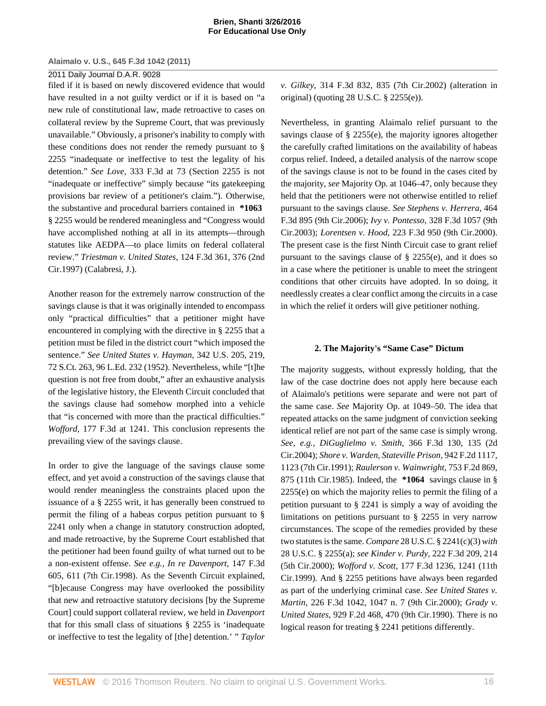# 2011 Daily Journal D.A.R. 9028

filed if it is based on newly discovered evidence that would have resulted in a not guilty verdict or if it is based on "a new rule of constitutional law, made retroactive to cases on collateral review by the Supreme Court, that was previously unavailable." Obviously, a prisoner's inability to comply with these conditions does not render the remedy pursuant to [§](http://www.westlaw.com/Link/Document/FullText?findType=L&pubNum=1000546&cite=28USCAS2255&originatingDoc=I5835fa969cae11e0a8a2938374af9660&refType=LQ&originationContext=document&vr=3.0&rs=cblt1.0&transitionType=DocumentItem&contextData=(sc.Keycite)) [2255](http://www.westlaw.com/Link/Document/FullText?findType=L&pubNum=1000546&cite=28USCAS2255&originatingDoc=I5835fa969cae11e0a8a2938374af9660&refType=LQ&originationContext=document&vr=3.0&rs=cblt1.0&transitionType=DocumentItem&contextData=(sc.Keycite)) "inadequate or ineffective to test the legality of his detention." *See Love,* [333 F.3d at 73](http://www.westlaw.com/Link/Document/FullText?findType=Y&serNum=2003428962&pubNum=506&originatingDoc=I5835fa969cae11e0a8a2938374af9660&refType=RP&fi=co_pp_sp_506_73&originationContext=document&vr=3.0&rs=cblt1.0&transitionType=DocumentItem&contextData=(sc.Keycite)#co_pp_sp_506_73) ([Section 2255](http://www.westlaw.com/Link/Document/FullText?findType=L&pubNum=1000546&cite=28USCAS2255&originatingDoc=I5835fa969cae11e0a8a2938374af9660&refType=LQ&originationContext=document&vr=3.0&rs=cblt1.0&transitionType=DocumentItem&contextData=(sc.Keycite)) is not "inadequate or ineffective" simply because "its gatekeeping provisions bar review of a petitioner's claim."). Otherwise, the substantive and procedural barriers contained in **\*1063** [§ 2255](http://www.westlaw.com/Link/Document/FullText?findType=L&pubNum=1000546&cite=28USCAS2255&originatingDoc=I5835fa969cae11e0a8a2938374af9660&refType=LQ&originationContext=document&vr=3.0&rs=cblt1.0&transitionType=DocumentItem&contextData=(sc.Keycite)) would be rendered meaningless and "Congress would have accomplished nothing at all in its attempts—through statutes like AEDPA—to place limits on federal collateral review." *[Triestman v. United States,](http://www.westlaw.com/Link/Document/FullText?findType=Y&serNum=1997179383&pubNum=506&originatingDoc=I5835fa969cae11e0a8a2938374af9660&refType=RP&fi=co_pp_sp_506_376&originationContext=document&vr=3.0&rs=cblt1.0&transitionType=DocumentItem&contextData=(sc.Keycite)#co_pp_sp_506_376)* 124 F.3d 361, 376 (2nd [Cir.1997\)](http://www.westlaw.com/Link/Document/FullText?findType=Y&serNum=1997179383&pubNum=506&originatingDoc=I5835fa969cae11e0a8a2938374af9660&refType=RP&fi=co_pp_sp_506_376&originationContext=document&vr=3.0&rs=cblt1.0&transitionType=DocumentItem&contextData=(sc.Keycite)#co_pp_sp_506_376) (Calabresi, J.).

Another reason for the extremely narrow construction of the savings clause is that it was originally intended to encompass only "practical difficulties" that a petitioner might have encountered in complying with the directive in [§ 2255](http://www.westlaw.com/Link/Document/FullText?findType=L&pubNum=1000546&cite=28USCAS2255&originatingDoc=I5835fa969cae11e0a8a2938374af9660&refType=LQ&originationContext=document&vr=3.0&rs=cblt1.0&transitionType=DocumentItem&contextData=(sc.Keycite)) that a petition must be filed in the district court "which imposed the sentence." *See [United States v. Hayman,](http://www.westlaw.com/Link/Document/FullText?findType=Y&serNum=1952119672&pubNum=708&originatingDoc=I5835fa969cae11e0a8a2938374af9660&refType=RP&originationContext=document&vr=3.0&rs=cblt1.0&transitionType=DocumentItem&contextData=(sc.Keycite))* 342 U.S. 205, 219, [72 S.Ct. 263, 96 L.Ed. 232 \(1952\)](http://www.westlaw.com/Link/Document/FullText?findType=Y&serNum=1952119672&pubNum=708&originatingDoc=I5835fa969cae11e0a8a2938374af9660&refType=RP&originationContext=document&vr=3.0&rs=cblt1.0&transitionType=DocumentItem&contextData=(sc.Keycite)). Nevertheless, while "[t]he question is not free from doubt," after an exhaustive analysis of the legislative history, the Eleventh Circuit concluded that the savings clause had somehow morphed into a vehicle that "is concerned with more than the practical difficulties." *Wofford,* [177 F.3d at 1241.](http://www.westlaw.com/Link/Document/FullText?findType=Y&serNum=1999140763&pubNum=506&originatingDoc=I5835fa969cae11e0a8a2938374af9660&refType=RP&fi=co_pp_sp_506_1241&originationContext=document&vr=3.0&rs=cblt1.0&transitionType=DocumentItem&contextData=(sc.Keycite)#co_pp_sp_506_1241) This conclusion represents the prevailing view of the savings clause.

In order to give the language of the savings clause some effect, and yet avoid a construction of the savings clause that would render meaningless the constraints placed upon the issuance of a [§ 2255](http://www.westlaw.com/Link/Document/FullText?findType=L&pubNum=1000546&cite=28USCAS2255&originatingDoc=I5835fa969cae11e0a8a2938374af9660&refType=LQ&originationContext=document&vr=3.0&rs=cblt1.0&transitionType=DocumentItem&contextData=(sc.Keycite)) writ, it has generally been construed to permit the filing of a habeas corpus petition pursuant to [§](http://www.westlaw.com/Link/Document/FullText?findType=L&pubNum=1000546&cite=28USCAS2241&originatingDoc=I5835fa969cae11e0a8a2938374af9660&refType=LQ&originationContext=document&vr=3.0&rs=cblt1.0&transitionType=DocumentItem&contextData=(sc.Keycite)) [2241](http://www.westlaw.com/Link/Document/FullText?findType=L&pubNum=1000546&cite=28USCAS2241&originatingDoc=I5835fa969cae11e0a8a2938374af9660&refType=LQ&originationContext=document&vr=3.0&rs=cblt1.0&transitionType=DocumentItem&contextData=(sc.Keycite)) only when a change in statutory construction adopted, and made retroactive, by the Supreme Court established that the petitioner had been found guilty of what turned out to be a non-existent offense. *See e.g., [In re Davenport,](http://www.westlaw.com/Link/Document/FullText?findType=Y&serNum=1998128480&pubNum=506&originatingDoc=I5835fa969cae11e0a8a2938374af9660&refType=RP&fi=co_pp_sp_506_611&originationContext=document&vr=3.0&rs=cblt1.0&transitionType=DocumentItem&contextData=(sc.Keycite)#co_pp_sp_506_611)* 147 F.3d [605, 611 \(7th Cir.1998\).](http://www.westlaw.com/Link/Document/FullText?findType=Y&serNum=1998128480&pubNum=506&originatingDoc=I5835fa969cae11e0a8a2938374af9660&refType=RP&fi=co_pp_sp_506_611&originationContext=document&vr=3.0&rs=cblt1.0&transitionType=DocumentItem&contextData=(sc.Keycite)#co_pp_sp_506_611) As the Seventh Circuit explained, "[b]ecause Congress may have overlooked the possibility that new and retroactive statutory decisions [by the Supreme Court] could support collateral review, we held in *[Davenport](http://www.westlaw.com/Link/Document/FullText?findType=Y&serNum=1998128480&originatingDoc=I5835fa969cae11e0a8a2938374af9660&refType=RP&originationContext=document&vr=3.0&rs=cblt1.0&transitionType=DocumentItem&contextData=(sc.Keycite))* that for this small class of situations [§ 2255](http://www.westlaw.com/Link/Document/FullText?findType=L&pubNum=1000546&cite=28USCAS2255&originatingDoc=I5835fa969cae11e0a8a2938374af9660&refType=LQ&originationContext=document&vr=3.0&rs=cblt1.0&transitionType=DocumentItem&contextData=(sc.Keycite)) is 'inadequate or ineffective to test the legality of [the] detention.' " *[Taylor](http://www.westlaw.com/Link/Document/FullText?findType=Y&serNum=2002705125&pubNum=506&originatingDoc=I5835fa969cae11e0a8a2938374af9660&refType=RP&fi=co_pp_sp_506_835&originationContext=document&vr=3.0&rs=cblt1.0&transitionType=DocumentItem&contextData=(sc.Keycite)#co_pp_sp_506_835)* *v. Gilkey,* [314 F.3d 832, 835 \(7th Cir.2002\)](http://www.westlaw.com/Link/Document/FullText?findType=Y&serNum=2002705125&pubNum=506&originatingDoc=I5835fa969cae11e0a8a2938374af9660&refType=RP&fi=co_pp_sp_506_835&originationContext=document&vr=3.0&rs=cblt1.0&transitionType=DocumentItem&contextData=(sc.Keycite)#co_pp_sp_506_835) (alteration in original) (quoting [28 U.S.C. § 2255\(e\)\)](http://www.westlaw.com/Link/Document/FullText?findType=L&pubNum=1000546&cite=28USCAS2255&originatingDoc=I5835fa969cae11e0a8a2938374af9660&refType=RB&originationContext=document&vr=3.0&rs=cblt1.0&transitionType=DocumentItem&contextData=(sc.Keycite)#co_pp_7fdd00001ca15).

Nevertheless, in granting Alaimalo relief pursuant to the savings clause of [§ 2255\(e\)](http://www.westlaw.com/Link/Document/FullText?findType=L&pubNum=1000546&cite=28USCAS2255&originatingDoc=I5835fa969cae11e0a8a2938374af9660&refType=RB&originationContext=document&vr=3.0&rs=cblt1.0&transitionType=DocumentItem&contextData=(sc.Keycite)#co_pp_7fdd00001ca15), the majority ignores altogether the carefully crafted limitations on the availability of habeas corpus relief. Indeed, a detailed analysis of the narrow scope of the savings clause is not to be found in the cases cited by the majority, *see* Majority Op. at 1046–47, only because they held that the petitioners were not otherwise entitled to relief pursuant to the savings clause. *See [Stephens v. Herrera,](http://www.westlaw.com/Link/Document/FullText?findType=Y&serNum=2010271702&pubNum=506&originatingDoc=I5835fa969cae11e0a8a2938374af9660&refType=RP&originationContext=document&vr=3.0&rs=cblt1.0&transitionType=DocumentItem&contextData=(sc.Keycite))* 464 [F.3d 895 \(9th Cir.2006\)](http://www.westlaw.com/Link/Document/FullText?findType=Y&serNum=2010271702&pubNum=506&originatingDoc=I5835fa969cae11e0a8a2938374af9660&refType=RP&originationContext=document&vr=3.0&rs=cblt1.0&transitionType=DocumentItem&contextData=(sc.Keycite)); *Ivy v. Pontesso,* [328 F.3d 1057 \(9th](http://www.westlaw.com/Link/Document/FullText?findType=Y&serNum=2003322856&pubNum=506&originatingDoc=I5835fa969cae11e0a8a2938374af9660&refType=RP&originationContext=document&vr=3.0&rs=cblt1.0&transitionType=DocumentItem&contextData=(sc.Keycite)) [Cir.2003\);](http://www.westlaw.com/Link/Document/FullText?findType=Y&serNum=2003322856&pubNum=506&originatingDoc=I5835fa969cae11e0a8a2938374af9660&refType=RP&originationContext=document&vr=3.0&rs=cblt1.0&transitionType=DocumentItem&contextData=(sc.Keycite)) *Lorentsen v. Hood,* [223 F.3d 950 \(9th Cir.2000\)](http://www.westlaw.com/Link/Document/FullText?findType=Y&serNum=2000471207&pubNum=506&originatingDoc=I5835fa969cae11e0a8a2938374af9660&refType=RP&originationContext=document&vr=3.0&rs=cblt1.0&transitionType=DocumentItem&contextData=(sc.Keycite)). The present case is the first Ninth Circuit case to grant relief pursuant to the savings clause of [§ 2255\(e\),](http://www.westlaw.com/Link/Document/FullText?findType=L&pubNum=1000546&cite=28USCAS2255&originatingDoc=I5835fa969cae11e0a8a2938374af9660&refType=RB&originationContext=document&vr=3.0&rs=cblt1.0&transitionType=DocumentItem&contextData=(sc.Keycite)#co_pp_7fdd00001ca15) and it does so in a case where the petitioner is unable to meet the stringent conditions that other circuits have adopted. In so doing, it needlessly creates a clear conflict among the circuits in a case in which the relief it orders will give petitioner nothing.

# **2. The Majority's "Same Case" Dictum**

The majority suggests, without expressly holding, that the law of the case doctrine does not apply here because each of Alaimalo's petitions were separate and were not part of the same case. *See* Majority Op. at 1049–50. The idea that repeated attacks on the same judgment of conviction seeking identical relief are not part of the same case is simply wrong. *See, e.g., DiGuglielmo v. Smith,* [366 F.3d 130, 135 \(2d](http://www.westlaw.com/Link/Document/FullText?findType=Y&serNum=2004374800&pubNum=506&originatingDoc=I5835fa969cae11e0a8a2938374af9660&refType=RP&fi=co_pp_sp_506_135&originationContext=document&vr=3.0&rs=cblt1.0&transitionType=DocumentItem&contextData=(sc.Keycite)#co_pp_sp_506_135) [Cir.2004\);](http://www.westlaw.com/Link/Document/FullText?findType=Y&serNum=2004374800&pubNum=506&originatingDoc=I5835fa969cae11e0a8a2938374af9660&refType=RP&fi=co_pp_sp_506_135&originationContext=document&vr=3.0&rs=cblt1.0&transitionType=DocumentItem&contextData=(sc.Keycite)#co_pp_sp_506_135) *[Shore v. Warden, Stateville Prison,](http://www.westlaw.com/Link/Document/FullText?findType=Y&serNum=1991148145&pubNum=350&originatingDoc=I5835fa969cae11e0a8a2938374af9660&refType=RP&fi=co_pp_sp_350_1123&originationContext=document&vr=3.0&rs=cblt1.0&transitionType=DocumentItem&contextData=(sc.Keycite)#co_pp_sp_350_1123)* 942 F.2d 1117, [1123 \(7th Cir.1991\)](http://www.westlaw.com/Link/Document/FullText?findType=Y&serNum=1991148145&pubNum=350&originatingDoc=I5835fa969cae11e0a8a2938374af9660&refType=RP&fi=co_pp_sp_350_1123&originationContext=document&vr=3.0&rs=cblt1.0&transitionType=DocumentItem&contextData=(sc.Keycite)#co_pp_sp_350_1123); *[Raulerson v. Wainwright,](http://www.westlaw.com/Link/Document/FullText?findType=Y&serNum=1985105396&pubNum=350&originatingDoc=I5835fa969cae11e0a8a2938374af9660&refType=RP&fi=co_pp_sp_350_875&originationContext=document&vr=3.0&rs=cblt1.0&transitionType=DocumentItem&contextData=(sc.Keycite)#co_pp_sp_350_875)* 753 F.2d 869, [875 \(11th Cir.1985\)](http://www.westlaw.com/Link/Document/FullText?findType=Y&serNum=1985105396&pubNum=350&originatingDoc=I5835fa969cae11e0a8a2938374af9660&refType=RP&fi=co_pp_sp_350_875&originationContext=document&vr=3.0&rs=cblt1.0&transitionType=DocumentItem&contextData=(sc.Keycite)#co_pp_sp_350_875). Indeed, the **\*1064** savings clause in [§](http://www.westlaw.com/Link/Document/FullText?findType=L&pubNum=1000546&cite=28USCAS2255&originatingDoc=I5835fa969cae11e0a8a2938374af9660&refType=RB&originationContext=document&vr=3.0&rs=cblt1.0&transitionType=DocumentItem&contextData=(sc.Keycite)#co_pp_7fdd00001ca15) [2255\(e\)](http://www.westlaw.com/Link/Document/FullText?findType=L&pubNum=1000546&cite=28USCAS2255&originatingDoc=I5835fa969cae11e0a8a2938374af9660&refType=RB&originationContext=document&vr=3.0&rs=cblt1.0&transitionType=DocumentItem&contextData=(sc.Keycite)#co_pp_7fdd00001ca15) on which the majority relies to permit the filing of a petition pursuant to [§ 2241](http://www.westlaw.com/Link/Document/FullText?findType=L&pubNum=1000546&cite=28USCAS2241&originatingDoc=I5835fa969cae11e0a8a2938374af9660&refType=LQ&originationContext=document&vr=3.0&rs=cblt1.0&transitionType=DocumentItem&contextData=(sc.Keycite)) is simply a way of avoiding the limitations on petitions pursuant to [§ 2255](http://www.westlaw.com/Link/Document/FullText?findType=L&pubNum=1000546&cite=28USCAS2255&originatingDoc=I5835fa969cae11e0a8a2938374af9660&refType=LQ&originationContext=document&vr=3.0&rs=cblt1.0&transitionType=DocumentItem&contextData=(sc.Keycite)) in very narrow circumstances. The scope of the remedies provided by these two statutes is the same. *Compare* [28 U.S.C. § 2241\(c\)\(3\)](http://www.westlaw.com/Link/Document/FullText?findType=L&pubNum=1000546&cite=28USCAS2241&originatingDoc=I5835fa969cae11e0a8a2938374af9660&refType=RB&originationContext=document&vr=3.0&rs=cblt1.0&transitionType=DocumentItem&contextData=(sc.Keycite)#co_pp_b1b5000051ac5) *with* [28 U.S.C. § 2255\(a\)](http://www.westlaw.com/Link/Document/FullText?findType=L&pubNum=1000546&cite=28USCAS2255&originatingDoc=I5835fa969cae11e0a8a2938374af9660&refType=RB&originationContext=document&vr=3.0&rs=cblt1.0&transitionType=DocumentItem&contextData=(sc.Keycite)#co_pp_8b3b0000958a4); *see Kinder v. Purdy,* [222 F.3d 209, 214](http://www.westlaw.com/Link/Document/FullText?findType=Y&serNum=2000470565&pubNum=506&originatingDoc=I5835fa969cae11e0a8a2938374af9660&refType=RP&fi=co_pp_sp_506_214&originationContext=document&vr=3.0&rs=cblt1.0&transitionType=DocumentItem&contextData=(sc.Keycite)#co_pp_sp_506_214) [\(5th Cir.2000\);](http://www.westlaw.com/Link/Document/FullText?findType=Y&serNum=2000470565&pubNum=506&originatingDoc=I5835fa969cae11e0a8a2938374af9660&refType=RP&fi=co_pp_sp_506_214&originationContext=document&vr=3.0&rs=cblt1.0&transitionType=DocumentItem&contextData=(sc.Keycite)#co_pp_sp_506_214) *Wofford v. Scott,* [177 F.3d 1236, 1241 \(11th](http://www.westlaw.com/Link/Document/FullText?findType=Y&serNum=1999140763&pubNum=506&originatingDoc=I5835fa969cae11e0a8a2938374af9660&refType=RP&fi=co_pp_sp_506_1241&originationContext=document&vr=3.0&rs=cblt1.0&transitionType=DocumentItem&contextData=(sc.Keycite)#co_pp_sp_506_1241) [Cir.1999\).](http://www.westlaw.com/Link/Document/FullText?findType=Y&serNum=1999140763&pubNum=506&originatingDoc=I5835fa969cae11e0a8a2938374af9660&refType=RP&fi=co_pp_sp_506_1241&originationContext=document&vr=3.0&rs=cblt1.0&transitionType=DocumentItem&contextData=(sc.Keycite)#co_pp_sp_506_1241) And [§ 2255](http://www.westlaw.com/Link/Document/FullText?findType=L&pubNum=1000546&cite=28USCAS2255&originatingDoc=I5835fa969cae11e0a8a2938374af9660&refType=LQ&originationContext=document&vr=3.0&rs=cblt1.0&transitionType=DocumentItem&contextData=(sc.Keycite)) petitions have always been regarded as part of the underlying criminal case. *See [United States v.](http://www.westlaw.com/Link/Document/FullText?findType=Y&serNum=2000531637&pubNum=506&originatingDoc=I5835fa969cae11e0a8a2938374af9660&refType=RP&fi=co_pp_sp_506_1047&originationContext=document&vr=3.0&rs=cblt1.0&transitionType=DocumentItem&contextData=(sc.Keycite)#co_pp_sp_506_1047) Martin,* [226 F.3d 1042, 1047 n. 7 \(9th Cir.2000\);](http://www.westlaw.com/Link/Document/FullText?findType=Y&serNum=2000531637&pubNum=506&originatingDoc=I5835fa969cae11e0a8a2938374af9660&refType=RP&fi=co_pp_sp_506_1047&originationContext=document&vr=3.0&rs=cblt1.0&transitionType=DocumentItem&contextData=(sc.Keycite)#co_pp_sp_506_1047) *[Grady v.](http://www.westlaw.com/Link/Document/FullText?findType=Y&serNum=1991060036&pubNum=350&originatingDoc=I5835fa969cae11e0a8a2938374af9660&refType=RP&fi=co_pp_sp_350_470&originationContext=document&vr=3.0&rs=cblt1.0&transitionType=DocumentItem&contextData=(sc.Keycite)#co_pp_sp_350_470) United States,* [929 F.2d 468, 470 \(9th Cir.1990\).](http://www.westlaw.com/Link/Document/FullText?findType=Y&serNum=1991060036&pubNum=350&originatingDoc=I5835fa969cae11e0a8a2938374af9660&refType=RP&fi=co_pp_sp_350_470&originationContext=document&vr=3.0&rs=cblt1.0&transitionType=DocumentItem&contextData=(sc.Keycite)#co_pp_sp_350_470) There is no logical reason for treating [§ 2241](http://www.westlaw.com/Link/Document/FullText?findType=L&pubNum=1000546&cite=28USCAS2241&originatingDoc=I5835fa969cae11e0a8a2938374af9660&refType=LQ&originationContext=document&vr=3.0&rs=cblt1.0&transitionType=DocumentItem&contextData=(sc.Keycite)) petitions differently.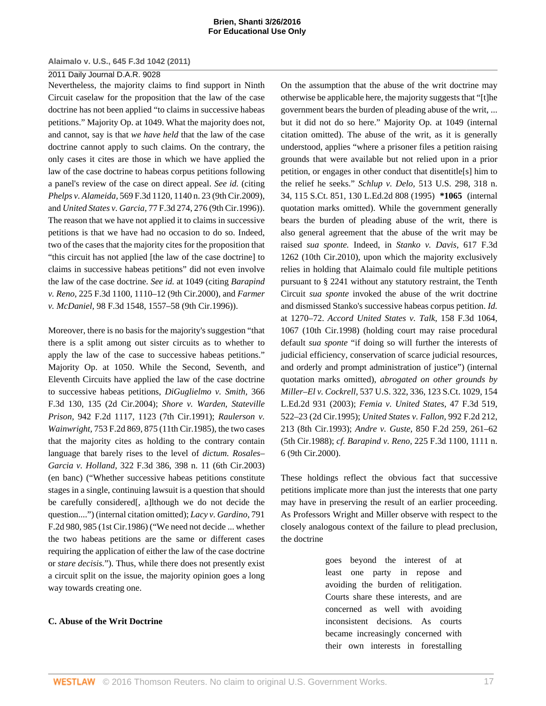# 2011 Daily Journal D.A.R. 9028

Nevertheless, the majority claims to find support in Ninth Circuit caselaw for the proposition that the law of the case doctrine has not been applied "to claims in successive habeas petitions." Majority Op. at 1049. What the majority does not, and cannot, say is that *we have held* that the law of the case doctrine cannot apply to such claims. On the contrary, the only cases it cites are those in which we have applied the law of the case doctrine to habeas corpus petitions following a panel's review of the case on direct appeal. *See id.* (citing *Phelps v. Alameida,* [569 F.3d 1120, 1140 n. 23 \(9th Cir.2009\)](http://www.westlaw.com/Link/Document/FullText?findType=Y&serNum=2019204403&pubNum=506&originatingDoc=I5835fa969cae11e0a8a2938374af9660&refType=RP&fi=co_pp_sp_506_1140&originationContext=document&vr=3.0&rs=cblt1.0&transitionType=DocumentItem&contextData=(sc.Keycite)#co_pp_sp_506_1140), and *United States v. Garcia,* [77 F.3d 274, 276 \(9th Cir.1996\)](http://www.westlaw.com/Link/Document/FullText?findType=Y&serNum=1996047603&pubNum=506&originatingDoc=I5835fa969cae11e0a8a2938374af9660&refType=RP&fi=co_pp_sp_506_276&originationContext=document&vr=3.0&rs=cblt1.0&transitionType=DocumentItem&contextData=(sc.Keycite)#co_pp_sp_506_276)). The reason that we have not applied it to claims in successive petitions is that we have had no occasion to do so. Indeed, two of the cases that the majority cites for the proposition that "this circuit has not applied [the law of the case doctrine] to claims in successive habeas petitions" did not even involve the law of the case doctrine. *See id.* at 1049 (citing *[Barapind](http://www.westlaw.com/Link/Document/FullText?findType=Y&serNum=2000489298&pubNum=506&originatingDoc=I5835fa969cae11e0a8a2938374af9660&refType=RP&fi=co_pp_sp_506_1110&originationContext=document&vr=3.0&rs=cblt1.0&transitionType=DocumentItem&contextData=(sc.Keycite)#co_pp_sp_506_1110) v. Reno,* [225 F.3d 1100, 1110–12 \(9th Cir.2000\)](http://www.westlaw.com/Link/Document/FullText?findType=Y&serNum=2000489298&pubNum=506&originatingDoc=I5835fa969cae11e0a8a2938374af9660&refType=RP&fi=co_pp_sp_506_1110&originationContext=document&vr=3.0&rs=cblt1.0&transitionType=DocumentItem&contextData=(sc.Keycite)#co_pp_sp_506_1110), and *[Farmer](http://www.westlaw.com/Link/Document/FullText?findType=Y&serNum=1996241715&pubNum=506&originatingDoc=I5835fa969cae11e0a8a2938374af9660&refType=RP&fi=co_pp_sp_506_1557&originationContext=document&vr=3.0&rs=cblt1.0&transitionType=DocumentItem&contextData=(sc.Keycite)#co_pp_sp_506_1557) v. McDaniel,* [98 F.3d 1548, 1557–58 \(9th Cir.1996\)](http://www.westlaw.com/Link/Document/FullText?findType=Y&serNum=1996241715&pubNum=506&originatingDoc=I5835fa969cae11e0a8a2938374af9660&refType=RP&fi=co_pp_sp_506_1557&originationContext=document&vr=3.0&rs=cblt1.0&transitionType=DocumentItem&contextData=(sc.Keycite)#co_pp_sp_506_1557)).

Moreover, there is no basis for the majority's suggestion "that there is a split among out sister circuits as to whether to apply the law of the case to successive habeas petitions." Majority Op. at 1050. While the Second, Seventh, and Eleventh Circuits have applied the law of the case doctrine to successive habeas petitions, *[DiGuglielmo v. Smith,](http://www.westlaw.com/Link/Document/FullText?findType=Y&serNum=2004374800&pubNum=506&originatingDoc=I5835fa969cae11e0a8a2938374af9660&refType=RP&fi=co_pp_sp_506_135&originationContext=document&vr=3.0&rs=cblt1.0&transitionType=DocumentItem&contextData=(sc.Keycite)#co_pp_sp_506_135)* 366 [F.3d 130, 135 \(2d Cir.2004\);](http://www.westlaw.com/Link/Document/FullText?findType=Y&serNum=2004374800&pubNum=506&originatingDoc=I5835fa969cae11e0a8a2938374af9660&refType=RP&fi=co_pp_sp_506_135&originationContext=document&vr=3.0&rs=cblt1.0&transitionType=DocumentItem&contextData=(sc.Keycite)#co_pp_sp_506_135) *[Shore v. Warden, Stateville](http://www.westlaw.com/Link/Document/FullText?findType=Y&serNum=1991148145&pubNum=350&originatingDoc=I5835fa969cae11e0a8a2938374af9660&refType=RP&fi=co_pp_sp_350_1123&originationContext=document&vr=3.0&rs=cblt1.0&transitionType=DocumentItem&contextData=(sc.Keycite)#co_pp_sp_350_1123) Prison,* [942 F.2d 1117, 1123 \(7th Cir.1991\);](http://www.westlaw.com/Link/Document/FullText?findType=Y&serNum=1991148145&pubNum=350&originatingDoc=I5835fa969cae11e0a8a2938374af9660&refType=RP&fi=co_pp_sp_350_1123&originationContext=document&vr=3.0&rs=cblt1.0&transitionType=DocumentItem&contextData=(sc.Keycite)#co_pp_sp_350_1123) *[Raulerson v.](http://www.westlaw.com/Link/Document/FullText?findType=Y&serNum=1985105396&pubNum=350&originatingDoc=I5835fa969cae11e0a8a2938374af9660&refType=RP&fi=co_pp_sp_350_875&originationContext=document&vr=3.0&rs=cblt1.0&transitionType=DocumentItem&contextData=(sc.Keycite)#co_pp_sp_350_875) Wainwright,* [753 F.2d 869, 875 \(11th Cir.1985\)](http://www.westlaw.com/Link/Document/FullText?findType=Y&serNum=1985105396&pubNum=350&originatingDoc=I5835fa969cae11e0a8a2938374af9660&refType=RP&fi=co_pp_sp_350_875&originationContext=document&vr=3.0&rs=cblt1.0&transitionType=DocumentItem&contextData=(sc.Keycite)#co_pp_sp_350_875), the two cases that the majority cites as holding to the contrary contain language that barely rises to the level of *dictum. [Rosales–](http://www.westlaw.com/Link/Document/FullText?findType=Y&serNum=2003197538&pubNum=506&originatingDoc=I5835fa969cae11e0a8a2938374af9660&refType=RP&fi=co_pp_sp_506_398&originationContext=document&vr=3.0&rs=cblt1.0&transitionType=DocumentItem&contextData=(sc.Keycite)#co_pp_sp_506_398) Garcia v. Holland,* [322 F.3d 386, 398 n. 11 \(6th Cir.2003\)](http://www.westlaw.com/Link/Document/FullText?findType=Y&serNum=2003197538&pubNum=506&originatingDoc=I5835fa969cae11e0a8a2938374af9660&refType=RP&fi=co_pp_sp_506_398&originationContext=document&vr=3.0&rs=cblt1.0&transitionType=DocumentItem&contextData=(sc.Keycite)#co_pp_sp_506_398) (en banc) ("Whether successive habeas petitions constitute stages in a single, continuing lawsuit is a question that should be carefully considered[, a]lthough we do not decide the question....") (internal citation omitted); *[Lacy v. Gardino,](http://www.westlaw.com/Link/Document/FullText?findType=Y&serNum=1986127212&pubNum=350&originatingDoc=I5835fa969cae11e0a8a2938374af9660&refType=RP&fi=co_pp_sp_350_985&originationContext=document&vr=3.0&rs=cblt1.0&transitionType=DocumentItem&contextData=(sc.Keycite)#co_pp_sp_350_985)* 791 [F.2d 980, 985 \(1st Cir.1986\)](http://www.westlaw.com/Link/Document/FullText?findType=Y&serNum=1986127212&pubNum=350&originatingDoc=I5835fa969cae11e0a8a2938374af9660&refType=RP&fi=co_pp_sp_350_985&originationContext=document&vr=3.0&rs=cblt1.0&transitionType=DocumentItem&contextData=(sc.Keycite)#co_pp_sp_350_985) ("We need not decide ... whether the two habeas petitions are the same or different cases requiring the application of either the law of the case doctrine or *stare decisis.*"). Thus, while there does not presently exist a circuit split on the issue, the majority opinion goes a long way towards creating one.

## **C. Abuse of the Writ Doctrine**

On the assumption that the abuse of the writ doctrine may otherwise be applicable here, the majority suggests that "[t]he government bears the burden of pleading abuse of the writ, ... but it did not do so here." Majority Op. at 1049 (internal citation omitted). The abuse of the writ, as it is generally understood, applies "where a prisoner files a petition raising grounds that were available but not relied upon in a prior petition, or engages in other conduct that disentitle[s] him to the relief he seeks." *Schlup v. Delo,* [513 U.S. 298, 318 n.](http://www.westlaw.com/Link/Document/FullText?findType=Y&serNum=1995033062&pubNum=708&originatingDoc=I5835fa969cae11e0a8a2938374af9660&refType=RP&originationContext=document&vr=3.0&rs=cblt1.0&transitionType=DocumentItem&contextData=(sc.Keycite)) [34, 115 S.Ct. 851, 130 L.Ed.2d 808 \(1995\)](http://www.westlaw.com/Link/Document/FullText?findType=Y&serNum=1995033062&pubNum=708&originatingDoc=I5835fa969cae11e0a8a2938374af9660&refType=RP&originationContext=document&vr=3.0&rs=cblt1.0&transitionType=DocumentItem&contextData=(sc.Keycite)) **\*1065** (internal quotation marks omitted). While the government generally bears the burden of pleading abuse of the writ, there is also general agreement that the abuse of the writ may be raised *sua sponte.* Indeed, in *[Stanko v. Davis,](http://www.westlaw.com/Link/Document/FullText?findType=Y&serNum=2022729923&pubNum=506&originatingDoc=I5835fa969cae11e0a8a2938374af9660&refType=RP&originationContext=document&vr=3.0&rs=cblt1.0&transitionType=DocumentItem&contextData=(sc.Keycite))* 617 F.3d [1262 \(10th Cir.2010\),](http://www.westlaw.com/Link/Document/FullText?findType=Y&serNum=2022729923&pubNum=506&originatingDoc=I5835fa969cae11e0a8a2938374af9660&refType=RP&originationContext=document&vr=3.0&rs=cblt1.0&transitionType=DocumentItem&contextData=(sc.Keycite)) upon which the majority exclusively relies in holding that Alaimalo could file multiple petitions pursuant to [§ 2241](http://www.westlaw.com/Link/Document/FullText?findType=L&pubNum=1000546&cite=28USCAS2241&originatingDoc=I5835fa969cae11e0a8a2938374af9660&refType=LQ&originationContext=document&vr=3.0&rs=cblt1.0&transitionType=DocumentItem&contextData=(sc.Keycite)) without any statutory restraint, the Tenth Circuit *sua sponte* invoked the abuse of the writ doctrine and dismissed Stanko's successive habeas corpus petition. *[Id.](http://www.westlaw.com/Link/Document/FullText?findType=Y&serNum=2022729923&originatingDoc=I5835fa969cae11e0a8a2938374af9660&refType=RP&originationContext=document&vr=3.0&rs=cblt1.0&transitionType=DocumentItem&contextData=(sc.Keycite))* [at 1270–72.](http://www.westlaw.com/Link/Document/FullText?findType=Y&serNum=2022729923&originatingDoc=I5835fa969cae11e0a8a2938374af9660&refType=RP&originationContext=document&vr=3.0&rs=cblt1.0&transitionType=DocumentItem&contextData=(sc.Keycite)) *Accord [United States v. Talk,](http://www.westlaw.com/Link/Document/FullText?findType=Y&serNum=1998189235&pubNum=506&originatingDoc=I5835fa969cae11e0a8a2938374af9660&refType=RP&fi=co_pp_sp_506_1067&originationContext=document&vr=3.0&rs=cblt1.0&transitionType=DocumentItem&contextData=(sc.Keycite)#co_pp_sp_506_1067)* 158 F.3d 1064, [1067 \(10th Cir.1998\)](http://www.westlaw.com/Link/Document/FullText?findType=Y&serNum=1998189235&pubNum=506&originatingDoc=I5835fa969cae11e0a8a2938374af9660&refType=RP&fi=co_pp_sp_506_1067&originationContext=document&vr=3.0&rs=cblt1.0&transitionType=DocumentItem&contextData=(sc.Keycite)#co_pp_sp_506_1067) (holding court may raise procedural default *sua sponte* "if doing so will further the interests of judicial efficiency, conservation of scarce judicial resources, and orderly and prompt administration of justice") (internal quotation marks omitted), *abrogated on other grounds by Miller–El v. Cockrell,* [537 U.S. 322, 336, 123 S.Ct. 1029, 154](http://www.westlaw.com/Link/Document/FullText?findType=Y&serNum=2003177406&pubNum=708&originatingDoc=I5835fa969cae11e0a8a2938374af9660&refType=RP&originationContext=document&vr=3.0&rs=cblt1.0&transitionType=DocumentItem&contextData=(sc.Keycite)) [L.Ed.2d 931 \(2003\);](http://www.westlaw.com/Link/Document/FullText?findType=Y&serNum=2003177406&pubNum=708&originatingDoc=I5835fa969cae11e0a8a2938374af9660&refType=RP&originationContext=document&vr=3.0&rs=cblt1.0&transitionType=DocumentItem&contextData=(sc.Keycite)) *[Femia v. United States,](http://www.westlaw.com/Link/Document/FullText?findType=Y&serNum=1995047862&pubNum=506&originatingDoc=I5835fa969cae11e0a8a2938374af9660&refType=RP&fi=co_pp_sp_506_522&originationContext=document&vr=3.0&rs=cblt1.0&transitionType=DocumentItem&contextData=(sc.Keycite)#co_pp_sp_506_522)* 47 F.3d 519, [522–23 \(2d Cir.1995\)](http://www.westlaw.com/Link/Document/FullText?findType=Y&serNum=1995047862&pubNum=506&originatingDoc=I5835fa969cae11e0a8a2938374af9660&refType=RP&fi=co_pp_sp_506_522&originationContext=document&vr=3.0&rs=cblt1.0&transitionType=DocumentItem&contextData=(sc.Keycite)#co_pp_sp_506_522); *[United States v. Fallon,](http://www.westlaw.com/Link/Document/FullText?findType=Y&serNum=1993100003&pubNum=350&originatingDoc=I5835fa969cae11e0a8a2938374af9660&refType=RP&fi=co_pp_sp_350_213&originationContext=document&vr=3.0&rs=cblt1.0&transitionType=DocumentItem&contextData=(sc.Keycite)#co_pp_sp_350_213)* 992 F.2d 212, [213 \(8th Cir.1993\);](http://www.westlaw.com/Link/Document/FullText?findType=Y&serNum=1993100003&pubNum=350&originatingDoc=I5835fa969cae11e0a8a2938374af9660&refType=RP&fi=co_pp_sp_350_213&originationContext=document&vr=3.0&rs=cblt1.0&transitionType=DocumentItem&contextData=(sc.Keycite)#co_pp_sp_350_213) *Andre v. Guste,* [850 F.2d 259, 261–62](http://www.westlaw.com/Link/Document/FullText?findType=Y&serNum=1988091249&pubNum=350&originatingDoc=I5835fa969cae11e0a8a2938374af9660&refType=RP&fi=co_pp_sp_350_261&originationContext=document&vr=3.0&rs=cblt1.0&transitionType=DocumentItem&contextData=(sc.Keycite)#co_pp_sp_350_261) [\(5th Cir.1988\)](http://www.westlaw.com/Link/Document/FullText?findType=Y&serNum=1988091249&pubNum=350&originatingDoc=I5835fa969cae11e0a8a2938374af9660&refType=RP&fi=co_pp_sp_350_261&originationContext=document&vr=3.0&rs=cblt1.0&transitionType=DocumentItem&contextData=(sc.Keycite)#co_pp_sp_350_261); *cf. Barapind v. Reno,* [225 F.3d 1100, 1111 n.](http://www.westlaw.com/Link/Document/FullText?findType=Y&serNum=2000489298&pubNum=506&originatingDoc=I5835fa969cae11e0a8a2938374af9660&refType=RP&fi=co_pp_sp_506_1111&originationContext=document&vr=3.0&rs=cblt1.0&transitionType=DocumentItem&contextData=(sc.Keycite)#co_pp_sp_506_1111) [6 \(9th Cir.2000\).](http://www.westlaw.com/Link/Document/FullText?findType=Y&serNum=2000489298&pubNum=506&originatingDoc=I5835fa969cae11e0a8a2938374af9660&refType=RP&fi=co_pp_sp_506_1111&originationContext=document&vr=3.0&rs=cblt1.0&transitionType=DocumentItem&contextData=(sc.Keycite)#co_pp_sp_506_1111)

These holdings reflect the obvious fact that successive petitions implicate more than just the interests that one party may have in preserving the result of an earlier proceeding. As Professors Wright and Miller observe with respect to the closely analogous context of the failure to plead preclusion, the doctrine

> goes beyond the interest of at least one party in repose and avoiding the burden of relitigation. Courts share these interests, and are concerned as well with avoiding inconsistent decisions. As courts became increasingly concerned with their own interests in forestalling